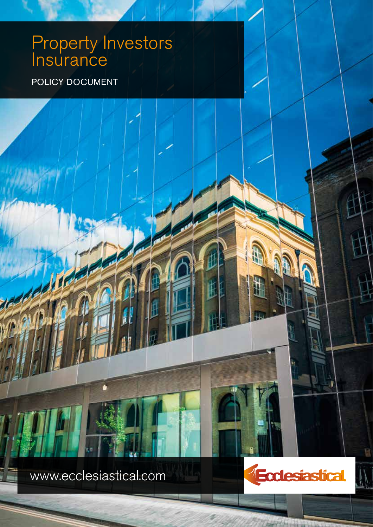# Property Investors **Insurance**

POLICY DOCUMENT

www.ecclesiastical.com

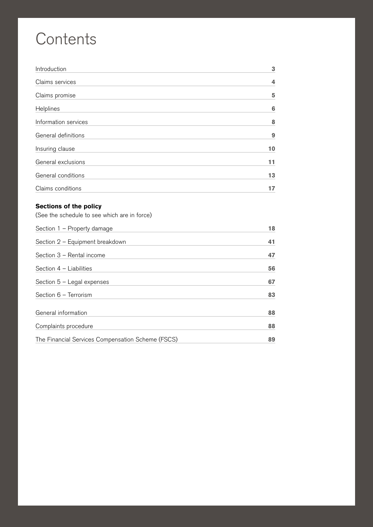# **Contents**

| Introduction         | 3  |
|----------------------|----|
| Claims services      | 4  |
| Claims promise       | 5  |
| Helplines            | 6  |
| Information services | 8  |
| General definitions  | 9  |
| Insuring clause      | 10 |
| General exclusions   | 11 |
| General conditions   | 13 |
| Claims conditions    |    |

2 POLICY DOCUMENT PROPERTY INVESTORS INSURANCE

## **Sections of the policy**

(See the schedule to see which are in force)

| Section 1 - Property damage                       | 18 |
|---------------------------------------------------|----|
| Section 2 - Equipment breakdown                   | 41 |
| Section 3 - Rental income                         | 47 |
| Section $4$ – Liabilities                         | 56 |
| Section $5 -$ Legal expenses                      | 67 |
| Section 6 - Terrorism                             | 83 |
| General information                               | 88 |
| Complaints procedure                              | 88 |
| The Financial Services Compensation Scheme (FSCS) | 89 |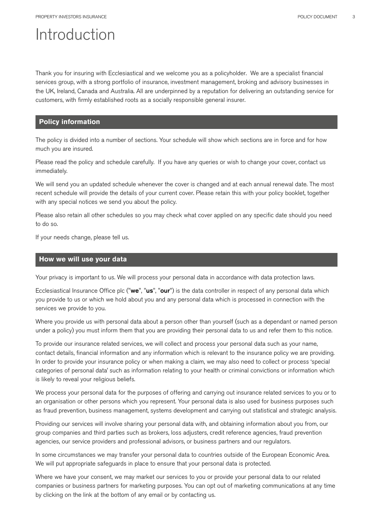## Introduction

Thank you for insuring with Ecclesiastical and we welcome you as a policyholder. We are a specialist financial services group, with a strong portfolio of insurance, investment management, broking and advisory businesses in the UK, Ireland, Canada and Australia. All are underpinned by a reputation for delivering an outstanding service for customers, with firmly established roots as a socially responsible general insurer.

## **Policy information**

The policy is divided into a number of sections. Your schedule will show which sections are in force and for how much you are insured.

Please read the policy and schedule carefully. If you have any queries or wish to change your cover, contact us immediately.

We will send you an updated schedule whenever the cover is changed and at each annual renewal date. The most recent schedule will provide the details of your current cover. Please retain this with your policy booklet, together with any special notices we send you about the policy.

Please also retain all other schedules so you may check what cover applied on any specific date should you need to do so.

If your needs change, please tell us.

## **How we will use your data**

Your privacy is important to us. We will process your personal data in accordance with data protection laws.

Ecclesiastical Insurance Office plc ("we", "us", "our") is the data controller in respect of any personal data which you provide to us or which we hold about you and any personal data which is processed in connection with the services we provide to you.

Where you provide us with personal data about a person other than yourself (such as a dependant or named person under a policy) you must inform them that you are providing their personal data to us and refer them to this notice.

To provide our insurance related services, we will collect and process your personal data such as your name, contact details, financial information and any information which is relevant to the insurance policy we are providing. In order to provide your insurance policy or when making a claim, we may also need to collect or process 'special categories of personal data' such as information relating to your health or criminal convictions or information which is likely to reveal your religious beliefs.

We process your personal data for the purposes of offering and carrying out insurance related services to you or to an organisation or other persons which you represent. Your personal data is also used for business purposes such as fraud prevention, business management, systems development and carrying out statistical and strategic analysis.

Providing our services will involve sharing your personal data with, and obtaining information about you from, our group companies and third parties such as brokers, loss adjusters, credit reference agencies, fraud prevention agencies, our service providers and professional advisors, or business partners and our regulators.

In some circumstances we may transfer your personal data to countries outside of the European Economic Area. We will put appropriate safeguards in place to ensure that your personal data is protected.

Where we have your consent, we may market our services to you or provide your personal data to our related companies or business partners for marketing purposes. You can opt out of marketing communications at any time by clicking on the link at the bottom of any email or by contacting us.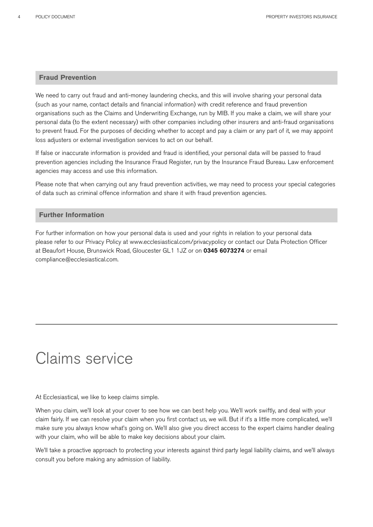## **Fraud Prevention**

We need to carry out fraud and anti-money laundering checks, and this will involve sharing your personal data (such as your name, contact details and financial information) with credit reference and fraud prevention organisations such as the Claims and Underwriting Exchange, run by MIB. If you make a claim, we will share your personal data (to the extent necessary) with other companies including other insurers and anti-fraud organisations to prevent fraud. For the purposes of deciding whether to accept and pay a claim or any part of it, we may appoint loss adjusters or external investigation services to act on our behalf.

If false or inaccurate information is provided and fraud is identified, your personal data will be passed to fraud prevention agencies including the Insurance Fraud Register, run by the Insurance Fraud Bureau. Law enforcement agencies may access and use this information.

Please note that when carrying out any fraud prevention activities, we may need to process your special categories of data such as criminal offence information and share it with fraud prevention agencies.

#### **Further Information**

For further information on how your personal data is used and your rights in relation to your personal data please refer to our Privacy Policy at www.ecclesiastical.com/privacypolicy or contact our Data Protection Officer at Beaufort House, Brunswick Road, Gloucester GL1 1JZ or on 0345 6073274 or email compliance@ecclesiastical.com.

## Claims service

At Ecclesiastical, we like to keep claims simple.

When you claim, we'll look at your cover to see how we can best help you. We'll work swiftly, and deal with your claim fairly. If we can resolve your claim when you first contact us, we will. But if it's a little more complicated, we'll make sure you always know what's going on. We'll also give you direct access to the expert claims handler dealing with your claim, who will be able to make key decisions about your claim.

We'll take a proactive approach to protecting your interests against third party legal liability claims, and we'll always consult you before making any admission of liability.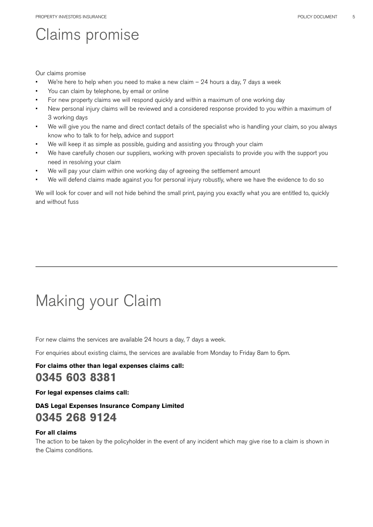# Claims promise

#### Our claims promise

- We're here to help when you need to make a new claim  $-24$  hours a day, 7 days a week
- You can claim by telephone, by email or online
- For new property claims we will respond quickly and within a maximum of one working day
- New personal injury claims will be reviewed and a considered response provided to you within a maximum of 3 working days
- We will give you the name and direct contact details of the specialist who is handling your claim, so you always know who to talk to for help, advice and support
- We will keep it as simple as possible, guiding and assisting you through your claim
- We have carefully chosen our suppliers, working with proven specialists to provide you with the support you need in resolving your claim
- We will pay your claim within one working day of agreeing the settlement amount
- We will defend claims made against you for personal injury robustly, where we have the evidence to do so

We will look for cover and will not hide behind the small print, paying you exactly what you are entitled to, quickly and without fuss

# Making your Claim

For new claims the services are available 24 hours a day, 7 days a week.

For enquiries about existing claims, the services are available from Monday to Friday 8am to 6pm.

## **For claims other than legal expenses claims call: 0345 603 8381**

#### **For legal expenses claims call:**

## **DAS Legal Expenses Insurance Company Limited 0345 268 9124**

#### **For all claims**

The action to be taken by the policyholder in the event of any incident which may give rise to a claim is shown in the Claims conditions.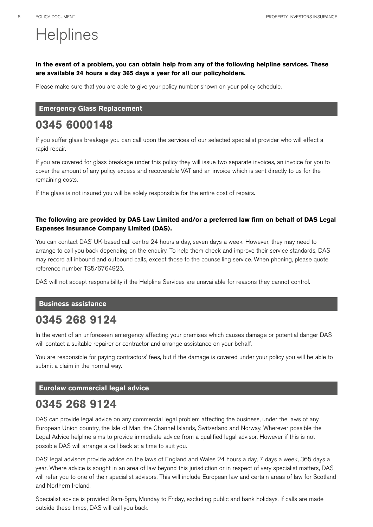# **Helplines**

## **In the event of a problem, you can obtain help from any of the following helpline services. These are available 24 hours a day 365 days a year for all our policyholders.**

Please make sure that you are able to give your policy number shown on your policy schedule.

#### **Emergency Glass Replacement**

## **0345 6000148**

If you suffer glass breakage you can call upon the services of our selected specialist provider who will effect a rapid repair.

If you are covered for glass breakage under this policy they will issue two separate invoices, an invoice for you to cover the amount of any policy excess and recoverable VAT and an invoice which is sent directly to us for the remaining costs.

If the glass is not insured you will be solely responsible for the entire cost of repairs.

## **The following are provided by DAS Law Limited and/or a preferred law firm on behalf of DAS Legal Expenses Insurance Company Limited (DAS).**

You can contact DAS' UK-based call centre 24 hours a day, seven days a week. However, they may need to arrange to call you back depending on the enquiry. To help them check and improve their service standards, DAS may record all inbound and outbound calls, except those to the counselling service. When phoning, please quote reference number TS5/6764925.

DAS will not accept responsibility if the Helpline Services are unavailable for reasons they cannot control.

#### **Business assistance**

## **0345 268 9124**

In the event of an unforeseen emergency affecting your premises which causes damage or potential danger DAS will contact a suitable repairer or contractor and arrange assistance on your behalf.

You are responsible for paying contractors' fees, but if the damage is covered under your policy you will be able to submit a claim in the normal way.

#### **Eurolaw commercial legal advice**

## **0345 268 9124**

DAS can provide legal advice on any commercial legal problem affecting the business, under the laws of any European Union country, the Isle of Man, the Channel Islands, Switzerland and Norway. Wherever possible the Legal Advice helpline aims to provide immediate advice from a qualified legal advisor. However if this is not possible DAS will arrange a call back at a time to suit you.

DAS' legal advisors provide advice on the laws of England and Wales 24 hours a day, 7 days a week, 365 days a year. Where advice is sought in an area of law beyond this jurisdiction or in respect of very specialist matters, DAS will refer you to one of their specialist advisors. This will include European law and certain areas of law for Scotland and Northern Ireland.

Specialist advice is provided 9am-5pm, Monday to Friday, excluding public and bank holidays. If calls are made outside these times, DAS will call you back.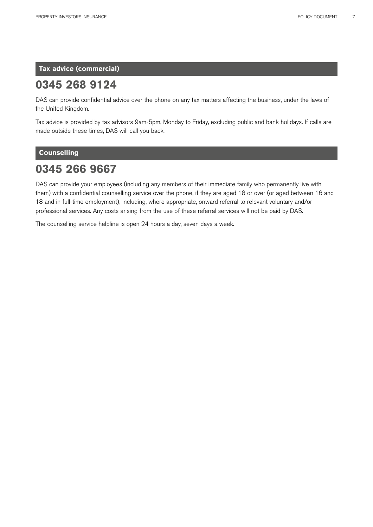**Tax advice (commercial)** 

## **0345 268 9124**

DAS can provide confidential advice over the phone on any tax matters affecting the business, under the laws of the United Kingdom.

Tax advice is provided by tax advisors 9am-5pm, Monday to Friday, excluding public and bank holidays. If calls are made outside these times, DAS will call you back.

## **Counselling**

## **0345 266 9667**

DAS can provide your employees (including any members of their immediate family who permanently live with them) with a confidential counselling service over the phone, if they are aged 18 or over (or aged between 16 and 18 and in full-time employment), including, where appropriate, onward referral to relevant voluntary and/or professional services. Any costs arising from the use of these referral services will not be paid by DAS.

The counselling service helpline is open 24 hours a day, seven days a week.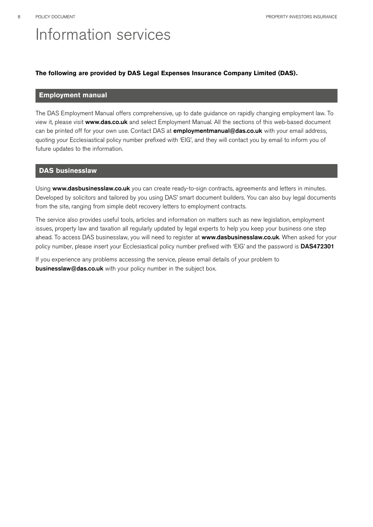# Information services

## **The following are provided by DAS Legal Expenses Insurance Company Limited (DAS).**

## **Employment manual**

The DAS Employment Manual offers comprehensive, up to date guidance on rapidly changing employment law. To view it, please visit www.das.co.uk and select Employment Manual. All the sections of this web-based document can be printed off for your own use. Contact DAS at *employmentmanual@das.co.uk* with your email address, quoting your Ecclesiastical policy number prefixed with 'EIG', and they will contact you by email to inform you of future updates to the information.

#### **DAS businesslaw**

Using www.dasbusinesslaw.co.uk you can create ready-to-sign contracts, agreements and letters in minutes. Developed by solicitors and tailored by you using DAS' smart document builders. You can also buy legal documents from the site, ranging from simple debt recovery letters to employment contracts.

The service also provides useful tools, articles and information on matters such as new legislation, employment issues, property law and taxation all regularly updated by legal experts to help you keep your business one step ahead. To access DAS businesslaw, you will need to register at www.dasbusinesslaw.co.uk. When asked for your policy number, please insert your Ecclesiastical policy number prefixed with 'EIG' and the password is DAS472301

If you experience any problems accessing the service, please email details of your problem to **businesslaw@das.co.uk** with your policy number in the subject box.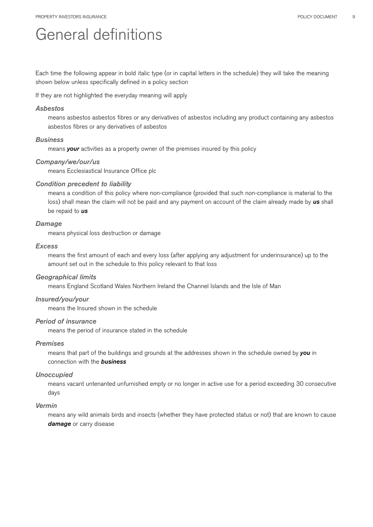## General definitions

Each time the following appear in bold italic type (or in capital letters in the schedule) they will take the meaning shown below unless specifically defined in a policy section

If they are not highlighted the everyday meaning will apply

#### *Asbestos*

means asbestos asbestos fibres or any derivatives of asbestos including any product containing any asbestos asbestos fibres or any derivatives of asbestos

#### *Business*

means *your* activities as a property owner of the premises insured by this policy

#### *Company/we/our/us*

means Ecclesiastical Insurance Office plc

#### *Condition precedent to liability*

means a condition of this policy where non-compliance (provided that such non-compliance is material to the loss) shall mean the claim will not be paid and any payment on account of the claim already made by *us* shall be repaid to *us*

#### *Damage*

means physical loss destruction or damage

#### *Excess*

means the first amount of each and every loss (after applying any adjustment for underinsurance) up to the amount set out in the schedule to this policy relevant to that loss

#### *Geographical limits*

means England Scotland Wales Northern Ireland the Channel Islands and the Isle of Man

#### *Insured/you/your*

means the Insured shown in the schedule

#### *Period of insurance*

means the period of insurance stated in the schedule

#### *Premises*

means that part of the buildings and grounds at the addresses shown in the schedule owned by *you* in connection with the *business*

#### *Unoccupied*

means vacant untenanted unfurnished empty or no longer in active use for a period exceeding 30 consecutive days

#### *Vermin*

means any wild animals birds and insects (whether they have protected status or not) that are known to cause *damage* or carry disease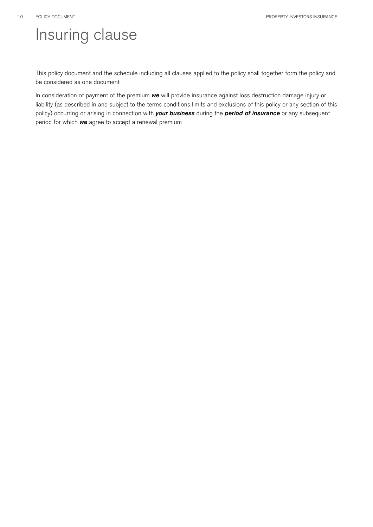# Insuring clause

This policy document and the schedule including all clauses applied to the policy shall together form the policy and be considered as one document

In consideration of payment of the premium *we* will provide insurance against loss destruction damage injury or liability (as described in and subject to the terms conditions limits and exclusions of this policy or any section of this policy) occurring or arising in connection with *your business* during the *period of insurance* or any subsequent period for which *we* agree to accept a renewal premium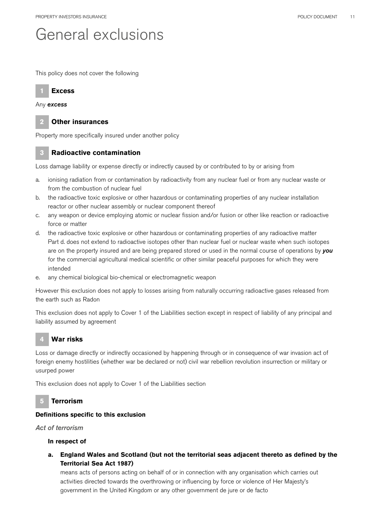## General exclusions

This policy does not cover the following



Any *excess*



## **2 Other insurances**

Property more specifically insured under another policy

## **3 Radioactive contamination**

Loss damage liability or expense directly or indirectly caused by or contributed to by or arising from

- a. ionising radiation from or contamination by radioactivity from any nuclear fuel or from any nuclear waste or from the combustion of nuclear fuel
- b. the radioactive toxic explosive or other hazardous or contaminating properties of any nuclear installation reactor or other nuclear assembly or nuclear component thereof
- c. any weapon or device employing atomic or nuclear fission and/or fusion or other like reaction or radioactive force or matter
- d. the radioactive toxic explosive or other hazardous or contaminating properties of any radioactive matter Part d. does not extend to radioactive isotopes other than nuclear fuel or nuclear waste when such isotopes are on the property insured and are being prepared stored or used in the normal course of operations by *you* for the commercial agricultural medical scientific or other similar peaceful purposes for which they were intended
- e. any chemical biological bio-chemical or electromagnetic weapon

However this exclusion does not apply to losses arising from naturally occurring radioactive gases released from the earth such as Radon

This exclusion does not apply to Cover 1 of the Liabilities section except in respect of liability of any principal and liability assumed by agreement

## **4 War risks**

Loss or damage directly or indirectly occasioned by happening through or in consequence of war invasion act of foreign enemy hostilities (whether war be declared or not) civil war rebellion revolution insurrection or military or usurped power

This exclusion does not apply to Cover 1 of the Liabilities section

## **5 Terrorism**

## **Definitions specific to this exclusion**

*Act of terrorism* 

## **In respect of**

**a. England Wales and Scotland (but not the territorial seas adjacent thereto as defined by the Territorial Sea Act 1987)** 

means acts of persons acting on behalf of or in connection with any organisation which carries out activities directed towards the overthrowing or influencing by force or violence of Her Majesty's government in the United Kingdom or any other government de jure or de facto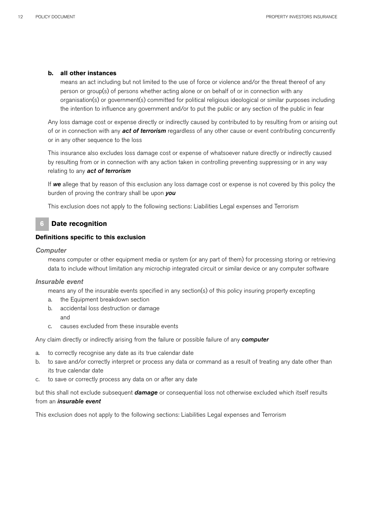#### **b. all other instances**

means an act including but not limited to the use of force or violence and/or the threat thereof of any person or group(s) of persons whether acting alone or on behalf of or in connection with any organisation(s) or government(s) committed for political religious ideological or similar purposes including the intention to influence any government and/or to put the public or any section of the public in fear

Any loss damage cost or expense directly or indirectly caused by contributed to by resulting from or arising out of or in connection with any *act of terrorism* regardless of any other cause or event contributing concurrently or in any other sequence to the loss

This insurance also excludes loss damage cost or expense of whatsoever nature directly or indirectly caused by resulting from or in connection with any action taken in controlling preventing suppressing or in any way relating to any *act of terrorism*

If *we* allege that by reason of this exclusion any loss damage cost or expense is not covered by this policy the burden of proving the contrary shall be upon *you*

This exclusion does not apply to the following sections: Liabilities Legal expenses and Terrorism

## **6 Date recognition**

#### **Definitions specific to this exclusion**

#### *Computer*

means computer or other equipment media or system (or any part of them) for processing storing or retrieving data to include without limitation any microchip integrated circuit or similar device or any computer software

#### *Insurable event*

means any of the insurable events specified in any section(s) of this policy insuring property excepting

- a. the Equipment breakdown section
- b. accidental loss destruction or damage
	- and
- c. causes excluded from these insurable events

Any claim directly or indirectly arising from the failure or possible failure of any *computer*

- a. to correctly recognise any date as its true calendar date
- b. to save and/or correctly interpret or process any data or command as a result of treating any date other than its true calendar date
- c. to save or correctly process any data on or after any date

but this shall not exclude subsequent *damage* or consequential loss not otherwise excluded which itself results from an *insurable event*

This exclusion does not apply to the following sections: Liabilities Legal expenses and Terrorism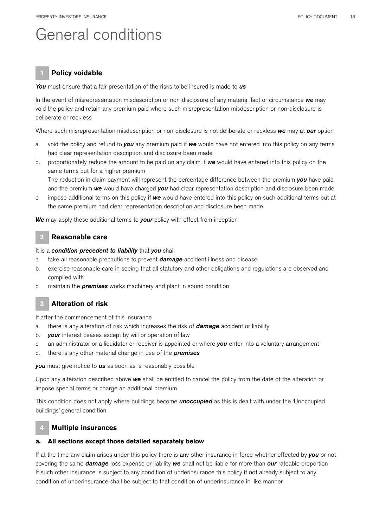## General conditions

## **1 Policy voidable**

*You* must ensure that a fair presentation of the risks to be insured is made to *us*

In the event of misrepresentation misdescription or non-disclosure of any material fact or circumstance *we* may void the policy and retain any premium paid where such misrepresentation misdescription or non-disclosure is deliberate or reckless

Where such misrepresentation misdescription or non-disclosure is not deliberate or reckless *we* may at *our* option

- a. void the policy and refund to *you* any premium paid if *we* would have not entered into this policy on any terms had clear representation description and disclosure been made
- b. proportionately reduce the amount to be paid on any claim if *we* would have entered into this policy on the same terms but for a higher premium

The reduction in claim payment will represent the percentage difference between the premium *you* have paid and the premium *we* would have charged *you* had clear representation description and disclosure been made

c. impose additional terms on this policy if *we* would have entered into this policy on such additional terms but at the same premium had clear representation description and disclosure been made

*We* may apply these additional terms to *your* policy with effect from inception

## **2 Reasonable care**

#### It is a *condition precedent to liability* that *you* shall

- a. take all reasonable precautions to prevent *damage* accident illness and disease
- b. exercise reasonable care in seeing that all statutory and other obligations and regulations are observed and complied with
- c. maintain the *premises* works machinery and plant in sound condition

## **3 Alteration of risk**

If after the commencement of this insurance

- a. there is any alteration of risk which increases the risk of *damage* accident or liability
- b. *your* interest ceases except by will or operation of law
- c. an administrator or a liquidator or receiver is appointed or where *you* enter into a voluntary arrangement
- d. there is any other material change in use of the *premises*

*you* must give notice to *us* as soon as is reasonably possible

Upon any alteration described above *we* shall be entitled to cancel the policy from the date of the alteration or impose special terms or charge an additional premium

This condition does not apply where buildings become *unoccupied* as this is dealt with under the 'Unoccupied buildings' general condition

## **4 Multiple insurances**

#### **a. All sections except those detailed separately below**

If at the time any claim arises under this policy there is any other insurance in force whether effected by *you* or not covering the same *damage* loss expense or liability *we* shall not be liable for more than *our* rateable proportion If such other insurance is subject to any condition of underinsurance this policy if not already subject to any condition of underinsurance shall be subject to that condition of underinsurance in like manner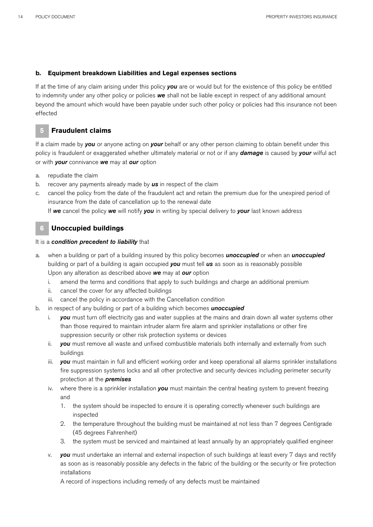## **b. Equipment breakdown Liabilities and Legal expenses sections**

If at the time of any claim arising under this policy *you* are or would but for the existence of this policy be entitled to indemnity under any other policy or policies *we* shall not be liable except in respect of any additional amount beyond the amount which would have been payable under such other policy or policies had this insurance not been effected

## **5 Fraudulent claims**

If a claim made by *you* or anyone acting on *your* behalf or any other person claiming to obtain benefit under this policy is fraudulent or exaggerated whether ultimately material or not or if any *damage* is caused by *your* wilful act or with *your* connivance *we* may at *our* option

- a. repudiate the claim
- b. recover any payments already made by *us* in respect of the claim
- c. cancel the policy from the date of the fraudulent act and retain the premium due for the unexpired period of insurance from the date of cancellation up to the renewal date If *we* cancel the policy *we* will notify *you* in writing by special delivery to *your* last known address

## **6 Unoccupied buildings**

## It is a *condition precedent to liability* that

- a. when a building or part of a building insured by this policy becomes *unoccupied* or when an *unoccupied*  building or part of a building is again occupied *you* must tell *us* as soon as is reasonably possible Upon any alteration as described above *we* may at *our* option
	- i. amend the terms and conditions that apply to such buildings and charge an additional premium
	- ii. cancel the cover for any affected buildings
	- iii. cancel the policy in accordance with the Cancellation condition
- b. in respect of any building or part of a building which becomes *unoccupied* 
	- i. *you* must turn off electricity gas and water supplies at the mains and drain down all water systems other than those required to maintain intruder alarm fire alarm and sprinkler installations or other fire suppression security or other risk protection systems or devices
	- ii. *you* must remove all waste and unfixed combustible materials both internally and externally from such buildings
	- iii. *you* must maintain in full and efficient working order and keep operational all alarms sprinkler installations fire suppression systems locks and all other protective and security devices including perimeter security protection at the *premises*
	- iv. where there is a sprinkler installation *you* must maintain the central heating system to prevent freezing and
		- 1. the system should be inspected to ensure it is operating correctly whenever such buildings are inspected
		- 2. the temperature throughout the building must be maintained at not less than 7 degrees Centigrade (45 degrees Fahrenheit)
		- 3. the system must be serviced and maintained at least annually by an appropriately qualified engineer
	- v. *you* must undertake an internal and external inspection of such buildings at least every 7 days and rectify as soon as is reasonably possible any defects in the fabric of the building or the security or fire protection installations

A record of inspections including remedy of any defects must be maintained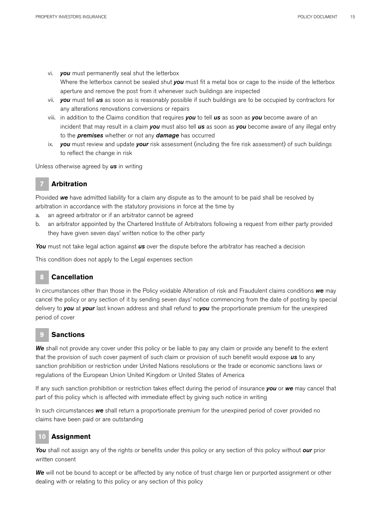- vi. *you* must permanently seal shut the letterbox Where the letterbox cannot be sealed shut *you* must fit a metal box or cage to the inside of the letterbox aperture and remove the post from it whenever such buildings are inspected
- vii. *you* must tell *us* as soon as is reasonably possible if such buildings are to be occupied by contractors for any alterations renovations conversions or repairs
- viii. in addition to the Claims condition that requires *you* to tell *us* as soon as *you* become aware of an incident that may result in a claim *you* must also tell *us* as soon as *you* become aware of any illegal entry to the *premises* whether or not any *damage* has occurred
- ix. *you* must review and update *your* risk assessment (including the fire risk assessment) of such buildings to reflect the change in risk

Unless otherwise agreed by *us* in writing

## **7 Arbitration**

Provided *we* have admitted liability for a claim any dispute as to the amount to be paid shall be resolved by arbitration in accordance with the statutory provisions in force at the time by

- a. an agreed arbitrator or if an arbitrator cannot be agreed
- b. an arbitrator appointed by the Chartered Institute of Arbitrators following a request from either party provided they have given seven days' written notice to the other party

*You* must not take legal action against *us* over the dispute before the arbitrator has reached a decision

This condition does not apply to the Legal expenses section

## **8 Cancellation**

In circumstances other than those in the Policy voidable Alteration of risk and Fraudulent claims conditions *we* may cancel the policy or any section of it by sending seven days' notice commencing from the date of posting by special delivery to *you* at *your* last known address and shall refund to *you* the proportionate premium for the unexpired period of cover

## **9 Sanctions**

*We* shall not provide any cover under this policy or be liable to pay any claim or provide any benefit to the extent that the provision of such cover payment of such claim or provision of such benefit would expose *us* to any sanction prohibition or restriction under United Nations resolutions or the trade or economic sanctions laws or regulations of the European Union United Kingdom or United States of America

If any such sanction prohibition or restriction takes effect during the period of insurance *you* or *we* may cancel that part of this policy which is affected with immediate effect by giving such notice in writing

In such circumstances *we* shall return a proportionate premium for the unexpired period of cover provided no claims have been paid or are outstanding

## **10 Assignment**

*You* shall not assign any of the rights or benefits under this policy or any section of this policy without *our* prior written consent

*We* will not be bound to accept or be affected by any notice of trust charge lien or purported assignment or other dealing with or relating to this policy or any section of this policy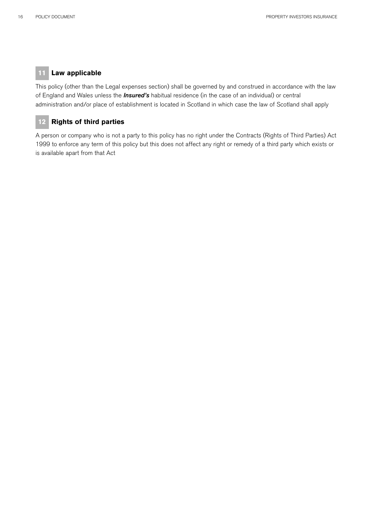## **11 Law applicable**

This policy (other than the Legal expenses section) shall be governed by and construed in accordance with the law of England and Wales unless the *Insured's* habitual residence (in the case of an individual) or central administration and/or place of establishment is located in Scotland in which case the law of Scotland shall apply

## **12 Rights of third parties**

A person or company who is not a party to this policy has no right under the Contracts (Rights of Third Parties) Act 1999 to enforce any term of this policy but this does not affect any right or remedy of a third party which exists or is available apart from that Act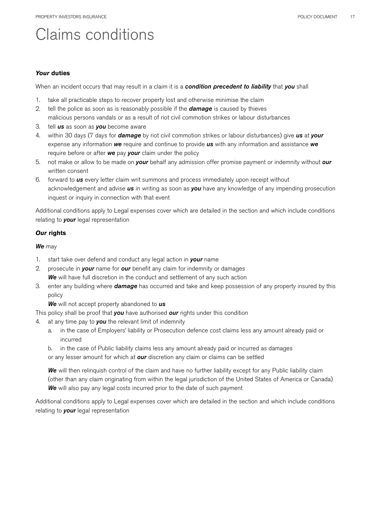# Claims conditions

#### *Your* **duties**

When an incident occurs that may result in a claim it is a *condition precedent to liability* that *you* shall

- 1. take all practicable steps to recover property lost and otherwise minimise the claim
- 2. tell the police as soon as is reasonably possible if the *damage* is caused by thieves malicious persons vandals or as a result of riot civil commotion strikes or labour disturbances
- 3. tell *us* as soon as *you* become aware
- 4. within 30 days (7 days for *damage* by riot civil commotion strikes or labour disturbances) give *us* at *your* expense any information *we* require and continue to provide *us* with any information and assistance *we* require before or after *we* pay *your* claim under the policy
- 5. not make or allow to be made on *your* behalf any admission offer promise payment or indemnity without *our*  written consent
- 6. forward to *us* every letter claim writ summons and process immediately upon receipt without acknowledgement and advise *us* in writing as soon as *you* have any knowledge of any impending prosecution inquest or inquiry in connection with that event

Additional conditions apply to Legal expenses cover which are detailed in the section and which include conditions relating to *your* legal representation

#### *Our* **rights**

*We* may

- 1. start take over defend and conduct any legal action in *your* name
- 2. prosecute in *your* name for *our* benefit any claim for indemnity or damages *We* will have full discretion in the conduct and settlement of any such action
- 3. enter any building where *damage* has occurred and take and keep possession of any property insured by this policy

*We* will not accept property abandoned to *us*

This policy shall be proof that *you* have authorised *our* rights under this condition

- 4. at any time pay to *you* the relevant limit of indemnity
	- a. in the case of Employers' liability or Prosecution defence cost claims less any amount already paid or incurred
	- b. in the case of Public liability claims less any amount already paid or incurred as damages or any lesser amount for which at *our* discretion any claim or claims can be settled

*We* will then relinquish control of the claim and have no further liability except for any Public liability claim (other than any claim originating from within the legal jurisdiction of the United States of America or Canada) *We* will also pay any legal costs incurred prior to the date of such payment

Additional conditions apply to Legal expenses cover which are detailed in the section and which include conditions relating to *your* legal representation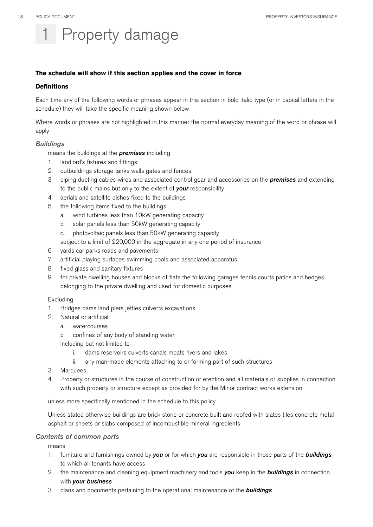# Property damage

#### **The schedule will show if this section applies and the cover in force**

#### **Definitions**

Each time any of the following words or phrases appear in this section in bold italic type (or in capital letters in the schedule) they will take the specific meaning shown below

Where words or phrases are not highlighted in this manner the normal everyday meaning of the word or phrase will apply

#### *Buildings*

means the buildings at the *premises* including

- 1. landlord's fixtures and fittings
- 2. outbuildings storage tanks walls gates and fences
- 3. piping ducting cables wires and associated control gear and accessories on the *premises* and extending to the public mains but only to the extent of *your* responsibility
- 4. aerials and satellite dishes fixed to the buildings
- 5. the following items fixed to the buildings
	- a. wind turbines less than 10kW generating capacity
	- b. solar panels less than 50kW generating capacity
	- c. photovoltaic panels less than 50kW generating capacity
	- subject to a limit of £20,000 in the aggregate in any one period of insurance
- 6. yards car parks roads and pavements
- 7. artificial playing surfaces swimming pools and associated apparatus
- 8. fixed glass and sanitary fixtures
- 9. for private dwelling houses and blocks of flats the following garages tennis courts patios and hedges belonging to the private dwelling and used for domestic purposes

#### Excluding

- 1. Bridges dams land piers jetties culverts excavations
- 2. Natural or artificial
	- a. watercourses
	- b. confines of any body of standing water
	- including but not limited to
		- i. dams reservoirs culverts canals moats rivers and lakes
		- ii. any man-made elements attaching to or forming part of such structures
- 3. Marquees
- 4. Property or structures in the course of construction or erection and all materials or supplies in connection with such property or structure except as provided for by the Minor contract works extension

unless more specifically mentioned in the schedule to this policy

Unless stated otherwise buildings are brick stone or concrete built and roofed with slates tiles concrete metal asphalt or sheets or slabs composed of incombustible mineral ingredients

#### *Contents of common parts*

means

- 1. furniture and furnishings owned by *you* or for which *you* are responsible in those parts of the *buildings* to which all tenants have access
- 2. the maintenance and cleaning equipment machinery and tools *you* keep in the *buildings* in connection with *your business*
- 3. plans and documents pertaining to the operational maintenance of the *buildings*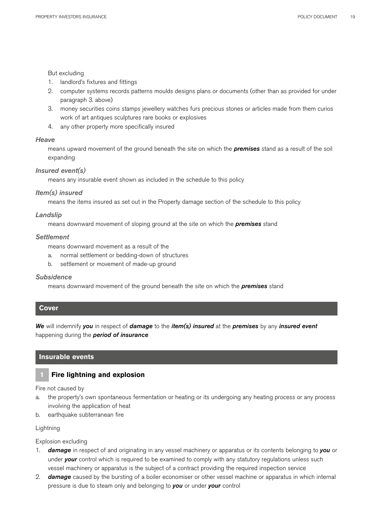#### But excluding

- 1. landlord's fixtures and fittings
- 2. computer systems records patterns moulds designs plans or documents (other than as provided for under paragraph 3. above)
- 3. money securities coins stamps jewellery watches furs precious stones or articles made from them curios work of art antiques sculptures rare books or explosives
- 4. any other property more specifically insured

#### *Heave*

means upward movement of the ground beneath the site on which the *premises* stand as a result of the soil expanding

#### *Insured event(s)*

means any insurable event shown as included in the schedule to this policy

#### *Item(s) insured*

means the items insured as set out in the Property damage section of the schedule to this policy

#### *Landslip*

means downward movement of sloping ground at the site on which the *premises* stand

#### *Settlement*

means downward movement as a result of the

- a. normal settlement or bedding-down of structures
- b. settlement or movement of made-up ground

#### *Subsidence*

means downward movement of the ground beneath the site on which the *premises* stand

#### **Cover**

*We* will indemnify *you* in respect of *damage* to the *item(s) insured* at the *premises* by any *insured event* happening during the *period of insurance* 

#### **Insurable events**

## **1 Fire lightning and explosion**

Fire not caused by

- a. the property's own spontaneous fermentation or heating or its undergoing any heating process or any process involving the application of heat
- b. earthquake subterranean fire

#### **Lightning**

Explosion excluding

- 1. *damage* in respect of and originating in any vessel machinery or apparatus or its contents belonging to *you* or under *your* control which is required to be examined to comply with any statutory regulations unless such vessel machinery or apparatus is the subject of a contract providing the required inspection service
- 2. *damage* caused by the bursting of a boiler economiser or other vessel machine or apparatus in which internal pressure is due to steam only and belonging to *you* or under *your* control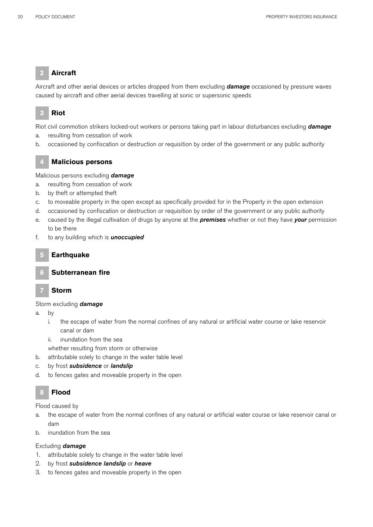## **2 Aircraft**

Aircraft and other aerial devices or articles dropped from them excluding *damage* occasioned by pressure waves caused by aircraft and other aerial devices travelling at sonic or supersonic speeds

## **3 Riot**

Riot civil commotion strikers locked-out workers or persons taking part in labour disturbances excluding *damage*

- a. resulting from cessation of work
- b. occasioned by confiscation or destruction or requisition by order of the government or any public authority

## **4 Malicious persons**

Malicious persons excluding *damage*

- a. resulting from cessation of work
- b. by theft or attempted theft
- c. to moveable property in the open except as specifically provided for in the Property in the open extension
- d. occasioned by confiscation or destruction or requisition by order of the government or any public authority
- e. caused by the illegal cultivation of drugs by anyone at the *premises* whether or not they have *your* permission to be there
- f. to any building which is *unoccupied*

## **5 Earthquake**

## **6 Subterranean fire**

## **7 Storm**

## Storm excluding *damage*

- a. by
	- i. the escape of water from the normal confines of any natural or artificial water course or lake reservoir canal or dam
	- ii. inundation from the sea
	- whether resulting from storm or otherwise
- b. attributable solely to change in the water table level
- c. by frost *subsidence* or *landslip*
- d. to fences gates and moveable property in the open

## **8 Flood**

Flood caused by

- a. the escape of water from the normal confines of any natural or artificial water course or lake reservoir canal or dam
- b. inundation from the sea

## Excluding *damage*

- 1. attributable solely to change in the water table level
- 2. by frost *subsidence landslip* or *heave*
- 3. to fences gates and moveable property in the open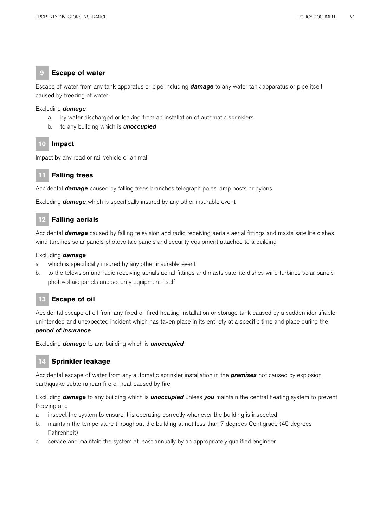## **9 Escape of water**

Escape of water from any tank apparatus or pipe including *damage* to any water tank apparatus or pipe itself caused by freezing of water

#### Excluding *damage*

- a. by water discharged or leaking from an installation of automatic sprinklers
- b. to any building which is *unoccupied*

## **10 Impact**

Impact by any road or rail vehicle or animal

## **11 Falling trees**

Accidental *damage* caused by falling trees branches telegraph poles lamp posts or pylons

Excluding *damage* which is specifically insured by any other insurable event

## **12 Falling aerials**

Accidental *damage* caused by falling television and radio receiving aerials aerial fittings and masts satellite dishes wind turbines solar panels photovoltaic panels and security equipment attached to a building

#### Excluding *damage*

- a. which is specifically insured by any other insurable event
- b. to the television and radio receiving aerials aerial fittings and masts satellite dishes wind turbines solar panels photovoltaic panels and security equipment itself

## **13 Escape of oil**

Accidental escape of oil from any fixed oil fired heating installation or storage tank caused by a sudden identifiable unintended and unexpected incident which has taken place in its entirety at a specific time and place during the *period of insurance*

Excluding *damage* to any building which is *unoccupied*

## **14 Sprinkler leakage**

Accidental escape of water from any automatic sprinkler installation in the *premises* not caused by explosion earthquake subterranean fire or heat caused by fire

Excluding *damage* to any building which is *unoccupied* unless *you* maintain the central heating system to prevent freezing and

- a. inspect the system to ensure it is operating correctly whenever the building is inspected
- b. maintain the temperature throughout the building at not less than 7 degrees Centigrade (45 degrees Fahrenheit)
- c. service and maintain the system at least annually by an appropriately qualified engineer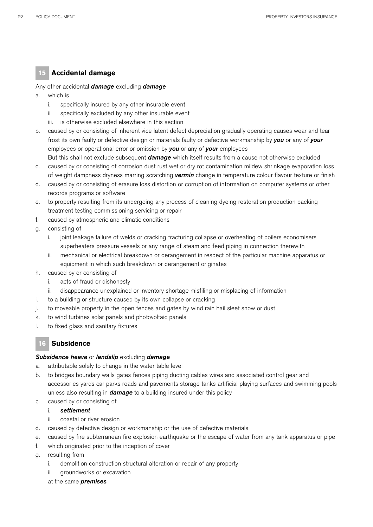## **15 Accidental damage**

#### Any other accidental *damage* excluding *damage*

- a. which is
	- i. specifically insured by any other insurable event
	- ii. specifically excluded by any other insurable event
	- iii. is otherwise excluded elsewhere in this section
- b. caused by or consisting of inherent vice latent defect depreciation gradually operating causes wear and tear frost its own faulty or defective design or materials faulty or defective workmanship by *you* or any of *your*  employees or operational error or omission by *you* or any of *your* employees

But this shall not exclude subsequent *damage* which itself results from a cause not otherwise excluded

- c. caused by or consisting of corrosion dust rust wet or dry rot contamination mildew shrinkage evaporation loss of weight dampness dryness marring scratching *vermin* change in temperature colour flavour texture or finish
- d. caused by or consisting of erasure loss distortion or corruption of information on computer systems or other records programs or software
- e. to property resulting from its undergoing any process of cleaning dyeing restoration production packing treatment testing commissioning servicing or repair
- f. caused by atmospheric and climatic conditions
- g. consisting of
	- i. joint leakage failure of welds or cracking fracturing collapse or overheating of boilers economisers superheaters pressure vessels or any range of steam and feed piping in connection therewith
	- ii. mechanical or electrical breakdown or derangement in respect of the particular machine apparatus or equipment in which such breakdown or derangement originates
- h. caused by or consisting of
	- i. acts of fraud or dishonesty
	- ii. disappearance unexplained or inventory shortage misfiling or misplacing of information
- i. to a building or structure caused by its own collapse or cracking
- j. to moveable property in the open fences and gates by wind rain hail sleet snow or dust
- k. to wind turbines solar panels and photovoltaic panels
- l. to fixed glass and sanitary fixtures

## **16 Subsidence**

#### *Subsidence heave* or *landslip* excluding *damage*

- a. attributable solely to change in the water table level
- b. to bridges boundary walls gates fences piping ducting cables wires and associated control gear and accessories yards car parks roads and pavements storage tanks artificial playing surfaces and swimming pools unless also resulting in *damage* to a building insured under this policy
- c. caused by or consisting of

## i. *settlement*

- ii. coastal or river erosion
- d. caused by defective design or workmanship or the use of defective materials
- e. caused by fire subterranean fire explosion earthquake or the escape of water from any tank apparatus or pipe
- f. which originated prior to the inception of cover
- g. resulting from
	- i. demolition construction structural alteration or repair of any property
	- aroundworks or excavation
	- at the same *premises*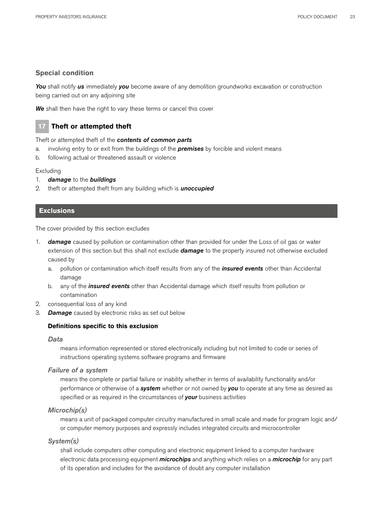## **Special condition**

*You* shall notify *us* immediately *you* become aware of any demolition groundworks excavation or construction being carried out on any adjoining site

*We* shall then have the right to vary these terms or cancel this cover

## **17 Theft or attempted theft**

Theft or attempted theft of the *contents of common parts* 

- a. involving entry to or exit from the buildings of the *premises* by forcible and violent means
- b. following actual or threatened assault or violence

#### Excluding

- 1. *damage* to the *buildings*
- 2. theft or attempted theft from any building which is *unoccupied*

## **Exclusions**

The cover provided by this section excludes

- 1. *damage* caused by pollution or contamination other than provided for under the Loss of oil gas or water extension of this section but this shall not exclude *damage* to the property insured not otherwise excluded caused by
	- a. pollution or contamination which itself results from any of the *insured events* other than Accidental damage
	- b. any of the *insured events* other than Accidental damage which itself results from pollution or contamination
- 2. consequential loss of any kind
- 3. *Damage* caused by electronic risks as set out below

## **Definitions specific to this exclusion**

## *Data*

means information represented or stored electronically including but not limited to code or series of instructions operating systems software programs and firmware

## *Failure of a system*

means the complete or partial failure or inability whether in terms of availability functionality and/or performance or otherwise of a *system* whether or not owned by *you* to operate at any time as desired as specified or as required in the circumstances of *your* business activities

## *Microchip(s)*

means a unit of packaged computer circuitry manufactured in small scale and made for program logic and/ or computer memory purposes and expressly includes integrated circuits and microcontroller

## *System(s)*

shall include computers other computing and electronic equipment linked to a computer hardware electronic data processing equipment *microchips* and anything which relies on a *microchip* for any part of its operation and includes for the avoidance of doubt any computer installation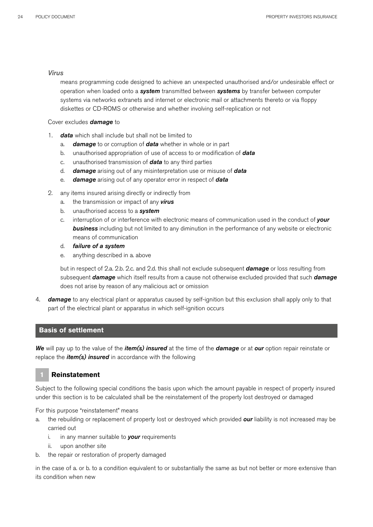#### *Virus*

means programming code designed to achieve an unexpected unauthorised and/or undesirable effect or operation when loaded onto a *system* transmitted between *systems* by transfer between computer systems via networks extranets and internet or electronic mail or attachments thereto or via floppy diskettes or CD-ROMS or otherwise and whether involving self-replication or not

#### Cover excludes *damage* to

- 1. *data* which shall include but shall not be limited to
	- a. *damage* to or corruption of *data* whether in whole or in part
	- b. unauthorised appropriation of use of access to or modification of *data*
	- c. unauthorised transmission of *data* to any third parties
	- d. *damage* arising out of any misinterpretation use or misuse of *data*
	- e. *damage* arising out of any operator error in respect of *data*
- 2. any items insured arising directly or indirectly from
	- a. the transmission or impact of any *virus*
	- b. unauthorised access to a *system*
	- c. interruption of or interference with electronic means of communication used in the conduct of *your business* including but not limited to any diminution in the performance of any website or electronic means of communication
	- d. *failure of a system*
	- e. anything described in a. above

but in respect of 2.a. 2.b. 2.c. and 2.d. this shall not exclude subsequent *damage* or loss resulting from subsequent *damage* which itself results from a cause not otherwise excluded provided that such *damage* does not arise by reason of any malicious act or omission

4. *damage* to any electrical plant or apparatus caused by self-ignition but this exclusion shall apply only to that part of the electrical plant or apparatus in which self-ignition occurs

## **Basis of settlement**

*We* will pay up to the value of the *item(s) insured* at the time of the *damage* or at *our* option repair reinstate or replace the *item(s) insured* in accordance with the following

## **1 Reinstatement**

Subject to the following special conditions the basis upon which the amount payable in respect of property insured under this section is to be calculated shall be the reinstatement of the property lost destroyed or damaged

For this purpose "reinstatement" means

- a. the rebuilding or replacement of property lost or destroyed which provided *our* liability is not increased may be carried out
	- i. in any manner suitable to *your* requirements
	- ii. upon another site
- b. the repair or restoration of property damaged

in the case of a. or b. to a condition equivalent to or substantially the same as but not better or more extensive than its condition when new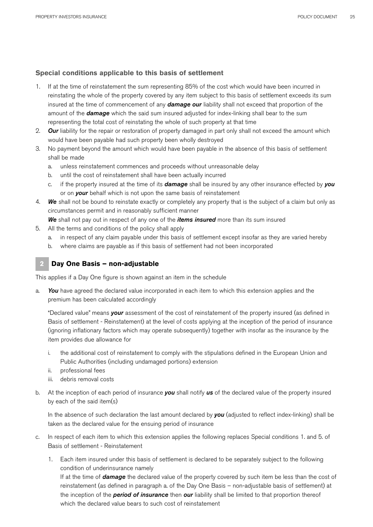## **Special conditions applicable to this basis of settlement**

- 1. If at the time of reinstatement the sum representing 85% of the cost which would have been incurred in reinstating the whole of the property covered by any item subject to this basis of settlement exceeds its sum insured at the time of commencement of any *damage our* liability shall not exceed that proportion of the amount of the *damage* which the said sum insured adjusted for index-linking shall bear to the sum representing the total cost of reinstating the whole of such property at that time
- 2. *Our* liability for the repair or restoration of property damaged in part only shall not exceed the amount which would have been payable had such property been wholly destroyed
- 3. No payment beyond the amount which would have been payable in the absence of this basis of settlement shall be made
	- a. unless reinstatement commences and proceeds without unreasonable delay
	- b. until the cost of reinstatement shall have been actually incurred
	- c. if the property insured at the time of its *damage* shall be insured by any other insurance effected by *you*  or on *your* behalf which is not upon the same basis of reinstatement
- 4. *We* shall not be bound to reinstate exactly or completely any property that is the subject of a claim but only as circumstances permit and in reasonably sufficient manner

*We* shall not pay out in respect of any one of the *items insured* more than its sum insured

- 5. All the terms and conditions of the policy shall apply
	- a. in respect of any claim payable under this basis of settlement except insofar as they are varied hereby
	- b. where claims are payable as if this basis of settlement had not been incorporated

## **2 Day One Basis – non-adjustable**

This applies if a Day One figure is shown against an item in the schedule

a. *You* have agreed the declared value incorporated in each item to which this extension applies and the premium has been calculated accordingly

"Declared value" means *your* assessment of the cost of reinstatement of the property insured (as defined in Basis of settlement - Reinstatement) at the level of costs applying at the inception of the period of insurance (ignoring inflationary factors which may operate subsequently) together with insofar as the insurance by the item provides due allowance for

- i. the additional cost of reinstatement to comply with the stipulations defined in the European Union and Public Authorities (including undamaged portions) extension
- ii. professional fees
- iii. debris removal costs
- b. At the inception of each period of insurance *you* shall notify *us* of the declared value of the property insured by each of the said item(s)

In the absence of such declaration the last amount declared by *you* (adjusted to reflect index-linking) shall be taken as the declared value for the ensuing period of insurance

- c. In respect of each item to which this extension applies the following replaces Special conditions 1. and 5. of Basis of settlement - Reinstatement
	- 1. Each item insured under this basis of settlement is declared to be separately subject to the following condition of underinsurance namely

If at the time of *damage* the declared value of the property covered by such item be less than the cost of reinstatement (as defined in paragraph a. of the Day One Basis – non-adjustable basis of settlement) at the inception of the *period of insurance* then *our* liability shall be limited to that proportion thereof which the declared value bears to such cost of reinstatement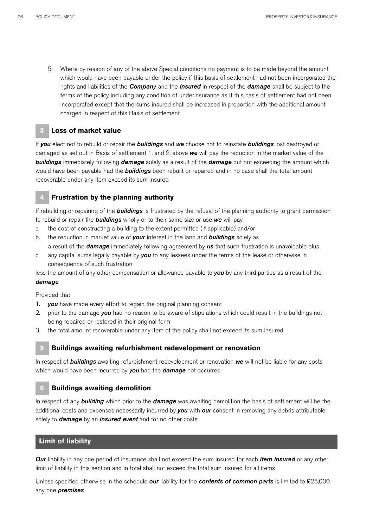5. Where by reason of any of the above Special conditions no payment is to be made beyond the amount which would have been payable under the policy if this basis of settlement had not been incorporated the rights and liabilities of the *Company* and the *Insured* in respect of the *damage* shall be subject to the terms of the policy including any condition of underinsurance as if this basis of settlement had not been incorporated except that the sums insured shall be increased in proportion with the additional amount charged in respect of this Basis of settlement

## **3 Loss of market value**

If *you* elect not to rebuild or repair the *buildings* and *we* choose not to reinstate *buildings* lost destroyed or damaged as set out in Basis of settlement 1. and 2. above *we* will pay the reduction in the market value of the *buildings* immediately following *damage* solely as a result of the *damage* but not exceeding the amount which would have been payable had the *buildings* been rebuilt or repaired and in no case shall the total amount recoverable under any item exceed its sum insured

## **4 Frustration by the planning authority**

If rebuilding or repairing of the *buildings* is frustrated by the refusal of the planning authority to grant permission to rebuild or repair the *buildings* wholly or to their same size or use *we* will pay

- a. the cost of constructing a building to the extent permitted (if applicable) and/or
- b. the reduction in market value of *your* interest in the land and *buildings* solely as a result of the *damage* immediately following agreement by *us* that such frustration is unavoidable plus
- c. any capital sums legally payable by *you* to any lessees under the terms of the lease or otherwise in consequence of such frustration

less the amount of any other compensation or allowance payable to *you* by any third parties as a result of the *damage*

Provided that

- 1. *you* have made every effort to regain the original planning consent
- 2. prior to the damage *you* had no reason to be aware of stipulations which could result in the buildings not being repaired or restored in their original form
- 3. the total amount recoverable under any item of the policy shall not exceed its sum insured

## **5 Buildings awaiting refurbishment redevelopment or renovation**

In respect of *buildings* awaiting refurbishment redevelopment or renovation *we* will not be liable for any costs which would have been incurred by *you* had the *damage* not occurred

## **6 Buildings awaiting demolition**

In respect of any *building* which prior to the *damage* was awaiting demolition the basis of settlement will be the additional costs and expenses necessarily incurred by *you* with *our* consent in removing any debris attributable solely to *damage* by an *insured event* and for no other costs

## **Limit of liability**

*Our* liability in any one period of insurance shall not exceed the sum insured for each *item insured* or any other limit of liability in this section and in total shall not exceed the total sum insured for all items

Unless specified otherwise in the schedule *our* liability for the *contents of common parts* is limited to £25,000 any one *premises*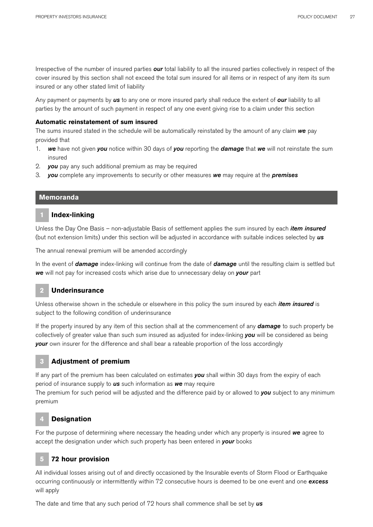Irrespective of the number of insured parties *our* total liability to all the insured parties collectively in respect of the cover insured by this section shall not exceed the total sum insured for all items or in respect of any item its sum insured or any other stated limit of liability

Any payment or payments by *us* to any one or more insured party shall reduce the extent of *our* liability to all parties by the amount of such payment in respect of any one event giving rise to a claim under this section

#### **Automatic reinstatement of sum insured**

The sums insured stated in the schedule will be automatically reinstated by the amount of any claim *we* pay provided that

- 1. *we* have not given *you* notice within 30 days of *you* reporting the *damage* that *we* will not reinstate the sum insured
- 2. *you* pay any such additional premium as may be required
- 3. *you* complete any improvements to security or other measures *we* may require at the *premises*

#### **Memoranda**

#### **1 Index-linking**

Unless the Day One Basis – non-adjustable Basis of settlement applies the sum insured by each *item insured* (but not extension limits) under this section will be adjusted in accordance with suitable indices selected by *us*

The annual renewal premium will be amended accordingly

In the event of *damage* index-linking will continue from the date of *damage* until the resulting claim is settled but *we* will not pay for increased costs which arise due to unnecessary delay on *your* part

## **2 Underinsurance**

Unless otherwise shown in the schedule or elsewhere in this policy the sum insured by each *item insured* is subject to the following condition of underinsurance

If the property insured by any item of this section shall at the commencement of any *damage* to such property be collectively of greater value than such sum insured as adjusted for index-linking *you* will be considered as being *your* own insurer for the difference and shall bear a rateable proportion of the loss accordingly

## **3 Adjustment of premium**

If any part of the premium has been calculated on estimates *you* shall within 30 days from the expiry of each period of insurance supply to *us* such information as *we* may require

The premium for such period will be adjusted and the difference paid by or allowed to *you* subject to any minimum premium

## **4 Designation**

For the purpose of determining where necessary the heading under which any property is insured *we* agree to accept the designation under which such property has been entered in *your* books

## **5 72 hour provision**

All individual losses arising out of and directly occasioned by the Insurable events of Storm Flood or Earthquake occurring continuously or intermittently within 72 consecutive hours is deemed to be one event and one *excess*  will apply

The date and time that any such period of 72 hours shall commence shall be set by *us*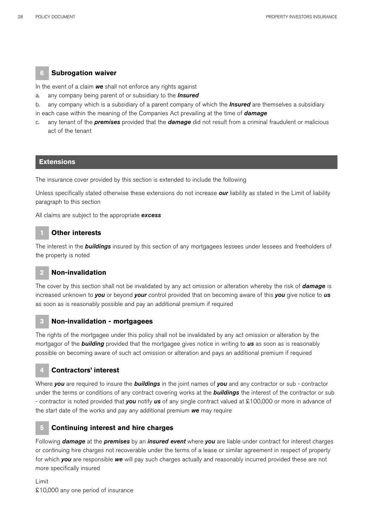## **6 Subrogation waiver**

In the event of a claim *we* shall not enforce any rights against

- a. any company being parent of or subsidiary to the *Insured*
- b. any company which is a subsidiary of a parent company of which the *Insured* are themselves a subsidiary in each case within the meaning of the Companies Act prevailing at the time of *damage*
- c. any tenant of the *premises* provided that the *damage* did not result from a criminal fraudulent or malicious act of the tenant

#### **Extensions**

The insurance cover provided by this section is extended to include the following

Unless specifically stated otherwise these extensions do not increase *our* liability as stated in the Limit of liability paragraph to this section

All claims are subject to the appropriate *excess*

## **1 Other interests**

The interest in the *buildings* insured by this section of any mortgagees lessees under lessees and freeholders of the property is noted

## **2 Non-invalidation**

The cover by this section shall not be invalidated by any act omission or alteration whereby the risk of *damage* is increased unknown to *you* or beyond *your* control provided that on becoming aware of this *you* give notice to *us*  as soon as is reasonably possible and pay an additional premium if required

#### **3 Non-invalidation - mortgagees**

The rights of the mortgagee under this policy shall not be invalidated by any act omission or alteration by the mortgagor of the *building* provided that the mortgagee gives notice in writing to *us* as soon as is reasonably possible on becoming aware of such act omission or alteration and pays an additional premium if required

#### **4 Contractors' interest**

Where *you* are required to insure the *buildings* in the joint names of *you* and any contractor or sub - contractor under the terms or conditions of any contract covering works at the *buildings* the interest of the contractor or sub - contractor is noted provided that *you* notify *us* of any single contract valued at £100,000 or more in advance of the start date of the works and pay any additional premium *we* may require

#### **5 Continuing interest and hire charges**

Following *damage* at the *premises* by an *insured event* where *you* are liable under contract for interest charges or continuing hire charges not recoverable under the terms of a lease or similar agreement in respect of property for which *you* are responsible *we* will pay such charges actually and reasonably incurred provided these are not more specifically insured

Limit £10,000 any one period of insurance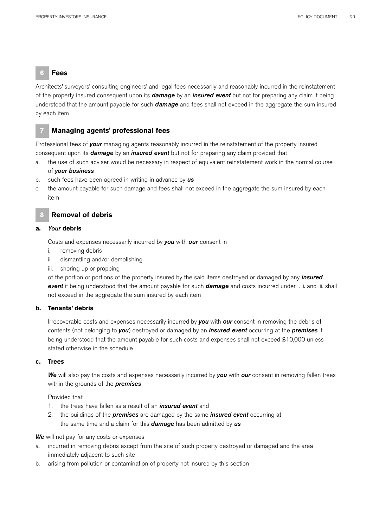**6 Fees** 

Architects' surveyors' consulting engineers' and legal fees necessarily and reasonably incurred in the reinstatement of the property insured consequent upon its *damage* by an *insured event* but not for preparing any claim it being understood that the amount payable for such *damage* and fees shall not exceed in the aggregate the sum insured by each item

## **7 Managing agents' professional fees**

Professional fees of *your* managing agents reasonably incurred in the reinstatement of the property insured consequent upon its *damage* by an *insured event* but not for preparing any claim provided that

- a. the use of such adviser would be necessary in respect of equivalent reinstatement work in the normal course of *your business*
- b. such fees have been agreed in writing in advance by *us*
- c. the amount payable for such damage and fees shall not exceed in the aggregate the sum insured by each item

## **8 Removal of debris**

#### **a.** *Your* **debris**

Costs and expenses necessarily incurred by *you* with *our* consent in

- i. removing debris
- ii. dismantling and/or demolishing
- iii. shoring up or propping

of the portion or portions of the property insured by the said items destroyed or damaged by any *insured event* it being understood that the amount payable for such *damage* and costs incurred under i. ii. and iii. shall not exceed in the aggregate the sum insured by each item

## **b. Tenants' debris**

Irrecoverable costs and expenses necessarily incurred by *you* with *our* consent in removing the debris of contents (not belonging to *you*) destroyed or damaged by an *insured event* occurring at the *premises* it being understood that the amount payable for such costs and expenses shall not exceed £10,000 unless stated otherwise in the schedule

#### **c. Trees**

*We* will also pay the costs and expenses necessarily incurred by *you* with *our* consent in removing fallen trees within the grounds of the *premises* 

Provided that

- 1. the trees have fallen as a result of an *insured event* and
- 2. the buildings of the *premises* are damaged by the same *insured event* occurring at the same time and a claim for this *damage* has been admitted by *us*

#### *We* will not pay for any costs or expenses

- a. incurred in removing debris except from the site of such property destroyed or damaged and the area immediately adjacent to such site
- b. arising from pollution or contamination of property not insured by this section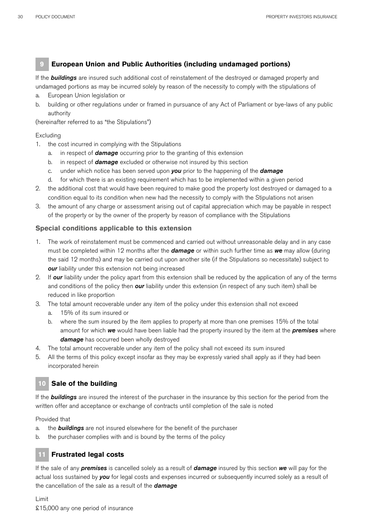## **9 European Union and Public Authorities (including undamaged portions)**

If the *buildings* are insured such additional cost of reinstatement of the destroyed or damaged property and undamaged portions as may be incurred solely by reason of the necessity to comply with the stipulations of

- a. European Union legislation or
- b. building or other regulations under or framed in pursuance of any Act of Parliament or bye-laws of any public authority

(hereinafter referred to as "the Stipulations")

#### Excluding

- 1. the cost incurred in complying with the Stipulations
	- a. in respect of *damage* occurring prior to the granting of this extension
	- b. in respect of *damage* excluded or otherwise not insured by this section
	- c. under which notice has been served upon *you* prior to the happening of the *damage*
	- d. for which there is an existing requirement which has to be implemented within a given period
- 2. the additional cost that would have been required to make good the property lost destroyed or damaged to a condition equal to its condition when new had the necessity to comply with the Stipulations not arisen
- 3. the amount of any charge or assessment arising out of capital appreciation which may be payable in respect of the property or by the owner of the property by reason of compliance with the Stipulations

## **Special conditions applicable to this extension**

- 1. The work of reinstatement must be commenced and carried out without unreasonable delay and in any case must be completed within 12 months after the *damage* or within such further time as *we* may allow (during the said 12 months) and may be carried out upon another site (if the Stipulations so necessitate) subject to *our* liability under this extension not being increased
- 2. If *our* liability under the policy apart from this extension shall be reduced by the application of any of the terms and conditions of the policy then *our* liability under this extension (in respect of any such item) shall be reduced in like proportion
- 3. The total amount recoverable under any item of the policy under this extension shall not exceed
	- a. 15% of its sum insured or
	- b. where the sum insured by the item applies to property at more than one premises 15% of the total amount for which *we* would have been liable had the property insured by the item at the *premises* where *damage* has occurred been wholly destroyed
- 4. The total amount recoverable under any item of the policy shall not exceed its sum insured
- 5. All the terms of this policy except insofar as they may be expressly varied shall apply as if they had been incorporated herein

## **10 Sale of the building**

If the *buildings* are insured the interest of the purchaser in the insurance by this section for the period from the written offer and acceptance or exchange of contracts until completion of the sale is noted

Provided that

- a. the *buildings* are not insured elsewhere for the benefit of the purchaser
- b. the purchaser complies with and is bound by the terms of the policy

## **11 Frustrated legal costs**

If the sale of any *premises* is cancelled solely as a result of *damage* insured by this section *we* will pay for the actual loss sustained by *you* for legal costs and expenses incurred or subsequently incurred solely as a result of the cancellation of the sale as a result of the *damage*

Limit £15,000 any one period of insurance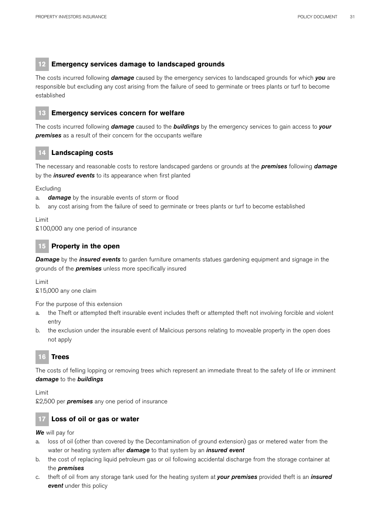## **12 Emergency services damage to landscaped grounds**

The costs incurred following *damage* caused by the emergency services to landscaped grounds for which *you* are responsible but excluding any cost arising from the failure of seed to germinate or trees plants or turf to become established



## **13 Emergency services concern for welfare**

The costs incurred following *damage* caused to the *buildings* by the emergency services to gain access to *your premises* as a result of their concern for the occupants welfare

## **14 Landscaping costs**

The necessary and reasonable costs to restore landscaped gardens or grounds at the *premises* following *damage* by the *insured events* to its appearance when first planted

Excluding

- a. *damage* by the insurable events of storm or flood
- b. any cost arising from the failure of seed to germinate or trees plants or turf to become established

#### Limit

£100,000 any one period of insurance

## **15 Property in the open**

*Damage* by the *insured events* to garden furniture ornaments statues gardening equipment and signage in the grounds of the *premises* unless more specifically insured

Limit

£15,000 any one claim

For the purpose of this extension

- a. the Theft or attempted theft insurable event includes theft or attempted theft not involving forcible and violent entry
- b. the exclusion under the insurable event of Malicious persons relating to moveable property in the open does not apply

## **16 Trees**

The costs of felling lopping or removing trees which represent an immediate threat to the safety of life or imminent *damage* to the *buildings*

Limit

£2,500 per *premises* any one period of insurance

## **17 Loss of oil or gas or water**

*We* will pay for

- a. loss of oil (other than covered by the Decontamination of ground extension) gas or metered water from the water or heating system after *damage* to that system by an *insured event*
- b. the cost of replacing liquid petroleum gas or oil following accidental discharge from the storage container at the *premises*
- c. theft of oil from any storage tank used for the heating system at *your premises* provided theft is an *insured event* under this policy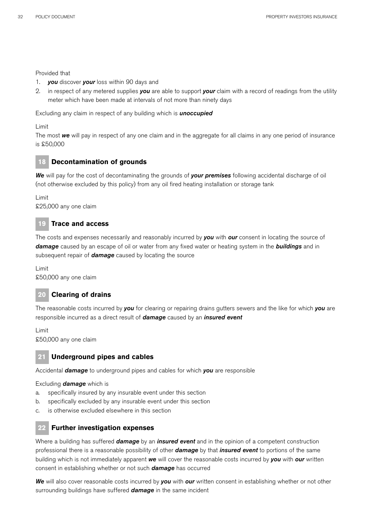#### Provided that

- 1. *you* discover *your* loss within 90 days and
- 2. in respect of any metered supplies *you* are able to support *your* claim with a record of readings from the utility meter which have been made at intervals of not more than ninety days

Excluding any claim in respect of any building which is *unoccupied*

Limit

The most *we* will pay in respect of any one claim and in the aggregate for all claims in any one period of insurance is £50,000

## **18 Decontamination of grounds**

*We* will pay for the cost of decontaminating the grounds of *your premises* following accidental discharge of oil (not otherwise excluded by this policy) from any oil fired heating installation or storage tank

Limit £25,000 any one claim

## **19 Trace and access**

The costs and expenses necessarily and reasonably incurred by *you* with *our* consent in locating the source of *damage* caused by an escape of oil or water from any fixed water or heating system in the *buildings* and in subsequent repair of *damage* caused by locating the source

Limit £50,000 any one claim

## **20 Clearing of drains**

The reasonable costs incurred by *you* for clearing or repairing drains gutters sewers and the like for which *you* are responsible incurred as a direct result of *damage* caused by an *insured event*

Limit £50,000 any one claim

## **21 Underground pipes and cables**

Accidental *damage* to underground pipes and cables for which *you* are responsible

Excluding *damage* which is

- a. specifically insured by any insurable event under this section
- b. specifically excluded by any insurable event under this section
- c. is otherwise excluded elsewhere in this section

## **22 Further investigation expenses**

Where a building has suffered *damage* by an *insured event* and in the opinion of a competent construction professional there is a reasonable possibility of other *damage* by that *insured event* to portions of the same building which is not immediately apparent *we* will cover the reasonable costs incurred by *you* with *our* written consent in establishing whether or not such *damage* has occurred

*We* will also cover reasonable costs incurred by *you* with *our* written consent in establishing whether or not other surrounding buildings have suffered *damage* in the same incident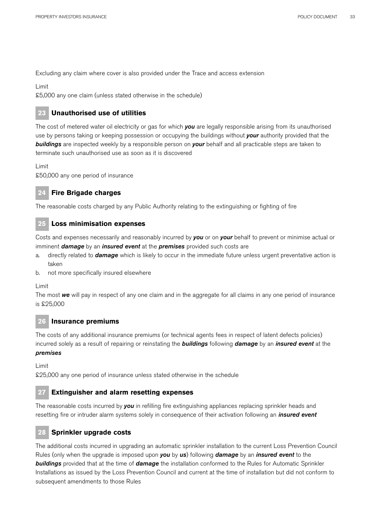Excluding any claim where cover is also provided under the Trace and access extension

Limit

£5,000 any one claim (unless stated otherwise in the schedule)

## **23 Unauthorised use of utilities**

The cost of metered water oil electricity or gas for which *you* are legally responsible arising from its unauthorised use by persons taking or keeping possession or occupying the buildings without *your* authority provided that the *buildings* are inspected weekly by a responsible person on *your* behalf and all practicable steps are taken to terminate such unauthorised use as soon as it is discovered

Limit

£50,000 any one period of insurance

## **24 Fire Brigade charges**

The reasonable costs charged by any Public Authority relating to the extinguishing or fighting of fire

## **25 Loss minimisation expenses**

Costs and expenses necessarily and reasonably incurred by *you* or on *your* behalf to prevent or minimise actual or imminent *damage* by an *insured event* at the *premises* provided such costs are

- a. directly related to *damage* which is likely to occur in the immediate future unless urgent preventative action is taken
- b. not more specifically insured elsewhere

Limit

The most *we* will pay in respect of any one claim and in the aggregate for all claims in any one period of insurance is £25,000

## **26 Insurance premiums**

The costs of any additional insurance premiums (or technical agents fees in respect of latent defects policies) incurred solely as a result of repairing or reinstating the *buildings* following *damage* by an *insured event* at the *premises*

Limit

£25,000 any one period of insurance unless stated otherwise in the schedule

## **27 Extinguisher and alarm resetting expenses**

The reasonable costs incurred by *you* in refilling fire extinguishing appliances replacing sprinkler heads and resetting fire or intruder alarm systems solely in consequence of their activation following an *insured event*

## **28 Sprinkler upgrade costs**

The additional costs incurred in upgrading an automatic sprinkler installation to the current Loss Prevention Council Rules (only when the upgrade is imposed upon *you* by *us*) following *damage* by an *insured event* to the *buildings* provided that at the time of *damage* the installation conformed to the Rules for Automatic Sprinkler Installations as issued by the Loss Prevention Council and current at the time of installation but did not conform to subsequent amendments to those Rules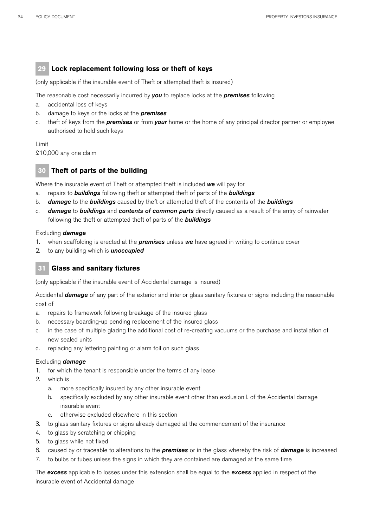## **29 Lock replacement following loss or theft of keys**

(only applicable if the insurable event of Theft or attempted theft is insured)

The reasonable cost necessarily incurred by *you* to replace locks at the *premises* following

- a. accidental loss of keys
- b. damage to keys or the locks at the *premises*
- c. theft of keys from the *premises* or from *your* home or the home of any principal director partner or employee authorised to hold such keys

#### Limit

£10,000 any one claim

## **30 Theft of parts of the building**

Where the insurable event of Theft or attempted theft is included *we* will pay for

- a. repairs to *buildings* following theft or attempted theft of parts of the *buildings*
- b. *damage* to the *buildings* caused by theft or attempted theft of the contents of the *buildings*
- c. *damage* to *buildings* and *contents of common parts* directly caused as a result of the entry of rainwater following the theft or attempted theft of parts of the *buildings*

#### Excluding *damage*

- 1. when scaffolding is erected at the *premises* unless *we* have agreed in writing to continue cover
- 2. to any building which is *unoccupied*

## **31 Glass and sanitary fixtures**

(only applicable if the insurable event of Accidental damage is insured)

Accidental *damage* of any part of the exterior and interior glass sanitary fixtures or signs including the reasonable cost of

- a. repairs to framework following breakage of the insured glass
- b. necessary boarding-up pending replacement of the insured glass
- c. in the case of multiple glazing the additional cost of re-creating vacuums or the purchase and installation of new sealed units
- d. replacing any lettering painting or alarm foil on such glass

#### Excluding *damage*

- 1. for which the tenant is responsible under the terms of any lease
- 2. which is
	- a. more specifically insured by any other insurable event
	- b. specifically excluded by any other insurable event other than exclusion l. of the Accidental damage insurable event
	- c. otherwise excluded elsewhere in this section
- 3. to glass sanitary fixtures or signs already damaged at the commencement of the insurance
- 4. to glass by scratching or chipping
- 5. to glass while not fixed
- 6. caused by or traceable to alterations to the *premises* or in the glass whereby the risk of *damage* is increased
- 7. to bulbs or tubes unless the signs in which they are contained are damaged at the same time

The *excess* applicable to losses under this extension shall be equal to the *excess* applied in respect of the insurable event of Accidental damage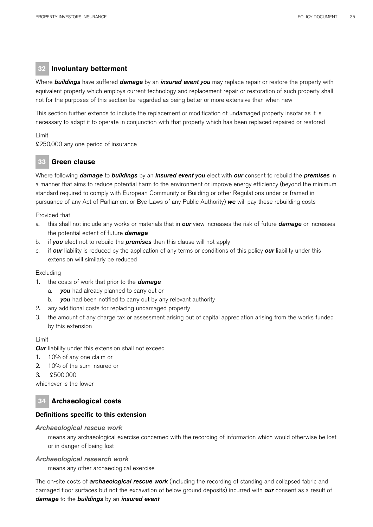## **32 Involuntary betterment**

Where *buildings* have suffered *damage* by an *insured event you* may replace repair or restore the property with equivalent property which employs current technology and replacement repair or restoration of such property shall not for the purposes of this section be regarded as being better or more extensive than when new

This section further extends to include the replacement or modification of undamaged property insofar as it is necessary to adapt it to operate in conjunction with that property which has been replaced repaired or restored

#### Limit

£250,000 any one period of insurance

## **33 Green clause**

Where following *damage* to *buildings* by an *insured event you* elect with *our* consent to rebuild the *premises* in a manner that aims to reduce potential harm to the environment or improve energy efficiency (beyond the minimum standard required to comply with European Community or Building or other Regulations under or framed in pursuance of any Act of Parliament or Bye-Laws of any Public Authority) *we* will pay these rebuilding costs

#### Provided that

- a. this shall not include any works or materials that in *our* view increases the risk of future *damage* or increases the potential extent of future *damage*
- b. if *you* elect not to rebuild the *premises* then this clause will not apply
- c. if *our* liability is reduced by the application of any terms or conditions of this policy *our* liability under this extension will similarly be reduced

#### Excluding

- 1. the costs of work that prior to the *damage*
	- a. *you* had already planned to carry out or
	- b. *you* had been notified to carry out by any relevant authority
- 2*.* any additional costs for replacing undamaged property
- 3. the amount of any charge tax or assessment arising out of capital appreciation arising from the works funded by this extension

#### Limit

**Our** liability under this extension shall not exceed

- 1. 10% of any one claim or
- 2. 10% of the sum insured or
- 3. £500,000

whichever is the lower

## **34 Archaeological costs**

## **Definitions specific to this extension**

#### *Archaeological rescue work*

means any archaeological exercise concerned with the recording of information which would otherwise be lost or in danger of being lost

#### *Archaeological research work*

means any other archaeological exercise

The on-site costs of *archaeological rescue work* (including the recording of standing and collapsed fabric and damaged floor surfaces but not the excavation of below ground deposits) incurred with *our* consent as a result of *damage* to the *buildings* by an *insured event*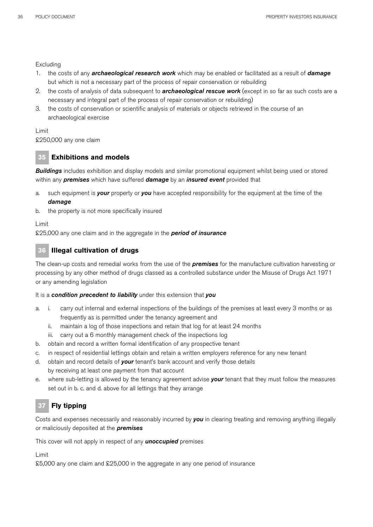Excluding

- 1. the costs of any *archaeological research work* which may be enabled or facilitated as a result of *damage* but which is not a necessary part of the process of repair conservation or rebuilding
- 2. the costs of analysis of data subsequent to *archaeological rescue work* (except in so far as such costs are a necessary and integral part of the process of repair conservation or rebuilding)
- 3. the costs of conservation or scientific analysis of materials or objects retrieved in the course of an archaeological exercise

Limit

£250,000 any one claim

## **35 Exhibitions and models**

*Buildings* includes exhibition and display models and similar promotional equipment whilst being used or stored within any *premises* which have suffered *damage* by an *insured event* provided that

- a. such equipment is *your* property or *you* have accepted responsibility for the equipment at the time of the *damage*
- b. the property is not more specifically insured

Limit

£25,000 any one claim and in the aggregate in the *period of insurance* 

## **36 Illegal cultivation of drugs**

The clean-up costs and remedial works from the use of the *premises* for the manufacture cultivation harvesting or processing by any other method of drugs classed as a controlled substance under the Misuse of Drugs Act 1971 or any amending legislation

#### It is a *condition precedent to liability* under this extension that *you*

- a. i. carry out internal and external inspections of the buildings of the premises at least every 3 months or as frequently as is permitted under the tenancy agreement and
	- ii. maintain a log of those inspections and retain that log for at least 24 months
	- iii. carry out a 6 monthly management check of the inspections log
- b. obtain and record a written formal identification of any prospective tenant
- c. in respect of residential lettings obtain and retain a written employers reference for any new tenant
- d. obtain and record details of *your* tenant's bank account and verify those details by receiving at least one payment from that account
- e. where sub-letting is allowed by the tenancy agreement advise **your** tenant that they must follow the measures set out in b. c. and d. above for all lettings that they arrange

## **37 Fly tipping**

Costs and expenses necessarily and reasonably incurred by *you* in clearing treating and removing anything illegally or maliciously deposited at the *premises*

This cover will not apply in respect of any *unoccupied* premises

Limit

£5,000 any one claim and £25,000 in the aggregate in any one period of insurance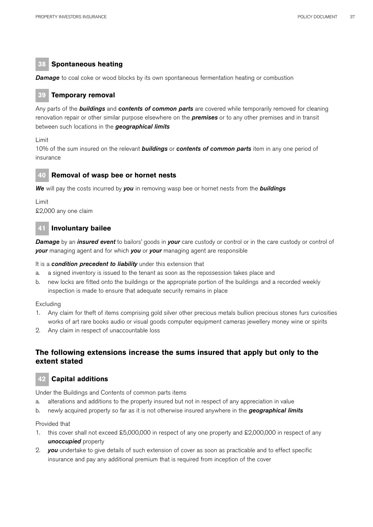# **38 Spontaneous heating**

**Damage** to coal coke or wood blocks by its own spontaneous fermentation heating or combustion

## **39 Temporary removal**

Any parts of the *buildings* and *contents of common parts* are covered while temporarily removed for cleaning renovation repair or other similar purpose elsewhere on the *premises* or to any other premises and in transit between such locations in the *geographical limits*

Limit

10% of the sum insured on the relevant *buildings* or *contents of common parts* item in any one period of insurance

# **40 Removal of wasp bee or hornet nests**

*We* will pay the costs incurred by *you* in removing wasp bee or hornet nests from the *buildings*

Limit £2,000 any one claim

## **41 Involuntary bailee**

*Damage* by an *insured event* to bailors' goods in *your* care custody or control or in the care custody or control of *your* managing agent and for which *you* or *your* managing agent are responsible

It is a *condition precedent to liability* under this extension that

- a. a signed inventory is issued to the tenant as soon as the repossession takes place and
- b. new locks are fitted onto the buildings or the appropriate portion of the buildings and a recorded weekly inspection is made to ensure that adequate security remains in place

Excluding

- 1. Any claim for theft of items comprising gold silver other precious metals bullion precious stones furs curiosities works of art rare books audio or visual goods computer equipment cameras jewellery money wine or spirits
- 2. Any claim in respect of unaccountable loss

# **The following extensions increase the sums insured that apply but only to the extent stated**

# **42 Capital additions**

Under the Buildings and Contents of common parts items

- a. alterations and additions to the property insured but not in respect of any appreciation in value
- b. newly acquired property so far as it is not otherwise insured anywhere in the *geographical limits*

#### Provided that

- 1. this cover shall not exceed £5,000,000 in respect of any one property and £2,000,000 in respect of any *unoccupied* property
- 2. *you* undertake to give details of such extension of cover as soon as practicable and to effect specific insurance and pay any additional premium that is required from inception of the cover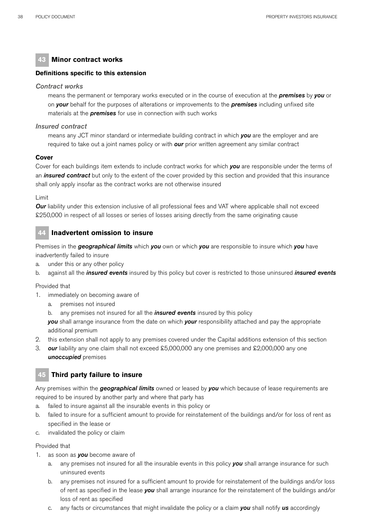# **43 Minor contract works**

## **Definitions specific to this extension**

#### *Contract works*

means the permanent or temporary works executed or in the course of execution at the *premises* by *you* or on *your* behalf for the purposes of alterations or improvements to the *premises* including unfixed site materials at the *premises* for use in connection with such works

## *Insured contract*

means any JCT minor standard or intermediate building contract in which *you* are the employer and are required to take out a joint names policy or with *our* prior written agreement any similar contract

## **Cover**

Cover for each buildings item extends to include contract works for which *you* are responsible under the terms of an *insured contract* but only to the extent of the cover provided by this section and provided that this insurance shall only apply insofar as the contract works are not otherwise insured

#### Limit

*Our* liability under this extension inclusive of all professional fees and VAT where applicable shall not exceed £250,000 in respect of all losses or series of losses arising directly from the same originating cause

# **44 Inadvertent omission to insure**

Premises in the *geographical limits* which *you* own or which *you* are responsible to insure which *you* have inadvertently failed to insure

- a. under this or any other policy
- b. against all the *insured events* insured by this policy but cover is restricted to those uninsured *insured events*

Provided that

- 1. immediately on becoming aware of
	- a. premises not insured
	- b. any premises not insured for all the *insured events* insured by this policy

 *you* shall arrange insurance from the date on which *your* responsibility attached and pay the appropriate additional premium

- 2. this extension shall not apply to any premises covered under the Capital additions extension of this section
- 3. *our* liability any one claim shall not exceed £5,000,000 any one premises and £2,000,000 any one *unoccupied* premises

## **45 Third party failure to insure**

Any premises within the *geographical limits* owned or leased by *you* which because of lease requirements are required to be insured by another party and where that party has

- a. failed to insure against all the insurable events in this policy or
- b. failed to insure for a sufficient amount to provide for reinstatement of the buildings and/or for loss of rent as specified in the lease or
- c. invalidated the policy or claim

#### Provided that

- 1. as soon as *you* become aware of
	- a. any premises not insured for all the insurable events in this policy *you* shall arrange insurance for such uninsured events
	- b. any premises not insured for a sufficient amount to provide for reinstatement of the buildings and/or loss of rent as specified in the lease *you* shall arrange insurance for the reinstatement of the buildings and/or loss of rent as specified
	- c. any facts or circumstances that might invalidate the policy or a claim *you* shall notify *us* accordingly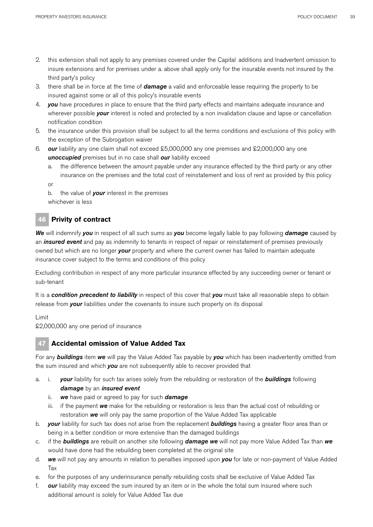- 2. this extension shall not apply to any premises covered under the Capital additions and Inadvertent omission to insure extensions and for premises under a. above shall apply only for the insurable events not insured by the third party's policy
- 3. there shall be in force at the time of *damage* a valid and enforceable lease requiring the property to be insured against some or all of this policy's insurable events
- 4. *you* have procedures in place to ensure that the third party effects and maintains adequate insurance and wherever possible *your* interest is noted and protected by a non invalidation clause and lapse or cancellation notification condition
- 5. the insurance under this provision shall be subject to all the terms conditions and exclusions of this policy with the exception of the Subrogation waiver
- 6. *our* liability any one claim shall not exceed £5,000,000 any one premises and £2,000,000 any one *unoccupied* premises but in no case shall *our* liability exceed
	- a. the difference between the amount payable under any insurance effected by the third party or any other insurance on the premises and the total cost of reinstatement and loss of rent as provided by this policy
	- or

b. the value of *your* interest in the premises whichever is less

# **46 Privity of contract**

*We* will indemnify *you* in respect of all such sums as *you* become legally liable to pay following *damage* caused by an *insured event* and pay as indemnity to tenants in respect of repair or reinstatement of premises previously owned but which are no longer *your* property and where the current owner has failed to maintain adequate insurance cover subject to the terms and conditions of this policy

Excluding contribution in respect of any more particular insurance effected by any succeeding owner or tenant or sub-tenant

It is a *condition precedent to liability* in respect of this cover that *you* must take all reasonable steps to obtain release from *your* liabilities under the covenants to insure such property on its disposal

Limit

£2,000,000 any one period of insurance

# **47 Accidental omission of Value Added Tax**

For any *buildings* item *we* will pay the Value Added Tax payable by *you* which has been inadvertently omitted from the sum insured and which *you* are not subsequently able to recover provided that

- a. i. *your* liability for such tax arises solely from the rebuilding or restoration of the *buildings* following *damage* by an *insured event* 
	- ii. *we* have paid or agreed to pay for such *damage*
	- iii. if the payment *we* make for the rebuilding or restoration is less than the actual cost of rebuilding or restoration *we* will only pay the same proportion of the Value Added Tax applicable
- b. *your* liability for such tax does not arise from the replacement *buildings* having a greater floor area than or being in a better condition or more extensive than the damaged buildings
- c. if the *buildings* are rebuilt on another site following *damage we* will not pay more Value Added Tax than *we* would have done had the rebuilding been completed at the original site
- d. *we* will not pay any amounts in relation to penalties imposed upon *you* for late or non-payment of Value Added Tax
- e. for the purposes of any underinsurance penalty rebuilding costs shall be exclusive of Value Added Tax
- f. *our* liability may exceed the sum insured by an item or in the whole the total sum insured where such additional amount is solely for Value Added Tax due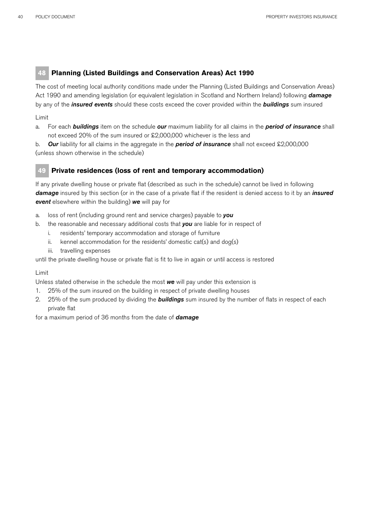# **48 Planning (Listed Buildings and Conservation Areas) Act 1990**

The cost of meeting local authority conditions made under the Planning (Listed Buildings and Conservation Areas) Act 1990 and amending legislation (or equivalent legislation in Scotland and Northern Ireland) following *damage* by any of the *insured events* should these costs exceed the cover provided within the *buildings* sum insured

## Limit

a. For each *buildings* item on the schedule *our* maximum liability for all claims in the *period of insurance* shall not exceed 20% of the sum insured or £2,000,000 whichever is the less and

b. *Our* liability for all claims in the aggregate in the *period of insurance* shall not exceed £2,000,000 (unless shown otherwise in the schedule)

# **49 Private residences (loss of rent and temporary accommodation)**

If any private dwelling house or private flat (described as such in the schedule) cannot be lived in following *damage* insured by this section (or in the case of a private flat if the resident is denied access to it by an *insured event* elsewhere within the building) *we* will pay for

- a. loss of rent (including ground rent and service charges) payable to *you*
- b. the reasonable and necessary additional costs that *you* are liable for in respect of
	- i. residents' temporary accommodation and storage of furniture
	- ii. kennel accommodation for the residents' domestic cat(s) and dog(s)
	- iii. travelling expenses

until the private dwelling house or private flat is fit to live in again or until access is restored

#### Limit

Unless stated otherwise in the schedule the most *we* will pay under this extension is

- 1. 25% of the sum insured on the building in respect of private dwelling houses
- 2. 25% of the sum produced by dividing the *buildings* sum insured by the number of flats in respect of each private flat

for a maximum period of 36 months from the date of *damage*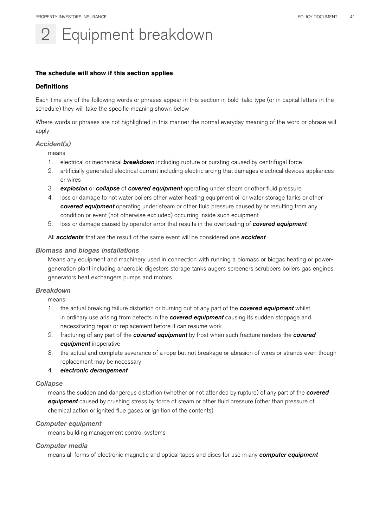# Equipment breakdown

## **The schedule will show if this section applies**

#### **Definitions**

Each time any of the following words or phrases appear in this section in bold italic type (or in capital letters in the schedule) they will take the specific meaning shown below

Where words or phrases are not highlighted in this manner the normal everyday meaning of the word or phrase will apply

## *Accident(s)*

means

- 1. electrical or mechanical *breakdown* including rupture or bursting caused by centrifugal force
- 2. artificially generated electrical current including electric arcing that damages electrical devices appliances or wires
- 3. *explosion* or *collapse* of *covered equipment* operating under steam or other fluid pressure
- 4. loss or damage to hot water boilers other water heating equipment oil or water storage tanks or other *covered equipment* operating under steam or other fluid pressure caused by or resulting from any condition or event (not otherwise excluded) occurring inside such equipment
- 5. loss or damage caused by operator error that results in the overloading of *covered equipment*

All *accidents* that are the result of the same event will be considered one *accident*

## *Biomass and biogas installations*

Means any equipment and machinery used in connection with running a biomass or biogas heating or powergeneration plant including anaerobic digesters storage tanks augers screeners scrubbers boilers gas engines generators heat exchangers pumps and motors

## *Breakdown*

means

- 1. the actual breaking failure distortion or burning out of any part of the *covered equipment* whilst in ordinary use arising from defects in the *covered equipment* causing its sudden stoppage and necessitating repair or replacement before it can resume work
- 2. fracturing of any part of the *covered equipment* by frost when such fracture renders the *covered equipment* inoperative
- 3. the actual and complete severance of a rope but not breakage or abrasion of wires or strands even though replacement may be necessary

#### 4. *electronic derangement*

#### *Collapse*

means the sudden and dangerous distortion (whether or not attended by rupture) of any part of the *covered equipment* caused by crushing stress by force of steam or other fluid pressure (other than pressure of chemical action or ignited flue gases or ignition of the contents)

#### *Computer equipment*

means building management control systems

#### *Computer media*

means all forms of electronic magnetic and optical tapes and discs for use in any *computer equipment*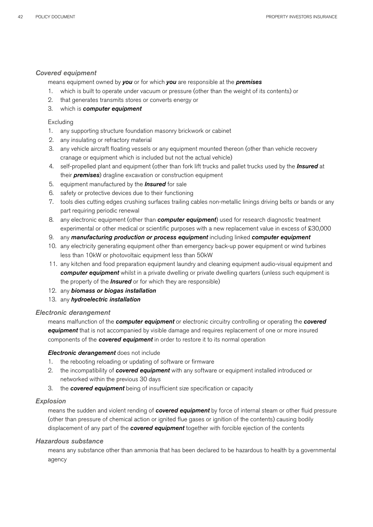## *Covered equipment*

means equipment owned by *you* or for which *you* are responsible at the *premises*

- 1. which is built to operate under vacuum or pressure (other than the weight of its contents) or
- 2. that generates transmits stores or converts energy or
- 3. which is *computer equipment*

## Excluding

- 1. any supporting structure foundation masonry brickwork or cabinet
- 2. any insulating or refractory material
- 3. any vehicle aircraft floating vessels or any equipment mounted thereon (other than vehicle recovery cranage or equipment which is included but not the actual vehicle)
- 4. self-propelled plant and equipment (other than fork lift trucks and pallet trucks used by the *Insured* at their *premises*) dragline excavation or construction equipment
- 5. equipment manufactured by the *Insured* for sale
- 6. safety or protective devices due to their functioning
- 7. tools dies cutting edges crushing surfaces trailing cables non-metallic linings driving belts or bands or any part requiring periodic renewal
- 8. any electronic equipment (other than *computer equipment*) used for research diagnostic treatment experimental or other medical or scientific purposes with a new replacement value in excess of £30,000
- 9. any *manufacturing production or process equipment* including linked *computer equipment*
- 10. any electricity generating equipment other than emergency back-up power equipment or wind turbines less than 10kW or photovoltaic equipment less than 50kW
- 11. any kitchen and food preparation equipment laundry and cleaning equipment audio-visual equipment and *computer equipment* whilst in a private dwelling or private dwelling quarters (unless such equipment is the property of the *Insured* or for which they are responsible)
- 12. any *biomass or biogas installation*
- 13. any *hydroelectric installation*

## *Electronic derangement*

means malfunction of the *computer equipment* or electronic circuitry controlling or operating the *covered equipment* that is not accompanied by visible damage and requires replacement of one or more insured components of the *covered equipment* in order to restore it to its normal operation

#### *Electronic derangement* does not include

- 1. the rebooting reloading or updating of software or firmware
- 2. the incompatibility of *covered equipment* with any software or equipment installed introduced or networked within the previous 30 days
- 3. the *covered equipment* being of insufficient size specification or capacity

## *Explosion*

means the sudden and violent rending of *covered equipment* by force of internal steam or other fluid pressure (other than pressure of chemical action or ignited flue gases or ignition of the contents) causing bodily displacement of any part of the *covered equipment* together with forcible ejection of the contents

## *Hazardous substance*

means any substance other than ammonia that has been declared to be hazardous to health by a governmental agency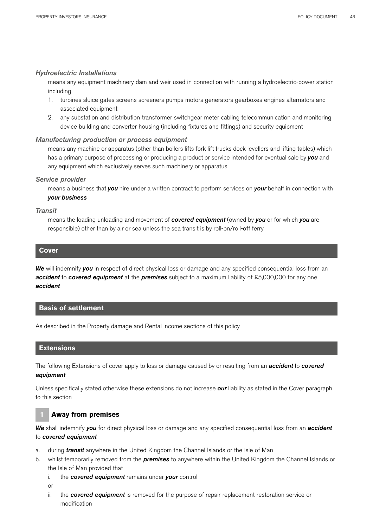## *Hydroelectric Installations*

means any equipment machinery dam and weir used in connection with running a hydroelectric-power station including

- 1. turbines sluice gates screens screeners pumps motors generators gearboxes engines alternators and associated equipment
- 2. any substation and distribution transformer switchgear meter cabling telecommunication and monitoring device building and converter housing (including fixtures and fittings) and security equipment

## *Manufacturing production or process equipment*

means any machine or apparatus (other than boilers lifts fork lift trucks dock levellers and lifting tables) which has a primary purpose of processing or producing a product or service intended for eventual sale by *you* and any equipment which exclusively serves such machinery or apparatus

#### *Service provider*

means a business that *you* hire under a written contract to perform services on *your* behalf in connection with *your business*

#### *Transit*

means the loading unloading and movement of *covered equipment* (owned by *you* or for which *you* are responsible) other than by air or sea unless the sea transit is by roll-on/roll-off ferry

## **Cover**

*We* will indemnify *you* in respect of direct physical loss or damage and any specified consequential loss from an *accident* to *covered equipment* at the *premises* subject to a maximum liability of £5,000,000 for any one *accident*

## **Basis of settlement**

As described in the Property damage and Rental income sections of this policy

## **Extensions**

The following Extensions of cover apply to loss or damage caused by or resulting from an *accident* to *covered equipment*

Unless specifically stated otherwise these extensions do not increase *our* liability as stated in the Cover paragraph to this section

## **1 Away from premises**

*We* shall indemnify *you* for direct physical loss or damage and any specified consequential loss from an *accident* to *covered equipment* 

- a. during *transit* anywhere in the United Kingdom the Channel Islands or the Isle of Man
- b. whilst temporarily removed from the *premises* to anywhere within the United Kingdom the Channel Islands or the Isle of Man provided that
	- i. the *covered equipment* remains under *your* control
	- or
	- ii. the *covered equipment* is removed for the purpose of repair replacement restoration service or modification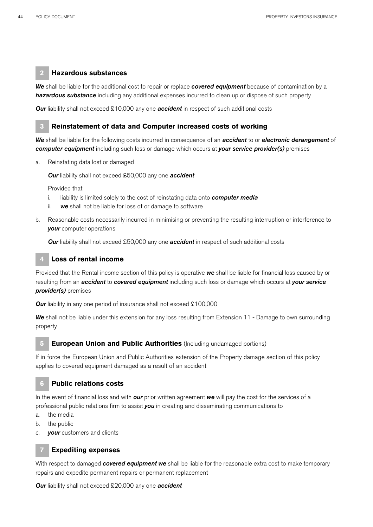## **2 Hazardous substances**

*We* shall be liable for the additional cost to repair or replace *covered equipment* because of contamination by a *hazardous substance* including any additional expenses incurred to clean up or dispose of such property

*Our* liability shall not exceed £10,000 any one **accident** in respect of such additional costs

## **3 Reinstatement of data and Computer increased costs of working**

*We* shall be liable for the following costs incurred in consequence of an *accident* to or *electronic derangement* of *computer equipment* including such loss or damage which occurs at *your service provider(s)* premises

a. Reinstating data lost or damaged

*Our* liability shall not exceed £50,000 any one *accident*

Provided that

- i. liability is limited solely to the cost of reinstating data onto *computer media*
- ii. *we* shall not be liable for loss of or damage to software
- b. Reasonable costs necessarily incurred in minimising or preventing the resulting interruption or interference to *your* computer operations

**Our** liability shall not exceed £50,000 any one **accident** in respect of such additional costs

# **4 Loss of rental income**

Provided that the Rental income section of this policy is operative *we* shall be liable for financial loss caused by or resulting from an *accident* to *covered equipment* including such loss or damage which occurs at *your service provider(s)* premises

**Our** liability in any one period of insurance shall not exceed £100,000

*We* shall not be liable under this extension for any loss resulting from Extension 11 - Damage to own surrounding property

## **5 European Union and Public Authorities** (Including undamaged portions)

If in force the European Union and Public Authorities extension of the Property damage section of this policy applies to covered equipment damaged as a result of an accident

## **6 Public relations costs**

In the event of financial loss and with *our* prior written agreement *we* will pay the cost for the services of a professional public relations firm to assist *you* in creating and disseminating communications to

- a. the media
- b. the public
- c. *your* customers and clients

## **7 Expediting expenses**

With respect to damaged *covered equipment we* shall be liable for the reasonable extra cost to make temporary repairs and expedite permanent repairs or permanent replacement

*Our* liability shall not exceed £20,000 any one *accident*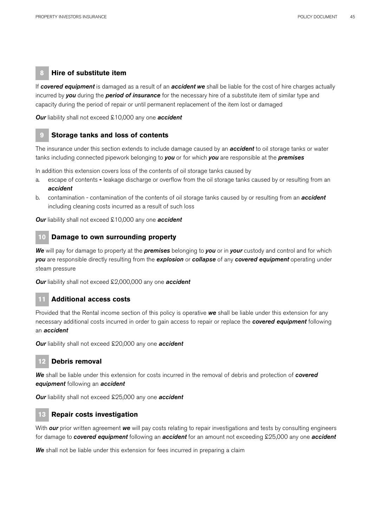## **8 Hire of substitute item**

If *covered equipment* is damaged as a result of an *accident we* shall be liable for the cost of hire charges actually incurred by *you* during the *period of insurance* for the necessary hire of a substitute item of similar type and capacity during the period of repair or until permanent replacement of the item lost or damaged

*Our* liability shall not exceed £10,000 any one *accident*

## **9 Storage tanks and loss of contents**

The insurance under this section extends to include damage caused by an *accident* to oil storage tanks or water tanks including connected pipework belonging to *you* or for which *you* are responsible at the *premises*

In addition this extension covers loss of the contents of oil storage tanks caused by

- a. escape of contents leakage discharge or overflow from the oil storage tanks caused by or resulting from an *accident*
- b. contamination contamination of the contents of oil storage tanks caused by or resulting from an *accident* including cleaning costs incurred as a result of such loss

*Our* liability shall not exceed £10,000 any one *accident*

#### **10 Damage to own surrounding property**

*We* will pay for damage to property at the *premises* belonging to *you* or in *your* custody and control and for which *you* are responsible directly resulting from the *explosion* or *collapse* of any *covered equipment* operating under steam pressure

*Our* liability shall not exceed £2,000,000 any one *accident*

## **11 Additional access costs**

Provided that the Rental income section of this policy is operative *we* shall be liable under this extension for any necessary additional costs incurred in order to gain access to repair or replace the *covered equipment* following an *accident*

*Our* liability shall not exceed £20,000 any one *accident*

## **12 Debris removal**

*We* shall be liable under this extension for costs incurred in the removal of debris and protection of *covered equipment* following an *accident*

*Our* liability shall not exceed £25,000 any one *accident*

#### **13 Repair costs investigation**

With *our* prior written agreement *we* will pay costs relating to repair investigations and tests by consulting engineers for damage to *covered equipment* following an *accident* for an amount not exceeding £25,000 any one *accident*

*We* shall not be liable under this extension for fees incurred in preparing a claim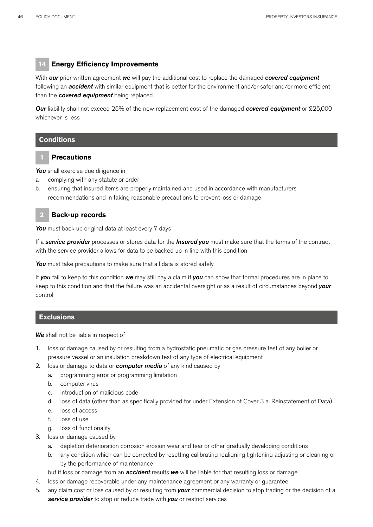# **14 Energy Efficiency Improvements**

With *our* prior written agreement *we* will pay the additional cost to replace the damaged *covered equipment* following an *accident* with similar equipment that is better for the environment and/or safer and/or more efficient than the *covered equipment* being replaced

*Our* liability shall not exceed 25% of the new replacement cost of the damaged *covered equipment* or £25,000 whichever is less

## **Conditions**

## **1 Precautions**

You shall exercise due diligence in

- a. complying with any statute or order
- b. ensuring that insured items are properly maintained and used in accordance with manufacturers recommendations and in taking reasonable precautions to prevent loss or damage

## **2 Back-up records**

*You* must back up original data at least every 7 days

If a *service provider* processes or stores data for the *Insured you* must make sure that the terms of the contract with the service provider allows for data to be backed up in line with this condition

*You* must take precautions to make sure that all data is stored safely

If *you* fail to keep to this condition *we* may still pay a claim if *you* can show that formal procedures are in place to keep to this condition and that the failure was an accidental oversight or as a result of circumstances beyond *your* control

## **Exclusions**

*We* shall not be liable in respect of

- 1. loss or damage caused by or resulting from a hydrostatic pneumatic or gas pressure test of any boiler or pressure vessel or an insulation breakdown test of any type of electrical equipment
- 2. loss or damage to data or *computer media* of any kind caused by
	- a. programming error or programming limitation
	- b. computer virus
	- c. introduction of malicious code
	- d. loss of data (other than as specifically provided for under Extension of Cover 3 a. Reinstatement of Data)
	- e. loss of access
	- f. loss of use
	- g. loss of functionality
- 3. loss or damage caused by
	- a. depletion deterioration corrosion erosion wear and tear or other gradually developing conditions
	- b. any condition which can be corrected by resetting calibrating realigning tightening adjusting or cleaning or by the performance of maintenance
	- but if loss or damage from an *accident* results *we* will be liable for that resulting loss or damage
- 4. loss or damage recoverable under any maintenance agreement or any warranty or guarantee
- 5. any claim cost or loss caused by or resulting from *your* commercial decision to stop trading or the decision of a *service provider* to stop or reduce trade with *you* or restrict services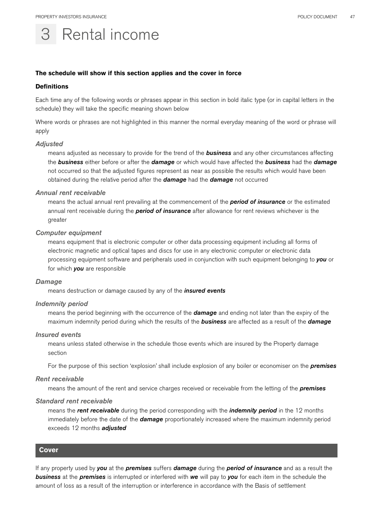# Rental income

#### **The schedule will show if this section applies and the cover in force**

#### **Definitions**

Each time any of the following words or phrases appear in this section in bold italic type (or in capital letters in the schedule) they will take the specific meaning shown below

Where words or phrases are not highlighted in this manner the normal everyday meaning of the word or phrase will apply

#### *Adjusted*

means adjusted as necessary to provide for the trend of the *business* and any other circumstances affecting the *business* either before or after the *damage* or which would have affected the *business* had the *damage*  not occurred so that the adjusted figures represent as near as possible the results which would have been obtained during the relative period after the *damage* had the *damage* not occurred

#### *Annual rent receivable*

means the actual annual rent prevailing at the commencement of the *period of insurance* or the estimated annual rent receivable during the *period of insurance* after allowance for rent reviews whichever is the greater

#### *Computer equipment*

means equipment that is electronic computer or other data processing equipment including all forms of electronic magnetic and optical tapes and discs for use in any electronic computer or electronic data processing equipment software and peripherals used in conjunction with such equipment belonging to *you* or for which *you* are responsible

#### *Damage*

means destruction or damage caused by any of the *insured events*

#### *Indemnity period*

means the period beginning with the occurrence of the *damage* and ending not later than the expiry of the maximum indemnity period during which the results of the *business* are affected as a result of the *damage*

#### *Insured events*

means unless stated otherwise in the schedule those events which are insured by the Property damage section

For the purpose of this section 'explosion' shall include explosion of any boiler or economiser on the *premises*

#### *Rent receivable*

means the amount of the rent and service charges received or receivable from the letting of the *premises*

#### *Standard rent receivable*

means the *rent receivable* during the period corresponding with the *indemnity period* in the 12 months immediately before the date of the *damage* proportionately increased where the maximum indemnity period exceeds 12 months *adjusted*

#### **Cover**

If any property used by *you* at the *premises* suffers *damage* during the *period of insurance* and as a result the *business* at the *premises* is interrupted or interfered with *we* will pay to *you* for each item in the schedule the amount of loss as a result of the interruption or interference in accordance with the Basis of settlement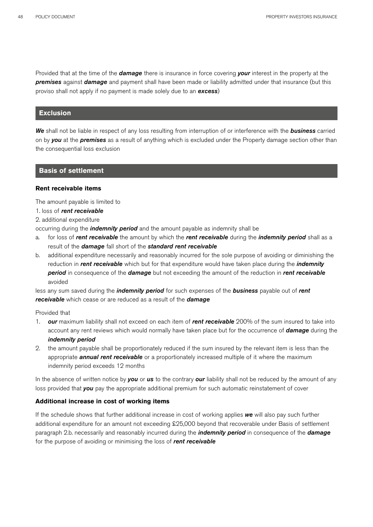Provided that at the time of the *damage* there is insurance in force covering *your* interest in the property at the *premises* against *damage* and payment shall have been made or liability admitted under that insurance (but this proviso shall not apply if no payment is made solely due to an *excess*)

## **Exclusion**

*We* shall not be liable in respect of any loss resulting from interruption of or interference with the *business* carried on by *you* at the *premises* as a result of anything which is excluded under the Property damage section other than the consequential loss exclusion

#### **Basis of settlement**

## **Rent receivable items**

The amount payable is limited to

- 1. loss of *rent receivable*
- 2. additional expenditure

occurring during the *indemnity period* and the amount payable as indemnity shall be

- a. for loss of *rent receivable* the amount by which the *rent receivable* during the *indemnity period* shall as a result of the *damage* fall short of the *standard rent receivable*
- b. additional expenditure necessarily and reasonably incurred for the sole purpose of avoiding or diminishing the reduction in *rent receivable* which but for that expenditure would have taken place during the *indemnity period* in consequence of the *damage* but not exceeding the amount of the reduction in *rent receivable*  avoided

less any sum saved during the *indemnity period* for such expenses of the *business* payable out of *rent receivable* which cease or are reduced as a result of the *damage*

#### Provided that

- 1. *our* maximum liability shall not exceed on each item of *rent receivable* 200% of the sum insured to take into account any rent reviews which would normally have taken place but for the occurrence of *damage* during the *indemnity period*
- 2. the amount payable shall be proportionately reduced if the sum insured by the relevant item is less than the appropriate *annual rent receivable* or a proportionately increased multiple of it where the maximum indemnity period exceeds 12 months

In the absence of written notice by *you* or *us* to the contrary *our* liability shall not be reduced by the amount of any loss provided that *you* pay the appropriate additional premium for such automatic reinstatement of cover

#### **Additional increase in cost of working items**

If the schedule shows that further additional increase in cost of working applies *we* will also pay such further additional expenditure for an amount not exceeding £25,000 beyond that recoverable under Basis of settlement paragraph 2.b. necessarily and reasonably incurred during the *indemnity period* in consequence of the *damage* for the purpose of avoiding or minimising the loss of *rent receivable*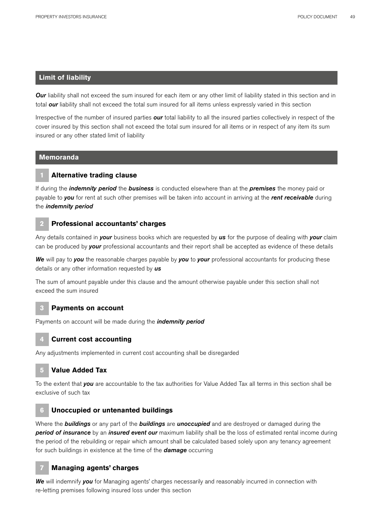## **Limit of liability**

*Our* liability shall not exceed the sum insured for each item or any other limit of liability stated in this section and in total **our** liability shall not exceed the total sum insured for all items unless expressly varied in this section

Irrespective of the number of insured parties *our* total liability to all the insured parties collectively in respect of the cover insured by this section shall not exceed the total sum insured for all items or in respect of any item its sum insured or any other stated limit of liability

## **Memoranda**

## **1 Alternative trading clause**

If during the *indemnity period* the *business* is conducted elsewhere than at the *premises* the money paid or payable to *you* for rent at such other premises will be taken into account in arriving at the *rent receivable* during the *indemnity period*

## **2 Professional accountants' charges**

Any details contained in *your* business books which are requested by *us* for the purpose of dealing with *your* claim can be produced by *your* professional accountants and their report shall be accepted as evidence of these details

*We* will pay to *you* the reasonable charges payable by *you* to *your* professional accountants for producing these details or any other information requested by *us*

The sum of amount payable under this clause and the amount otherwise payable under this section shall not exceed the sum insured

## **3 Payments on account**

Payments on account will be made during the *indemnity period*

#### **4 Current cost accounting**

Any adjustments implemented in current cost accounting shall be disregarded

## **5 Value Added Tax**

To the extent that *you* are accountable to the tax authorities for Value Added Tax all terms in this section shall be exclusive of such tax

## **6 Unoccupied or untenanted buildings**

Where the *buildings* or any part of the *buildings* are *unoccupied* and are destroyed or damaged during the *period of insurance* by an *insured event our* maximum liability shall be the loss of estimated rental income during the period of the rebuilding or repair which amount shall be calculated based solely upon any tenancy agreement for such buildings in existence at the time of the *damage* occurring

## **7 Managing agents' charges**

*We* will indemnify *you* for Managing agents' charges necessarily and reasonably incurred in connection with re-letting premises following insured loss under this section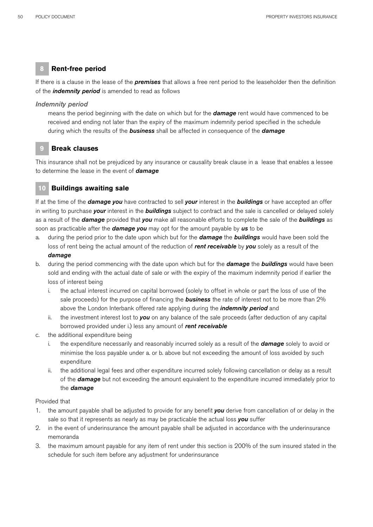# **8 Rent-free period**

If there is a clause in the lease of the *premises* that allows a free rent period to the leaseholder then the definition of the *indemnity period* is amended to read as follows

## *Indemnity period*

means the period beginning with the date on which but for the *damage* rent would have commenced to be received and ending not later than the expiry of the maximum indemnity period specified in the schedule during which the results of the *business* shall be affected in consequence of the *damage*

# **9 Break clauses**

This insurance shall not be prejudiced by any insurance or causality break clause in a lease that enables a lessee to determine the lease in the event of *damage*

# **10 Buildings awaiting sale**

If at the time of the *damage you* have contracted to sell *your* interest in the *buildings* or have accepted an offer in writing to purchase *your* interest in the *buildings* subject to contract and the sale is cancelled or delayed solely as a result of the *damage* provided that *you* make all reasonable efforts to complete the sale of the *buildings* as soon as practicable after the *damage you* may opt for the amount payable by *us* to be

- a. during the period prior to the date upon which but for the *damage* the *buildings* would have been sold the loss of rent being the actual amount of the reduction of *rent receivable* by *you* solely as a result of the *damage*
- b. during the period commencing with the date upon which but for the *damage* the *buildings* would have been sold and ending with the actual date of sale or with the expiry of the maximum indemnity period if earlier the loss of interest being
	- i. the actual interest incurred on capital borrowed (solely to offset in whole or part the loss of use of the sale proceeds) for the purpose of financing the *business* the rate of interest not to be more than 2% above the London Interbank offered rate applying during the *indemnity period* and
	- ii. the investment interest lost to *you* on any balance of the sale proceeds (after deduction of any capital borrowed provided under i.) less any amount of *rent receivable*
- c. the additional expenditure being
	- i. the expenditure necessarily and reasonably incurred solely as a result of the *damage* solely to avoid or minimise the loss payable under a. or b. above but not exceeding the amount of loss avoided by such expenditure
	- ii. the additional legal fees and other expenditure incurred solely following cancellation or delay as a result of the *damage* but not exceeding the amount equivalent to the expenditure incurred immediately prior to the *damage*

## Provided that

- 1. the amount payable shall be adjusted to provide for any benefit *you* derive from cancellation of or delay in the sale so that it represents as nearly as may be practicable the actual loss *you* suffer
- 2. in the event of underinsurance the amount payable shall be adjusted in accordance with the underinsurance memoranda
- 3. the maximum amount payable for any item of rent under this section is 200% of the sum insured stated in the schedule for such item before any adjustment for underinsurance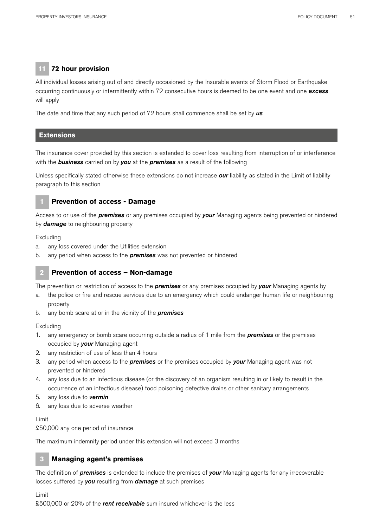# **11 72 hour provision**

All individual losses arising out of and directly occasioned by the Insurable events of Storm Flood or Earthquake occurring continuously or intermittently within 72 consecutive hours is deemed to be one event and one *excess*  will apply

The date and time that any such period of 72 hours shall commence shall be set by *us*

## **Extensions**

The insurance cover provided by this section is extended to cover loss resulting from interruption of or interference with the *business* carried on by *you* at the *premises* as a result of the following

Unless specifically stated otherwise these extensions do not increase *our* liability as stated in the Limit of liability paragraph to this section

## **1 Prevention of access - Damage**

Access to or use of the *premises* or any premises occupied by *your* Managing agents being prevented or hindered by *damage* to neighbouring property

#### Excluding

- a. any loss covered under the Utilities extension
- b. any period when access to the *premises* was not prevented or hindered

# **2 Prevention of access – Non-damage**

The prevention or restriction of access to the *premises* or any premises occupied by *your* Managing agents by

- a. the police or fire and rescue services due to an emergency which could endanger human life or neighbouring property
- b. any bomb scare at or in the vicinity of the *premises*

#### Excluding

- 1. any emergency or bomb scare occurring outside a radius of 1 mile from the *premises* or the premises occupied by *your* Managing agent
- 2. any restriction of use of less than 4 hours
- 3. any period when access to the *premises* or the premises occupied by *your* Managing agent was not prevented or hindered
- 4. any loss due to an infectious disease (or the discovery of an organism resulting in or likely to result in the occurrence of an infectious disease) food poisoning defective drains or other sanitary arrangements
- 5. any loss due to *vermin*
- 6. any loss due to adverse weather

#### Limit

£50,000 any one period of insurance

The maximum indemnity period under this extension will not exceed 3 months

# **3 Managing agent's premises**

The definition of *premises* is extended to include the premises of *your* Managing agents for any irrecoverable losses suffered by *you* resulting from *damage* at such premises

#### Limit

£500,000 or 20% of the *rent receivable* sum insured whichever is the less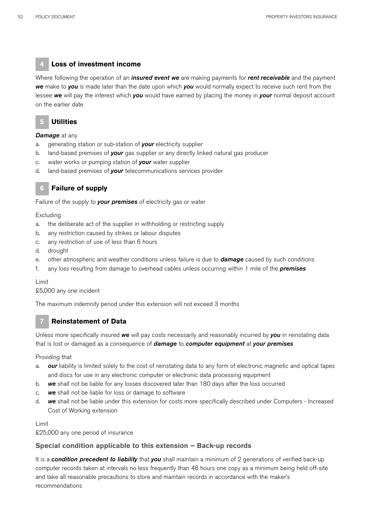# **4 Loss of investment income**

Where following the operation of an *insured event we* are making payments for *rent receivable* and the payment *we* make to *you* is made later than the date upon which *you* would normally expect to receive such rent from the lessee *we* will pay the interest which *you* would have earned by placing the money in *your* normal deposit account on the earlier date

# **5 Utilities**

#### *Damage* at any

- a. generating station or sub-station of *your* electricity supplier
- b. land-based premises of *your* gas supplier or any directly linked natural gas producer
- c. water works or pumping station of *your* water supplier
- d. land-based premises of *your* telecommunications services provider



# **6 Failure of supply**

Failure of the supply to *your premises* of electricity gas or water

### Excluding

- a. the deliberate act of the supplier in withholding or restricting supply
- b. any restriction caused by strikes or labour disputes
- c. any restriction of use of less than 6 hours
- d. drought
- e. other atmospheric and weather conditions unless failure is due to *damage* caused by such conditions
- f. any loss resulting from damage to overhead cables unless occurring within 1 mile of the *premises*

#### Limit

#### £5,000 any one incident

The maximum indemnity period under this extension will not exceed 3 months

# **7 Reinstatement of Data**

Unless more specifically insured *we* will pay costs necessarily and reasonably incurred by *you* in reinstating data that is lost or damaged as a consequence of *damage* to *computer equipment* at *your premises*

#### Providing that

- a. *our* liability is limited solely to the cost of reinstating data to any form of electronic magnetic and optical tapes and discs for use in any electronic computer or electronic data processing equipment
- b. *we* shall not be liable for any losses discovered later than 180 days after the loss occurred
- c. *we* shall not be liable for loss or damage to software
- d. *we* shall not be liable under this extension for costs more specifically described under Computers Increased Cost of Working extension

#### Limit

£25,000 any one period of insurance

#### **Special condition applicable to this extension – Back-up records**

It is a *condition precedent to liability* that *you* shall maintain a minimum of 2 generations of verified back-up computer records taken at intervals no less frequently than 48 hours one copy as a minimum being held off-site and take all reasonable precautions to store and maintain records in accordance with the maker's recommendations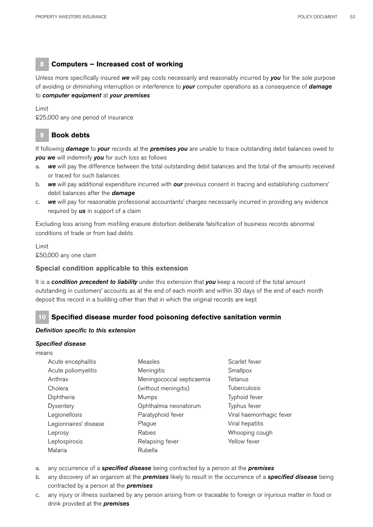# **8 Computers – Increased cost of working**

Unless more specifically insured *we* will pay costs necessarily and reasonably incurred by *you* for the sole purpose of avoiding or diminishing interruption or interference to *your* computer operations as a consequence of *damage* to *computer equipment* at *your premises*

Limit

£25,000 any one period of insurance

# **9 Book debts**

If following *damage* to *your* records at the *premises you* are unable to trace outstanding debit balances owed to *you we* will indemnify *you* for such loss as follows

- a. *we* will pay the difference between the total outstanding debit balances and the total of the amounts received or traced for such balances
- b. *we* will pay additional expenditure incurred with *our* previous consent in tracing and establishing customers' debit balances after the *damage*
- c. *we* will pay for reasonable professional accountants' charges necessarily incurred in providing any evidence required by *us* in support of a claim

Excluding loss arising from misfiling erasure distortion deliberate falsification of business records abnormal conditions of trade or from bad debts

Limit £50,000 any one claim

# **Special condition applicable to this extension**

It is a *condition precedent to liability* under this extension that *you* keep a record of the total amount outstanding in customers' accounts as at the end of each month and within 30 days of the end of each month deposit this record in a building other than that in which the original records are kept

# **10 Specified disease murder food poisoning defective sanitation vermin**

## *Definition specific to this extension*

#### *Specified disease*

means

| Acute encephalitis    | Measles                   | Scarlet fever            |
|-----------------------|---------------------------|--------------------------|
| Acute poliomyelitis   | Meningitis                | Smallpox                 |
| Anthrax               | Meningococcal septicaemia | Tetanus                  |
| Cholera               | (without meningitis)      | <b>Tuberculosis</b>      |
| Diphtheria            | Mumps                     | Typhoid fever            |
| Dysentery             | Ophthalmia neonatorum     | Typhus fever             |
| Legionellosis         | Paratyphoid fever         | Viral haemorrhagic fever |
| Legionnaires' disease | Plague                    | Viral hepatitis          |
| Leprosy               | Rabies                    | Whooping cough           |
| Leptospirosis         | Relapsing fever           | Yellow fever             |
| Malaria               | Rubella                   |                          |

- a. any occurrence of a *specified disease* being contracted by a person at the *premises*
- b. any discovery of an organism at the *premises* likely to result in the occurrence of a *specified disease* being contracted by a person at the *premises*
- c. any injury or illness sustained by any person arising from or traceable to foreign or injurious matter in food or drink provided at the *premises*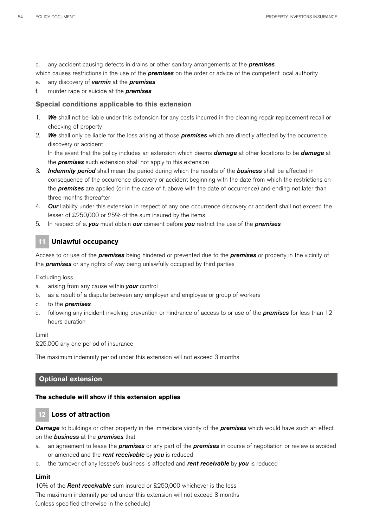d. any accident causing defects in drains or other sanitary arrangements at the *premises*

which causes restrictions in the use of the *premises* on the order or advice of the competent local authority

- e. any discovery of *vermin* at the *premises*
- f. murder rape or suicide at the *premises*

## **Special conditions applicable to this extension**

- 1. *We* shall not be liable under this extension for any costs incurred in the cleaning repair replacement recall or checking of property
- 2. *We* shall only be liable for the loss arising at those *premises* which are directly affected by the occurrence discovery or accident

In the event that the policy includes an extension which deems *damage* at other locations to be *damage* at the *premises* such extension shall not apply to this extension

- 3. *Indemnity period* shall mean the period during which the results of the *business* shall be affected in consequence of the occurrence discovery or accident beginning with the date from which the restrictions on the *premises* are applied (or in the case of f. above with the date of occurrence) and ending not later than three months thereafter
- 4. *Our* liability under this extension in respect of any one occurrence discovery or accident shall not exceed the lesser of £250,000 or 25% of the sum insured by the items
- 5. In respect of e. *you* must obtain *our* consent before *you* restrict the use of the *premises*

# **11 Unlawful occupancy**

Access to or use of the *premises* being hindered or prevented due to the *premises* or property in the vicinity of the *premises* or any rights of way being unlawfully occupied by third parties

Excluding loss

- a. arising from any cause within *your* control
- b. as a result of a dispute between any employer and employee or group of workers
- c. to the *premises*
- d. following any incident involving prevention or hindrance of access to or use of the *premises* for less than 12 hours duration

Limit

£25,000 any one period of insurance

The maximum indemnity period under this extension will not exceed 3 months

## **Optional extension**

#### **The schedule will show if this extension applies**

# **12 Loss of attraction**

*Damage* to buildings or other property in the immediate vicinity of the *premises* which would have such an effect on the *business* at the *premises* that

- a. an agreement to lease the *premises* or any part of the *premises* in course of negotiation or review is avoided or amended and the *rent receivable* by *you* is reduced
- b. the turnover of any lessee's business is affected and *rent receivable* by *you* is reduced

## **Limit**

10% of the *Rent receivable* sum insured or £250,000 whichever is the less The maximum indemnity period under this extension will not exceed 3 months (unless specified otherwise in the schedule)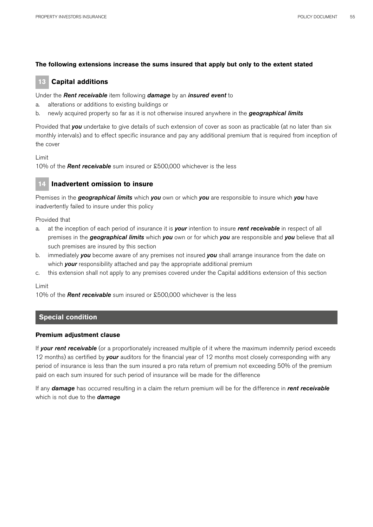## **The following extensions increase the sums insured that apply but only to the extent stated**

# **13 Capital additions**

## Under the *Rent receivable* item following *damage* by an *insured event* to

- a. alterations or additions to existing buildings or
- b. newly acquired property so far as it is not otherwise insured anywhere in the *geographical limits*

Provided that *you* undertake to give details of such extension of cover as soon as practicable (at no later than six monthly intervals) and to effect specific insurance and pay any additional premium that is required from inception of the cover

#### Limit

10% of the *Rent receivable* sum insured or £500,000 whichever is the less

## **14 Inadvertent omission to insure**

Premises in the *geographical limits* which *you* own or which *you* are responsible to insure which *you* have inadvertently failed to insure under this policy

Provided that

- a. at the inception of each period of insurance it is *your* intention to insure *rent receivable* in respect of all premises in the *geographical limits* which *you* own or for which *you* are responsible and *you* believe that all such premises are insured by this section
- b. immediately *you* become aware of any premises not insured *you* shall arrange insurance from the date on which **your** responsibility attached and pay the appropriate additional premium
- c. this extension shall not apply to any premises covered under the Capital additions extension of this section

Limit

10% of the *Rent receivable* sum insured or £500,000 whichever is the less

## **Special condition**

#### **Premium adjustment clause**

If *your rent receivable* (or a proportionately increased multiple of it where the maximum indemnity period exceeds 12 months) as certified by *your* auditors for the financial year of 12 months most closely corresponding with any period of insurance is less than the sum insured a pro rata return of premium not exceeding 50% of the premium paid on each sum insured for such period of insurance will be made for the difference

If any *damage* has occurred resulting in a claim the return premium will be for the difference in *rent receivable*  which is not due to the *damage*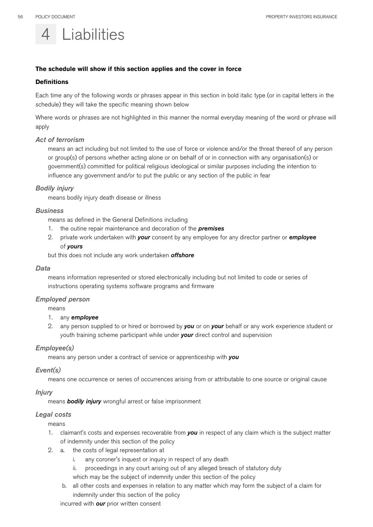

## **The schedule will show if this section applies and the cover in force**

#### **Definitions**

Each time any of the following words or phrases appear in this section in bold italic type (or in capital letters in the schedule) they will take the specific meaning shown below

Where words or phrases are not highlighted in this manner the normal everyday meaning of the word or phrase will apply

#### *Act of terrorism*

means an act including but not limited to the use of force or violence and/or the threat thereof of any person or group(s) of persons whether acting alone or on behalf of or in connection with any organisation(s) or government(s) committed for political religious ideological or similar purposes including the intention to influence any government and/or to put the public or any section of the public in fear

## *Bodily injury*

means bodily injury death disease or illness

#### *Business*

means as defined in the General Definitions including

- 1. the outine repair maintenance and decoration of the *premises*
- 2. private work undertaken with *your* consent by any employee for any director partner or *employee*  of *yours*

but this does not include any work undertaken *offshore*

#### *Data*

means information represented or stored electronically including but not limited to code or series of instructions operating systems software programs and firmware

#### *Employed person*

means

#### 1. any *employee*

2. any person supplied to or hired or borrowed by *you* or on *your* behalf or any work experience student or youth training scheme participant while under *your* direct control and supervision

## *Employee(s)*

means any person under a contract of service or apprenticeship with *you* 

#### *Event(s)*

means one occurrence or series of occurrences arising from or attributable to one source or original cause

#### *Injury*

means *bodily injury* wrongful arrest or false imprisonment

#### *Legal costs*

means

- 1. claimant's costs and expenses recoverable from *you* in respect of any claim which is the subject matter of indemnity under this section of the policy
- 2. a. the costs of legal representation at
	- i. any coroner's inquest or inquiry in respect of any death
	- ii. proceedings in any court arising out of any alleged breach of statutory duty

which may be the subject of indemnity under this section of the policy

 b. all other costs and expenses in relation to any matter which may form the subject of a claim for indemnity under this section of the policy

incurred with *our* prior written consent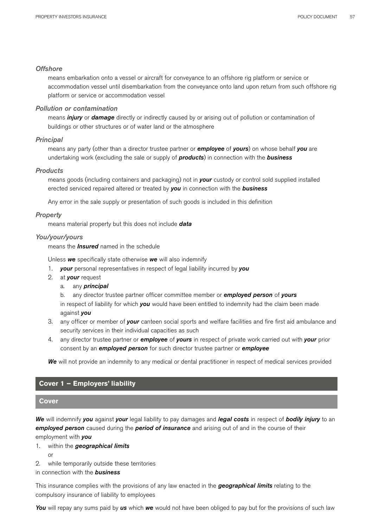#### *Offshore*

means embarkation onto a vessel or aircraft for conveyance to an offshore rig platform or service or accommodation vessel until disembarkation from the conveyance onto land upon return from such offshore rig platform or service or accommodation vessel

## *Pollution or contamination*

means *injury* or *damage* directly or indirectly caused by or arising out of pollution or contamination of buildings or other structures or of water land or the atmosphere

#### *Principal*

means any party (other than a director trustee partner or *employee* of *yours*) on whose behalf *you* are undertaking work (excluding the sale or supply of *products*) in connection with the *business*

#### *Products*

means goods (including containers and packaging) not in *your* custody or control sold supplied installed erected serviced repaired altered or treated by *you* in connection with the *business* 

Any error in the sale supply or presentation of such goods is included in this definition

#### *Property*

means material property but this does not include *data*

#### *You/your/yours*

means the *Insured* named in the schedule

Unless *we* specifically state otherwise *we* will also indemnify

- 1. *your* personal representatives in respect of legal liability incurred by *you*
- 2. at *your* request
	- a. any *principal*

b. any director trustee partner officer committee member or *employed person* of *yours*

in respect of liability for which *you* would have been entitled to indemnity had the claim been made against *you*

- 3. any officer or member of *your* canteen social sports and welfare facilities and fire first aid ambulance and security services in their individual capacities as such
- 4. any director trustee partner or *employee* of *yours* in respect of private work carried out with *your* prior consent by an *employed person* for such director trustee partner or *employee*

*We* will not provide an indemnity to any medical or dental practitioner in respect of medical services provided

## **Cover 1 – Employers' liability**

## **Cover**

*We* will indemnify *you* against *your* legal liability to pay damages and *legal costs* in respect of *bodily injury* to an *employed person* caused during the *period of insurance* and arising out of and in the course of their employment with *you*

- 1. within the *geographical limits*
	- or
- 2. while temporarily outside these territories

in connection with the *business*

This insurance complies with the provisions of any law enacted in the *geographical limits* relating to the compulsory insurance of liability to employees

*You* will repay any sums paid by *us* which *we* would not have been obliged to pay but for the provisions of such law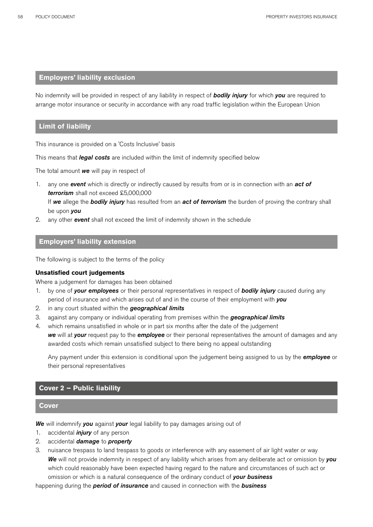## **Employers' liability exclusion**

No indemnity will be provided in respect of any liability in respect of *bodily injury* for which *you* are required to arrange motor insurance or security in accordance with any road traffic legislation within the European Union

## **Limit of liability**

This insurance is provided on a 'Costs Inclusive' basis

This means that *legal costs* are included within the limit of indemnity specified below

The total amount *we* will pay in respect of

- 1. any one *event* which is directly or indirectly caused by results from or is in connection with an *act of terrorism* shall not exceed £5,000,000 If *we* allege the *bodily injury* has resulted from an *act of terrorism* the burden of proving the contrary shall be upon *you*
- 2. any other *event* shall not exceed the limit of indemnity shown in the schedule

## **Employers' liability extension**

The following is subject to the terms of the policy

## **Unsatisfied court judgements**

Where a judgement for damages has been obtained

- 1. by one of *your employees* or their personal representatives in respect of *bodily injury* caused during any period of insurance and which arises out of and in the course of their employment with *you*
- 2. in any court situated within the *geographical limits*
- 3. against any company or individual operating from premises within the *geographical limits*
- 4. which remains unsatisfied in whole or in part six months after the date of the judgement *we* will at *your* request pay to the *employee* or their personal representatives the amount of damages and any awarded costs which remain unsatisfied subject to there being no appeal outstanding

Any payment under this extension is conditional upon the judgement being assigned to us by the *employee* or their personal representatives

## **Cover 2 – Public liability**

#### **Cover**

*We* will indemnify *you* against *your* legal liability to pay damages arising out of

- 1. accidental *injury* of any person
- 2. accidental *damage* to *property*
- 3. nuisance trespass to land trespass to goods or interference with any easement of air light water or way *We* will not provide indemnity in respect of any liability which arises from any deliberate act or omission by *you* which could reasonably have been expected having regard to the nature and circumstances of such act or omission or which is a natural consequence of the ordinary conduct of *your business*

happening during the *period of insurance* and caused in connection with the *business*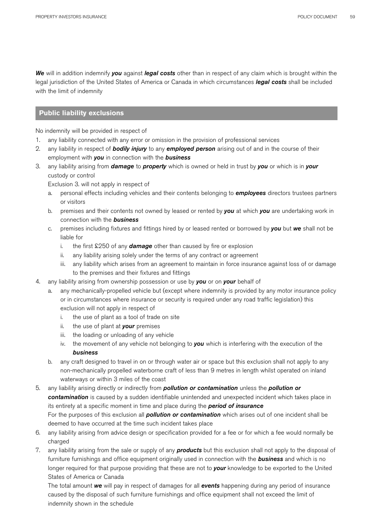*We* will in addition indemnify *you* against *legal costs* other than in respect of any claim which is brought within the legal jurisdiction of the United States of America or Canada in which circumstances *legal costs* shall be included with the limit of indemnity

# **Public liability exclusions**

No indemnity will be provided in respect of

- 1. any liability connected with any error or omission in the provision of professional services
- 2. any liability in respect of *bodily injury* to any *employed person* arising out of and in the course of their employment with *you* in connection with the *business*
- 3. any liability arising from *damage* to *property* which is owned or held in trust by *you* or which is in *your*  custody or control

Exclusion 3. will not apply in respect of

- a. personal effects including vehicles and their contents belonging to *employees* directors trustees partners or visitors
- b. premises and their contents not owned by leased or rented by *you* at which *you* are undertaking work in connection with the *business*
- c. premises including fixtures and fittings hired by or leased rented or borrowed by *you* but *we* shall not be liable for
	- i. the first £250 of any *damage* other than caused by fire or explosion
	- ii. any liability arising solely under the terms of any contract or agreement
	- iii. any liability which arises from an agreement to maintain in force insurance against loss of or damage to the premises and their fixtures and fittings
- 4. any liability arising from ownership possession or use by *you* or on *your* behalf of
	- a. any mechanically-propelled vehicle but (except where indemnity is provided by any motor insurance policy or in circumstances where insurance or security is required under any road traffic legislation) this exclusion will not apply in respect of
		- i. the use of plant as a tool of trade on site
		- ii. the use of plant at *your* premises
		- iii. the loading or unloading of any vehicle
		- iv. the movement of any vehicle not belonging to *you* which is interfering with the execution of the *business*
	- b. any craft designed to travel in on or through water air or space but this exclusion shall not apply to any non-mechanically propelled waterborne craft of less than 9 metres in length whilst operated on inland waterways or within 3 miles of the coast
- 5. any liability arising directly or indirectly from *pollution or contamination* unless the *pollution or*  contamination is caused by a sudden identifiable unintended and unexpected incident which takes place in its entirety at a specific moment in time and place during the *period of insurance* For the purposes of this exclusion all *pollution or contamination* which arises out of one incident shall be deemed to have occurred at the time such incident takes place
- 6. any liability arising from advice design or specification provided for a fee or for which a fee would normally be charged
- 7. any liability arising from the sale or supply of any *products* but this exclusion shall not apply to the disposal of furniture furnishings and office equipment originally used in connection with the *business* and which is no longer required for that purpose providing that these are not to *your* knowledge to be exported to the United States of America or Canada

The total amount *we* will pay in respect of damages for all *events* happening during any period of insurance caused by the disposal of such furniture furnishings and office equipment shall not exceed the limit of indemnity shown in the schedule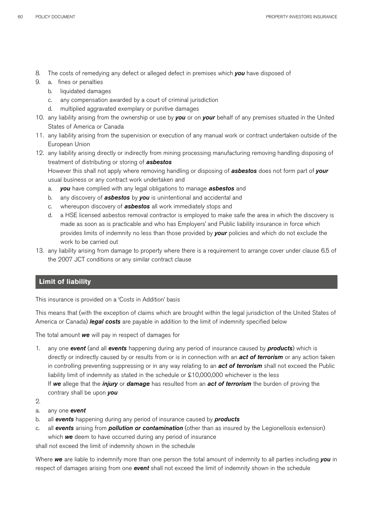- 8. The costs of remedying any defect or alleged defect in premises which *you* have disposed of
- 9. a. fines or penalties
	- b. liquidated damages
	- c. any compensation awarded by a court of criminal jurisdiction
	- d. multiplied aggravated exemplary or punitive damages
- 10. any liability arising from the ownership or use by *you* or on *your* behalf of any premises situated in the United States of America or Canada
- 11. any liability arising from the supervision or execution of any manual work or contract undertaken outside of the European Union
- 12. any liability arising directly or indirectly from mining processing manufacturing removing handling disposing of treatment of distributing or storing of *asbestos*

However this shall not apply where removing handling or disposing of *asbestos* does not form part of *your*  usual business or any contract work undertaken and

- a. *you* have complied with any legal obligations to manage *asbestos* and
- b. any discovery of *asbestos* by *you* is unintentional and accidental and
- c. whereupon discovery of *asbestos* all work immediately stops and
- d. a HSE licensed asbestos removal contractor is employed to make safe the area in which the discovery is made as soon as is practicable and who has Employers' and Public liability insurance in force which provides limits of indemnity no less than those provided by *your* policies and which do not exclude the work to be carried out
- 13. any liability arising from damage to property where there is a requirement to arrange cover under clause 6.5 of the 2007 JCT conditions or any similar contract clause

# **Limit of liability**

This insurance is provided on a 'Costs in Addition' basis

This means that (with the exception of claims which are brought within the legal jurisdiction of the United States of America or Canada) *legal costs* are payable in addition to the limit of indemnity specified below

The total amount *we* will pay in respect of damages for

- 1. any one *event* (and all *events* happening during any period of insurance caused by *products*) which is directly or indirectly caused by or results from or is in connection with an *act of terrorism* or any action taken in controlling preventing suppressing or in any way relating to an *act of terrorism* shall not exceed the Public liability limit of indemnity as stated in the schedule or £10,000,000 whichever is the less If *we* allege that the *injury* or *damage* has resulted from an *act of terrorism* the burden of proving the contrary shall be upon *you*
- $2.2$
- a. any one *event*
- b. all *events* happening during any period of insurance caused by *products*
- c. all *events* arising from *pollution or contamination* (other than as insured by the Legionellosis extension) which *we* deem to have occurred during any period of insurance

shall not exceed the limit of indemnity shown in the schedule

Where *we* are liable to indemnify more than one person the total amount of indemnity to all parties including *you* in respect of damages arising from one *event* shall not exceed the limit of indemnity shown in the schedule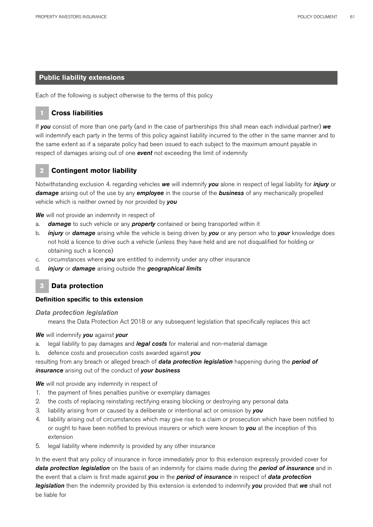## **Public liability extensions**

Each of the following is subject otherwise to the terms of this policy

## **1 Cross liabilities**

If *you* consist of more than one party (and in the case of partnerships this shall mean each individual partner) *we*  will indemnify each party in the terms of this policy against liability incurred to the other in the same manner and to the same extent as if a separate policy had been issued to each subject to the maximum amount payable in respect of damages arising out of one *event* not exceeding the limit of indemnity

# **2 Contingent motor liability**

Notwithstanding exclusion 4. regarding vehicles *we* will indemnify *you* alone in respect of legal liability for *injury* or *damage* arising out of the use by any *employee* in the course of the *business* of any mechanically propelled vehicle which is neither owned by nor provided by *you*

*We* will not provide an indemnity in respect of

- a. *damage* to such vehicle or any *property* contained or being transported within it
- b. *injury* or *damage* arising while the vehicle is being driven by *you* or any person who to *your* knowledge does not hold a licence to drive such a vehicle (unless they have held and are not disqualified for holding or obtaining such a licence)
- c. circumstances where *you* are entitled to indemnity under any other insurance
- d. *injury* or *damage* arising outside the *geographical limits*

# **3 Data protection**

## **Definition specific to this extension**

*Data protection legislation*

means the Data Protection Act 2018 or any subsequent legislation that specifically replaces this act

#### *We* will indemnify *you* against *your*

- a. legal liability to pay damages and *legal costs* for material and non-material damage
- b. defence costs and prosecution costs awarded against *you*

# resulting from any breach or alleged breach of *data protection legislation* happening during the *period of insurance* arising out of the conduct of *your business*

**We** will not provide any indemnity in respect of

- 1. the payment of fines penalties punitive or exemplary damages
- 2. the costs of replacing reinstating rectifying erasing blocking or destroying any personal data
- 3. liability arising from or caused by a deliberate or intentional act or omission by *you*
- 4. liability arising out of circumstances which may give rise to a claim or prosecution which have been notified to or ought to have been notified to previous insurers or which were known to *you* at the inception of this extension
- 5. legal liability where indemnity is provided by any other insurance

In the event that any policy of insurance in force immediately prior to this extension expressly provided cover for *data protection legislation* on the basis of an indemnity for claims made during the *period of insurance* and in the event that a claim is first made against *you* in the *period of insurance* in respect of *data protection legislation* then the indemnity provided by this extension is extended to indemnify *you* provided that *we* shall not be liable for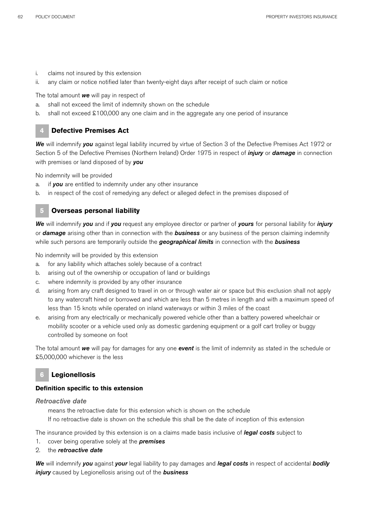- i. claims not insured by this extension
- ii. any claim or notice notified later than twenty-eight days after receipt of such claim or notice

The total amount *we* will pay in respect of

- a. shall not exceed the limit of indemnity shown on the schedule
- b. shall not exceed £100,000 any one claim and in the aggregate any one period of insurance

## **4 Defective Premises Act**

*We* will indemnify *you* against legal liability incurred by virtue of Section 3 of the Defective Premises Act 1972 or Section 5 of the Defective Premises (Northern Ireland) Order 1975 in respect of *injury* or *damage* in connection with premises or land disposed of by *you* 

No indemnity will be provided

- a. if *you* are entitled to indemnity under any other insurance
- b. in respect of the cost of remedying any defect or alleged defect in the premises disposed of

## **5 Overseas personal liability**

*We* will indemnify *you* and if *you* request any employee director or partner of *yours* for personal liability for *injury*  or *damage* arising other than in connection with the *business* or any business of the person claiming indemnity while such persons are temporarily outside the *geographical limits* in connection with the *business*

No indemnity will be provided by this extension

- a. for any liability which attaches solely because of a contract
- b. arising out of the ownership or occupation of land or buildings
- c. where indemnity is provided by any other insurance
- d. arising from any craft designed to travel in on or through water air or space but this exclusion shall not apply to any watercraft hired or borrowed and which are less than 5 metres in length and with a maximum speed of less than 15 knots while operated on inland waterways or within 3 miles of the coast
- e. arising from any electrically or mechanically powered vehicle other than a battery powered wheelchair or mobility scooter or a vehicle used only as domestic gardening equipment or a golf cart trolley or buggy controlled by someone on foot

The total amount *we* will pay for damages for any one *event* is the limit of indemnity as stated in the schedule or £5,000,000 whichever is the less

# **6 Legionellosis**

## **Definition specific to this extension**

## *Retroactive date*

means the retroactive date for this extension which is shown on the schedule If no retroactive date is shown on the schedule this shall be the date of inception of this extension

The insurance provided by this extension is on a claims made basis inclusive of *legal costs* subject to

- 1. cover being operative solely at the *premises*
- 2. the *retroactive date*

*We* will indemnify *you* against *your* legal liability to pay damages and *legal costs* in respect of accidental *bodily injury* caused by Legionellosis arising out of the *business*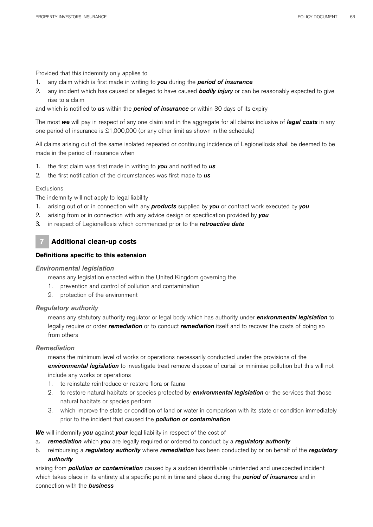Provided that this indemnity only applies to

- 1. any claim which is first made in writing to *you* during the *period of insurance*
- 2. any incident which has caused or alleged to have caused *bodily injury* or can be reasonably expected to give rise to a claim

and which is notified to *us* within the *period of insurance* or within 30 days of its expiry

The most *we* will pay in respect of any one claim and in the aggregate for all claims inclusive of *legal costs* in any one period of insurance is £1,000,000 (or any other limit as shown in the schedule)

All claims arising out of the same isolated repeated or continuing incidence of Legionellosis shall be deemed to be made in the period of insurance when

- 1. the first claim was first made in writing to *you* and notified to *us*
- 2. the first notification of the circumstances was first made to *us*

## Exclusions

The indemnity will not apply to legal liability

- 1. arising out of or in connection with any *products* supplied by *you* or contract work executed by *you*
- 2. arising from or in connection with any advice design or specification provided by *you*
- 3. in respect of Legionellosis which commenced prior to the *retroactive date*

# **7 Additional clean-up costs**

## **Definitions specific to this extension**

#### *Environmental legislation*

means any legislation enacted within the United Kingdom governing the

- 1. prevention and control of pollution and contamination
- 2. protection of the environment

## *Regulatory authority*

means any statutory authority regulator or legal body which has authority under *environmental legislation* to legally require or order *remediation* or to conduct *remediation* itself and to recover the costs of doing so from others

## *Remediation*

means the minimum level of works or operations necessarily conducted under the provisions of the *environmental legislation* to investigate treat remove dispose of curtail or minimise pollution but this will not include any works or operations

- 1. to reinstate reintroduce or restore flora or fauna
- 2. to restore natural habitats or species protected by *environmental legislation* or the services that those natural habitats or species perform
- 3. which improve the state or condition of land or water in comparison with its state or condition immediately prior to the incident that caused the *pollution or contamination*

*We* will indemnify *you* against *your* legal liability in respect of the cost of

- a*. remediation* which *you* are legally required or ordered to conduct by a *regulatory authority*
- b. reimbursing a *regulatory authority* where *remediation* has been conducted by or on behalf of the *regulatory authority*

arising from *pollution or contamination* caused by a sudden identifiable unintended and unexpected incident which takes place in its entirety at a specific point in time and place during the *period of insurance* and in connection with the *business*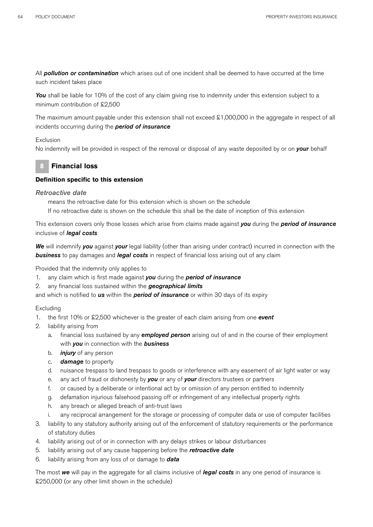All *pollution or contamination* which arises out of one incident shall be deemed to have occurred at the time such incident takes place

You shall be liable for 10% of the cost of any claim giving rise to indemnity under this extension subject to a minimum contribution of £2,500

The maximum amount payable under this extension shall not exceed £1,000,000 in the aggregate in respect of all incidents occurring during the *period of insurance*

#### Exclusion

No indemnity will be provided in respect of the removal or disposal of any waste deposited by or on *your* behalf

## **8 Financial loss**

## **Definition specific to this extension**

#### *Retroactive date*

means the retroactive date for this extension which is shown on the schedule If no retroactive date is shown on the schedule this shall be the date of inception of this extension

This extension covers only those losses which arise from claims made against *you* during the *period of insurance* inclusive of *legal costs*

*We* will indemnify *you* against *your* legal liability (other than arising under contract) incurred in connection with the *business* to pay damages and *legal costs* in respect of financial loss arising out of any claim

Provided that the indemnity only applies to

- 1. any claim which is first made against *you* during the *period of insurance*
- 2. any financial loss sustained within the *geographical limits*

and which is notified to *us* within the *period of insurance* or within 30 days of its expiry

#### Excluding

- 1. the first 10% or £2,500 whichever is the greater of each claim arising from one *event*
- 2. liability arising from
	- a. financial loss sustained by any *employed person* arising out of and in the course of their employment with *you* in connection with the *business*
	- b. *injury* of any person
	- c. *damage* to property
	- d. nuisance trespass to land trespass to goods or interference with any easement of air light water or way
	- e. any act of fraud or dishonesty by *you* or any of *your* directors trustees or partners
	- f. or caused by a deliberate or intentional act by or omission of any person entitled to indemnity
	- g. defamation injurious falsehood passing off or infringement of any intellectual property rights
	- h. any breach or alleged breach of anti-trust laws
	- any reciprocal arrangement for the storage or processing of computer data or use of computer facilities
- 3. liability to any statutory authority arising out of the enforcement of statutory requirements or the performance of statutory duties
- 4. liability arising out of or in connection with any delays strikes or labour disturbances
- 5. liability arising out of any cause happening before the *retroactive date*
- 6. liability arising from any loss of or damage to *data*

The most *we* will pay in the aggregate for all claims inclusive of *legal costs* in any one period of insurance is £250,000 (or any other limit shown in the schedule)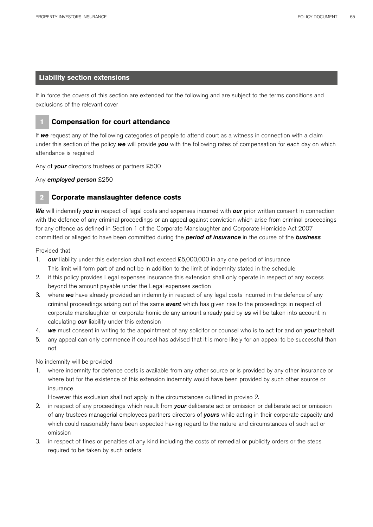## **Liability section extensions**

If in force the covers of this section are extended for the following and are subject to the terms conditions and exclusions of the relevant cover



## **1 Compensation for court attendance**

If *we* request any of the following categories of people to attend court as a witness in connection with a claim under this section of the policy *we* will provide *you* with the following rates of compensation for each day on which attendance is required

Any of *your* directors trustees or partners £500

Any *employed person* £250

## **2 Corporate manslaughter defence costs**

*We* will indemnify *you* in respect of legal costs and expenses incurred with *our* prior written consent in connection with the defence of any criminal proceedings or an appeal against conviction which arise from criminal proceedings for any offence as defined in Section 1 of the Corporate Manslaughter and Corporate Homicide Act 2007 committed or alleged to have been committed during the *period of insurance* in the course of the *business* 

Provided that

- 1. *our* liability under this extension shall not exceed £5,000,000 in any one period of insurance This limit will form part of and not be in addition to the limit of indemnity stated in the schedule
- 2. if this policy provides Legal expenses insurance this extension shall only operate in respect of any excess beyond the amount payable under the Legal expenses section
- 3. where *we* have already provided an indemnity in respect of any legal costs incurred in the defence of any criminal proceedings arising out of the same *event* which has given rise to the proceedings in respect of corporate manslaughter or corporate homicide any amount already paid by *us* will be taken into account in calculating *our* liability under this extension
- 4. *we* must consent in writing to the appointment of any solicitor or counsel who is to act for and on *your* behalf
- 5. any appeal can only commence if counsel has advised that it is more likely for an appeal to be successful than not

No indemnity will be provided

1. where indemnity for defence costs is available from any other source or is provided by any other insurance or where but for the existence of this extension indemnity would have been provided by such other source or insurance

However this exclusion shall not apply in the circumstances outlined in proviso 2.

- 2. in respect of any proceedings which result from *your* deliberate act or omission or deliberate act or omission of any trustees managerial employees partners directors of *yours* while acting in their corporate capacity and which could reasonably have been expected having regard to the nature and circumstances of such act or omission
- 3. in respect of fines or penalties of any kind including the costs of remedial or publicity orders or the steps required to be taken by such orders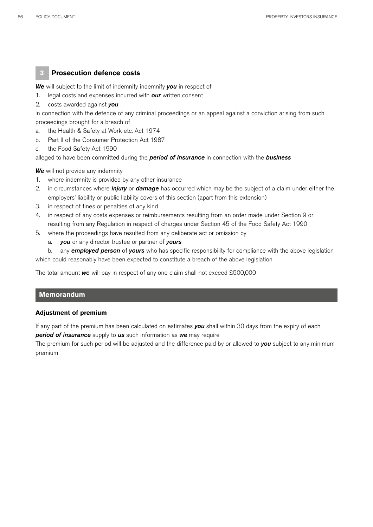## **3 Prosecution defence costs**

*We* will subject to the limit of indemnity indemnify *you* in respect of

- 1. legal costs and expenses incurred with *our* written consent
- 2. costs awarded against *you*

in connection with the defence of any criminal proceedings or an appeal against a conviction arising from such proceedings brought for a breach of

- a. the Health & Safety at Work etc. Act 1974
- b. Part II of the Consumer Protection Act 1987
- c. the Food Safety Act 1990

alleged to have been committed during the *period of insurance* in connection with the *business*

**We** will not provide any indemnity

- 1. where indemnity is provided by any other insurance
- 2. in circumstances where *injury* or *damage* has occurred which may be the subject of a claim under either the employers' liability or public liability covers of this section (apart from this extension)
- 3. in respect of fines or penalties of any kind
- 4. in respect of any costs expenses or reimbursements resulting from an order made under Section 9 or resulting from any Regulation in respect of charges under Section 45 of the Food Safety Act 1990
- 5. where the proceedings have resulted from any deliberate act or omission by
	- a. *you* or any director trustee or partner of *yours*

b. any *employed person* of *yours* who has specific responsibility for compliance with the above legislation which could reasonably have been expected to constitute a breach of the above legislation

The total amount *we* will pay in respect of any one claim shall not exceed £500,000

## **Memorandum**

### **Adjustment of premium**

If any part of the premium has been calculated on estimates *you* shall within 30 days from the expiry of each *period of insurance* supply to *us* such information as *we* may require

The premium for such period will be adjusted and the difference paid by or allowed to *you* subject to any minimum premium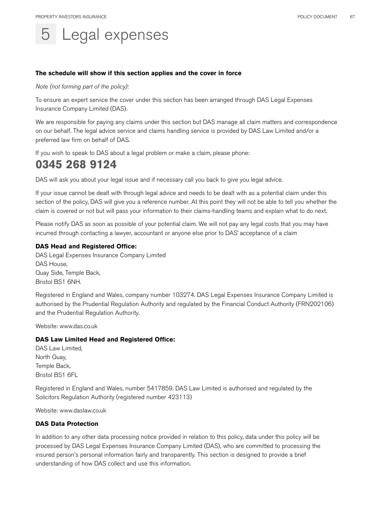# Legal expenses

## **The schedule will show if this section applies and the cover in force**

*Note (not forming part of the policy):*

To ensure an expert service the cover under this section has been arranged through DAS Legal Expenses Insurance Company Limited (DAS).

We are responsible for paying any claims under this section but DAS manage all claim matters and correspondence on our behalf. The legal advice service and claims handling service is provided by DAS Law Limited and/or a preferred law firm on behalf of DAS.

If you wish to speak to DAS about a legal problem or make a claim, please phone:

# **0345 268 9124**

DAS will ask you about your legal issue and if necessary call you back to give you legal advice.

If your issue cannot be dealt with through legal advice and needs to be dealt with as a potential claim under this section of the policy, DAS will give you a reference number. At this point they will not be able to tell you whether the claim is covered or not but will pass your information to their claims-handling teams and explain what to do next.

Please notify DAS as soon as possible of your potential claim. We will not pay any legal costs that you may have incurred through contacting a lawyer, accountant or anyone else prior to DAS' acceptance of a claim

## **DAS Head and Registered Office:**

DAS Legal Expenses Insurance Company Limited DAS House, Quay Side, Temple Back, Bristol BS1 6NH.

Registered in England and Wales, company number 103274. DAS Legal Expenses Insurance Company Limited is authorised by the Prudential Regulation Authority and regulated by the Financial Conduct Authority (FRN202106) and the Prudential Regulation Authority.

Website: www.das.co.uk

#### **DAS Law Limited Head and Registered Office:**

DAS Law Limited, North Quay, Temple Back, Bristol BS1 6FL

Registered in England and Wales, number 5417859. DAS Law Limited is authorised and regulated by the Solicitors Regulation Authority (registered number 423113)

Website: www.daslaw.co.uk

#### **DAS Data Protection**

In addition to any other data processing notice provided in relation to this policy, data under this policy will be processed by DAS Legal Expenses Insurance Company Limited (DAS), who are committed to processing the insured person's personal information fairly and transparently. This section is designed to provide a brief understanding of how DAS collect and use this information.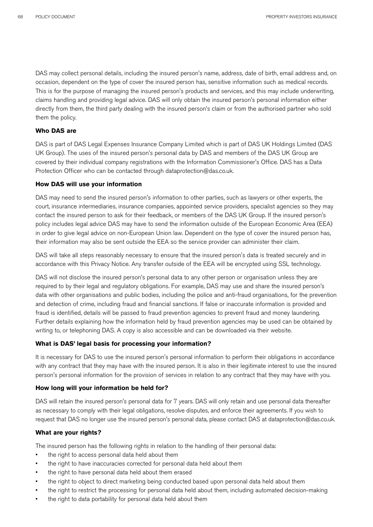DAS may collect personal details, including the insured person's name, address, date of birth, email address and, on occasion, dependent on the type of cover the insured person has, sensitive information such as medical records. This is for the purpose of managing the insured person's products and services, and this may include underwriting, claims handling and providing legal advice. DAS will only obtain the insured person's personal information either directly from them, the third party dealing with the insured person's claim or from the authorised partner who sold them the policy.

## **Who DAS are**

DAS is part of DAS Legal Expenses Insurance Company Limited which is part of DAS UK Holdings Limited (DAS UK Group). The uses of the insured person's personal data by DAS and members of the DAS UK Group are covered by their individual company registrations with the Information Commissioner's Office. DAS has a Data Protection Officer who can be contacted through dataprotection@das.co.uk.

#### **How DAS will use your information**

DAS may need to send the insured person's information to other parties, such as lawyers or other experts, the court, insurance intermediaries, insurance companies, appointed service providers, specialist agencies so they may contact the insured person to ask for their feedback, or members of the DAS UK Group. If the insured person's policy includes legal advice DAS may have to send the information outside of the European Economic Area (EEA) in order to give legal advice on non-European Union law. Dependent on the type of cover the insured person has, their information may also be sent outside the EEA so the service provider can administer their claim.

DAS will take all steps reasonably necessary to ensure that the insured person's data is treated securely and in accordance with this Privacy Notice. Any transfer outside of the EEA will be encrypted using SSL technology.

DAS will not disclose the insured person's personal data to any other person or organisation unless they are required to by their legal and regulatory obligations. For example, DAS may use and share the insured person's data with other organisations and public bodies, including the police and anti-fraud organisations, for the prevention and detection of crime, including fraud and financial sanctions. If false or inaccurate information is provided and fraud is identified, details will be passed to fraud prevention agencies to prevent fraud and money laundering. Further details explaining how the information held by fraud prevention agencies may be used can be obtained by writing to, or telephoning DAS. A copy is also accessible and can be downloaded via their website.

#### **What is DAS' legal basis for processing your information?**

It is necessary for DAS to use the insured person's personal information to perform their obligations in accordance with any contract that they may have with the insured person. It is also in their legitimate interest to use the insured person's personal information for the provision of services in relation to any contract that they may have with you.

#### **How long will your information be held for?**

DAS will retain the insured person's personal data for 7 years. DAS will only retain and use personal data thereafter as necessary to comply with their legal obligations, resolve disputes, and enforce their agreements. If you wish to request that DAS no longer use the insured person's personal data, please contact DAS at dataprotection@das.co.uk.

#### **What are your rights?**

The insured person has the following rights in relation to the handling of their personal data:

- the right to access personal data held about them
- the right to have inaccuracies corrected for personal data held about them
- the right to have personal data held about them erased
- the right to object to direct marketing being conducted based upon personal data held about them
- the right to restrict the processing for personal data held about them, including automated decision-making
- the right to data portability for personal data held about them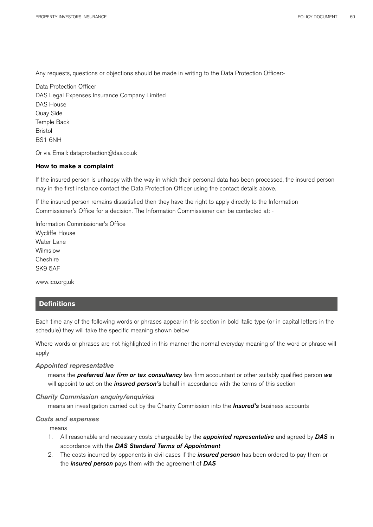Any requests, questions or objections should be made in writing to the Data Protection Officer:-

Data Protection Officer DAS Legal Expenses Insurance Company Limited DAS House Quay Side Temple Back Bristol BS1 6NH

Or via Email: dataprotection@das.co.uk

#### **How to make a complaint**

If the insured person is unhappy with the way in which their personal data has been processed, the insured person may in the first instance contact the Data Protection Officer using the contact details above.

If the insured person remains dissatisfied then they have the right to apply directly to the Information Commissioner's Office for a decision. The Information Commissioner can be contacted at: -

Information Commissioner's Office Wycliffe House Water Lane Wilmslow **Cheshire** SK9 5AF

www.ico.org.uk

## **Definitions**

Each time any of the following words or phrases appear in this section in bold italic type (or in capital letters in the schedule) they will take the specific meaning shown below

Where words or phrases are not highlighted in this manner the normal everyday meaning of the word or phrase will apply

### *Appointed representative*

means the *preferred law firm or tax consultancy* law firm accountant or other suitably qualified person *we*  will appoint to act on the *insured person's* behalf in accordance with the terms of this section

#### *Charity Commission enquiry/enquiries*

means an investigation carried out by the Charity Commission into the *Insured's* business accounts

#### *Costs and expenses*

means

- 1. All reasonable and necessary costs chargeable by the *appointed representative* and agreed by *DAS* in accordance with the *DAS Standard Terms of Appointment*
- 2. The costs incurred by opponents in civil cases if the *insured person* has been ordered to pay them or the *insured person* pays them with the agreement of *DAS*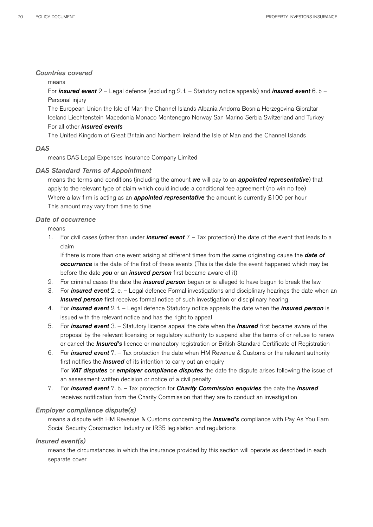## *Countries covered*

## means

For *insured event* 2 – Legal defence (excluding 2. f. – Statutory notice appeals) and *insured event* 6. b – Personal injury

The European Union the Isle of Man the Channel Islands Albania Andorra Bosnia Herzegovina Gibraltar Iceland Liechtenstein Macedonia Monaco Montenegro Norway San Marino Serbia Switzerland and Turkey For all other *insured events*

The United Kingdom of Great Britain and Northern Ireland the Isle of Man and the Channel Islands

## *DAS*

means DAS Legal Expenses Insurance Company Limited

## *DAS Standard Terms of Appointment*

means the terms and conditions (including the amount *we* will pay to an *appointed representative*) that apply to the relevant type of claim which could include a conditional fee agreement (no win no fee) Where a law firm is acting as an **appointed representative** the amount is currently £100 per hour This amount may vary from time to time

## *Date of occurrence*

means

1. For civil cases (other than under *insured event* 7 – Tax protection) the date of the event that leads to a claim

If there is more than one event arising at different times from the same originating cause the *date of occurrence* is the date of the first of these events (This is the date the event happened which may be before the date *you* or an *insured person* first became aware of it)

- 2. For criminal cases the date the *insured person* began or is alleged to have begun to break the law
- 3. For *insured event* 2. e. Legal defence Formal investigations and disciplinary hearings the date when an **insured person** first receives formal notice of such investigation or disciplinary hearing
- 4. For *insured event* 2. f. Legal defence Statutory notice appeals the date when the *insured person* is issued with the relevant notice and has the right to appeal
- 5. For *insured event* 3. Statutory licence appeal the date when the *Insured* first became aware of the proposal by the relevant licensing or regulatory authority to suspend alter the terms of or refuse to renew or cancel the *Insured's* licence or mandatory registration or British Standard Certificate of Registration
- 6. For *insured event* 7. Tax protection the date when HM Revenue & Customs or the relevant authority first notifies the *Insured* of its intention to carry out an enquiry For *VAT disputes* or *employer compliance disputes* the date the dispute arises following the issue of an assessment written decision or notice of a civil penalty
- 7. For *insured event* 7. b. Tax protection for *Charity Commission enquiries* the date the *Insured*  receives notification from the Charity Commission that they are to conduct an investigation

## *Employer compliance dispute(s)*

means a dispute with HM Revenue & Customs concerning the *Insured's* compliance with Pay As You Earn Social Security Construction Industry or IR35 legislation and regulations

## *Insured event(s)*

means the circumstances in which the insurance provided by this section will operate as described in each separate cover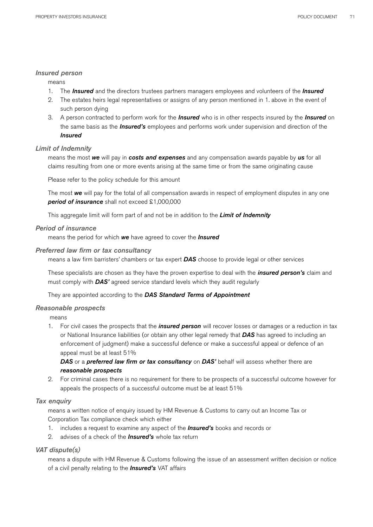## *Insured person*

#### means

- 1. The *Insured* and the directors trustees partners managers employees and volunteers of the *Insured*
- 2. The estates heirs legal representatives or assigns of any person mentioned in 1. above in the event of such person dying
- 3. A person contracted to perform work for the *Insured* who is in other respects insured by the *Insured* on the same basis as the *Insured's* employees and performs work under supervision and direction of the *Insured*

## *Limit of Indemnity*

means the most *we* will pay in *costs and expenses* and any compensation awards payable by *us* for all claims resulting from one or more events arising at the same time or from the same originating cause

Please refer to the policy schedule for this amount

The most *we* will pay for the total of all compensation awards in respect of employment disputes in any one *period of insurance* shall not exceed £1,000,000

This aggregate limit will form part of and not be in addition to the *Limit of Indemnity*

## *Period of insurance*

means the period for which *we* have agreed to cover the *Insured* 

#### *Preferred law firm or tax consultancy*

means a law firm barristers' chambers or tax expert *DAS* choose to provide legal or other services

These specialists are chosen as they have the proven expertise to deal with the *insured person's* claim and must comply with *DAS'* agreed service standard levels which they audit regularly

They are appointed according to the *DAS Standard Terms of Appointment*

## *Reasonable prospects*

means

1. For civil cases the prospects that the *insured person* will recover losses or damages or a reduction in tax or National Insurance liabilities (or obtain any other legal remedy that *DAS* has agreed to including an enforcement of judgment) make a successful defence or make a successful appeal or defence of an appeal must be at least 51%

*DAS* or a *preferred law firm or tax consultancy* on *DAS'* behalf will assess whether there are *reasonable prospects*

2. For criminal cases there is no requirement for there to be prospects of a successful outcome however for appeals the prospects of a successful outcome must be at least 51%

## *Tax enquiry*

means a written notice of enquiry issued by HM Revenue & Customs to carry out an Income Tax or Corporation Tax compliance check which either

- 1. includes a request to examine any aspect of the *Insured's* books and records or
- 2. advises of a check of the *Insured's* whole tax return

## *VAT dispute(s)*

means a dispute with HM Revenue & Customs following the issue of an assessment written decision or notice of a civil penalty relating to the *Insured's* VAT affairs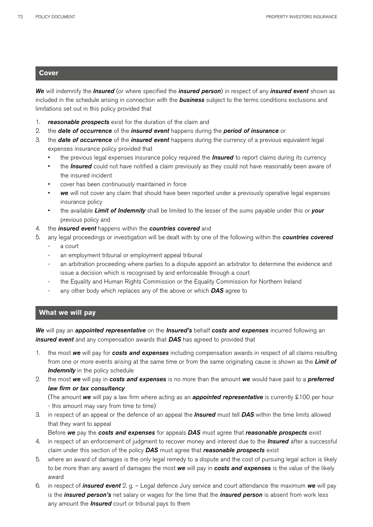## **Cover**

*We* will indemnify the *Insured* (or where specified the *insured person*) in respect of any *insured event* shown as included in the schedule arising in connection with the *business* subject to the terms conditions exclusions and limitations set out in this policy provided that

- 1. *reasonable prospects* exist for the duration of the claim and
- 2. the *date of occurrence* of the *insured event* happens during the *period of insurance* or
- 3. the *date of occurrence* of the *insured event* happens during the currency of a previous equivalent legal expenses insurance policy provided that
	- the previous legal expenses insurance policy required the *Insured* to report claims during its currency
	- the *Insured* could not have notified a claim previously as they could not have reasonably been aware of the insured incident
	- cover has been continuously maintained in force
	- *we* will not cover any claim that should have been reported under a previously operative legal expenses insurance policy
	- the available *Limit of Indemnity* shall be limited to the lesser of the sums payable under this or *your* previous policy and
- 4. the *insured event* happens within the *countries covered* and
- 5. any legal proceedings or investigation will be dealt with by one of the following within the *countries covered*
	- a court
	- an employment tribunal or employment appeal tribunal
	- an arbitration proceeding where parties to a dispute appoint an arbitrator to determine the evidence and issue a decision which is recognised by and enforceable through a court
	- the Equality and Human Rights Commission or the Equality Commission for Northern Ireland
	- any other body which replaces any of the above or which **DAS** agree to

## **What we will pay**

*We* will pay an *appointed representative* on the *Insured's* behalf *costs and expenses* incurred following an *insured event* and any compensation awards that *DAS* has agreed to provided that

- 1. the most *we* will pay for *costs and expenses* including compensation awards in respect of all claims resulting from one or more events arising at the same time or from the same originating cause is shown as the *Limit of*  **Indemnity** in the policy schedule
- 2. the most *we* will pay in *costs and expenses* is no more than the amount *we* would have paid to a *preferred law firm or tax consultancy*

(The amount *we* will pay a law firm where acting as an *appointed representative* is currently £100 per hour - this amount may vary from time to time)

3. in respect of an appeal or the defence of an appeal the *Insured* must tell *DAS* within the time limits allowed that they want to appeal

Before *we* pay the *costs and expenses* for appeals *DAS* must agree that *reasonable prospects* exist

- 4. in respect of an enforcement of judgment to recover money and interest due to the *Insured* after a successful claim under this section of the policy *DAS* must agree that *reasonable prospects* exist
- 5. where an award of damages is the only legal remedy to a dispute and the cost of pursuing legal action is likely to be more than any award of damages the most *we* will pay in *costs and expenses* is the value of the likely award
- 6. in respect of *insured event* 2. g. Legal defence Jury service and court attendance the maximum *we* will pay is the *insured person's* net salary or wages for the time that the *insured person* is absent from work less any amount the *Insured* court or tribunal pays to them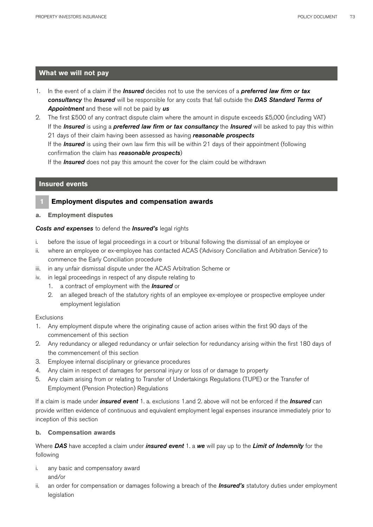## **What we will not pay**

- 1. In the event of a claim if the *Insured* decides not to use the services of a *preferred law firm or tax consultancy* the *Insured* will be responsible for any costs that fall outside the *DAS Standard Terms of Appointment* and these will not be paid by *us*
- 2. The first £500 of any contract dispute claim where the amount in dispute exceeds £5,000 (including VAT) If the *Insured* is using a *preferred law firm or tax consultancy* the *Insured* will be asked to pay this within 21 days of their claim having been assessed as having *reasonable prospects* If the *Insured* is using their own law firm this will be within 21 days of their appointment (following confirmation the claim has *reasonable prospects*)

If the *Insured* does not pay this amount the cover for the claim could be withdrawn

### **Insured events**

### **1 Employment disputes and compensation awards**

**a. Employment disputes**

### *Costs and expenses* to defend the *Insured's* legal rights

- i. before the issue of legal proceedings in a court or tribunal following the dismissal of an employee or
- ii. where an employee or ex-employee has contacted ACAS ('Advisory Conciliation and Arbitration Service') to commence the Early Conciliation procedure
- iii. in any unfair dismissal dispute under the ACAS Arbitration Scheme or
- iv. in legal proceedings in respect of any dispute relating to
	- 1. a contract of employment with the *Insured* or
	- 2. an alleged breach of the statutory rights of an employee ex-employee or prospective employee under employment legislation

### **Exclusions**

- 1. Any employment dispute where the originating cause of action arises within the first 90 days of the commencement of this section
- 2. Any redundancy or alleged redundancy or unfair selection for redundancy arising within the first 180 days of the commencement of this section
- 3. Employee internal disciplinary or grievance procedures
- 4. Any claim in respect of damages for personal injury or loss of or damage to property
- 5. Any claim arising from or relating to Transfer of Undertakings Regulations (TUPE) or the Transfer of Employment (Pension Protection) Regulations

If a claim is made under *insured event* 1. a. exclusions 1.and 2. above will not be enforced if the *Insured* can provide written evidence of continuous and equivalent employment legal expenses insurance immediately prior to inception of this section

### **b. Compensation awards**

Where *DAS* have accepted a claim under *insured event* 1. a *we* will pay up to the *Limit of Indemnity* for the following

- i. any basic and compensatory award and/or
- ii. an order for compensation or damages following a breach of the *Insured's* statutory duties under employment legislation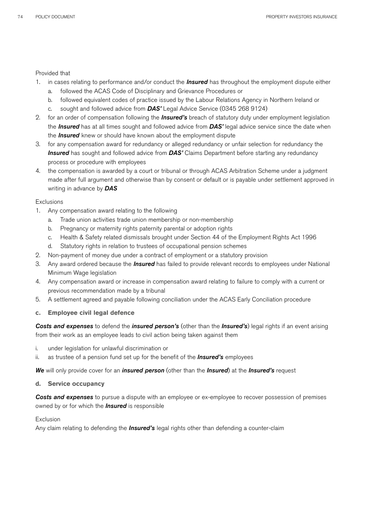### Provided that

- 1. in cases relating to performance and/or conduct the *Insured* has throughout the employment dispute either
	- a. followed the ACAS Code of Disciplinary and Grievance Procedures or
	- b. followed equivalent codes of practice issued by the Labour Relations Agency in Northern Ireland or
	- c. sought and followed advice from *DAS'* Legal Advice Service (0345 268 9124)
- 2. for an order of compensation following the *Insured's* breach of statutory duty under employment legislation the *Insured* has at all times sought and followed advice from *DAS'* legal advice service since the date when the *Insured* knew or should have known about the employment dispute
- 3. for any compensation award for redundancy or alleged redundancy or unfair selection for redundancy the *Insured* has sought and followed advice from *DAS'* Claims Department before starting any redundancy process or procedure with employees
- 4. the compensation is awarded by a court or tribunal or through ACAS Arbitration Scheme under a judgment made after full argument and otherwise than by consent or default or is payable under settlement approved in writing in advance by *DAS*

### Exclusions

- 1. Any compensation award relating to the following
	- a. Trade union activities trade union membership or non-membership
	- b. Pregnancy or maternity rights paternity parental or adoption rights
	- c. Health & Safety related dismissals brought under Section 44 of the Employment Rights Act 1996
	- d. Statutory rights in relation to trustees of occupational pension schemes
- 2. Non-payment of money due under a contract of employment or a statutory provision
- 3. Any award ordered because the *Insured* has failed to provide relevant records to employees under National Minimum Wage legislation
- 4. Any compensation award or increase in compensation award relating to failure to comply with a current or previous recommendation made by a tribunal
- 5. A settlement agreed and payable following conciliation under the ACAS Early Conciliation procedure
- **c. Employee civil legal defence**

*Costs and expenses* to defend the *insured person's* (other than the *Insured's*) legal rights if an event arising from their work as an employee leads to civil action being taken against them

- i. under legislation for unlawful discrimination or
- ii. as trustee of a pension fund set up for the benefit of the *Insured's* employees

*We* will only provide cover for an *insured person* (other than the *Insured*) at the *Insured's* request

### **d. Service occupancy**

**Costs and expenses** to pursue a dispute with an employee or ex-employee to recover possession of premises owned by or for which the *Insured* is responsible

### Exclusion

Any claim relating to defending the *Insured's* legal rights other than defending a counter-claim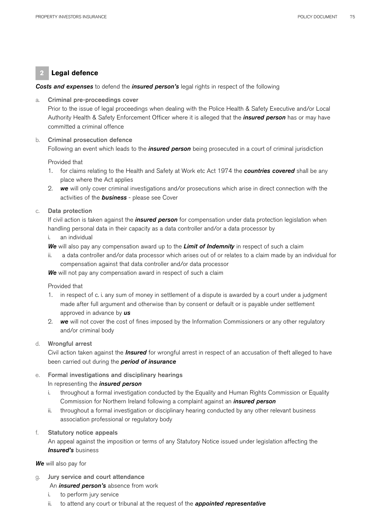## **2 Legal defence**

### *Costs and expenses* to defend the *insured person's* legal rights in respect of the following

### a. Criminal pre-proceedings cover

Prior to the issue of legal proceedings when dealing with the Police Health & Safety Executive and/or Local Authority Health & Safety Enforcement Officer where it is alleged that the *insured person* has or may have committed a criminal offence

## b. Criminal prosecution defence

Following an event which leads to the *insured person* being prosecuted in a court of criminal jurisdiction

### Provided that

- 1. for claims relating to the Health and Safety at Work etc Act 1974 the *countries covered* shall be any place where the Act applies
- 2. *we* will only cover criminal investigations and/or prosecutions which arise in direct connection with the activities of the *business* - please see Cover

### c. Data protection

If civil action is taken against the *insured person* for compensation under data protection legislation when handling personal data in their capacity as a data controller and/or a data processor by

- i. an individual
- *We* will also pay any compensation award up to the *Limit of Indemnity* in respect of such a claim
- ii. a data controller and/or data processor which arises out of or relates to a claim made by an individual for compensation against that data controller and/or data processor

*We* will not pay any compensation award in respect of such a claim

### Provided that

- 1. in respect of c. i. any sum of money in settlement of a dispute is awarded by a court under a judgment made after full argument and otherwise than by consent or default or is payable under settlement approved in advance by *us*
- 2. *we* will not cover the cost of fines imposed by the Information Commissioners or any other regulatory and/or criminal body

### d. Wrongful arrest

Civil action taken against the *Insured* for wrongful arrest in respect of an accusation of theft alleged to have been carried out during the *period of insurance*

### e. Formal investigations and disciplinary hearings

### In representing the *insured person*

- i. throughout a formal investigation conducted by the Equality and Human Rights Commission or Equality Commission for Northern Ireland following a complaint against an *insured person*
- ii. throughout a formal investigation or disciplinary hearing conducted by any other relevant business association professional or regulatory body

### f. Statutory notice appeals

An appeal against the imposition or terms of any Statutory Notice issued under legislation affecting the *Insured's* business

### *We* will also pay for

Jury service and court attendance

An *insured person's* absence from work

- i. to perform jury service
- ii. to attend any court or tribunal at the request of the *appointed representative*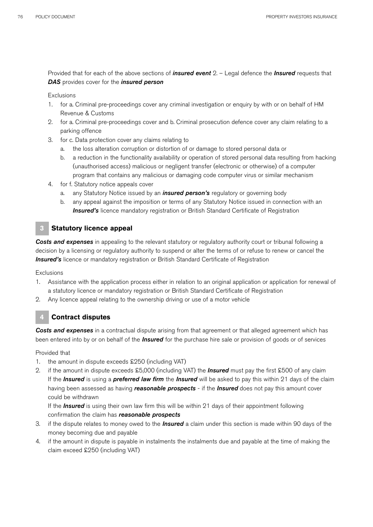Provided that for each of the above sections of *insured event* 2. – Legal defence the *Insured* requests that *DAS* provides cover for the *insured person*

**Exclusions** 

- 1. for a. Criminal pre-proceedings cover any criminal investigation or enquiry by with or on behalf of HM Revenue & Customs
- 2. for a. Criminal pre-proceedings cover and b. Criminal prosecution defence cover any claim relating to a parking offence
- 3. for c. Data protection cover any claims relating to
	- a. the loss alteration corruption or distortion of or damage to stored personal data or
	- b. a reduction in the functionality availability or operation of stored personal data resulting from hacking (unauthorised access) malicious or negligent transfer (electronic or otherwise) of a computer program that contains any malicious or damaging code computer virus or similar mechanism
- 4. for f. Statutory notice appeals cover
	- a. any Statutory Notice issued by an *insured person's* regulatory or governing body
	- b. any appeal against the imposition or terms of any Statutory Notice issued in connection with an **Insured's** licence mandatory registration or British Standard Certificate of Registration

## **3 Statutory licence appeal**

*Costs and expenses* in appealing to the relevant statutory or regulatory authority court or tribunal following a decision by a licensing or regulatory authority to suspend or alter the terms of or refuse to renew or cancel the **Insured's** licence or mandatory registration or British Standard Certificate of Registration

Exclusions

- 1. Assistance with the application process either in relation to an original application or application for renewal of a statutory licence or mandatory registration or British Standard Certificate of Registration
- 2. Any licence appeal relating to the ownership driving or use of a motor vehicle

## **4 Contract disputes**

*Costs and expenses* in a contractual dispute arising from that agreement or that alleged agreement which has been entered into by or on behalf of the *Insured* for the purchase hire sale or provision of goods or of services

Provided that

- 1. the amount in dispute exceeds £250 (including VAT)
- 2. if the amount in dispute exceeds £5,000 (including VAT) the *Insured* must pay the first £500 of any claim If the *Insured* is using a *preferred law firm* the *Insured* will be asked to pay this within 21 days of the claim having been assessed as having *reasonable prospects* - if the *Insured* does not pay this amount cover could be withdrawn

If the *Insured* is using their own law firm this will be within 21 days of their appointment following confirmation the claim has *reasonable prospects*

- 3. if the dispute relates to money owed to the *Insured* a claim under this section is made within 90 days of the money becoming due and payable
- 4. if the amount in dispute is payable in instalments the instalments due and payable at the time of making the claim exceed £250 (including VAT)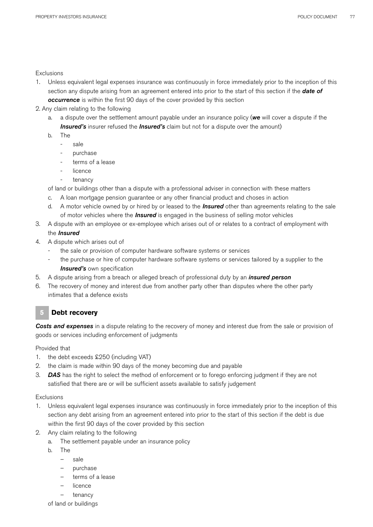### **Exclusions**

- 1. Unless equivalent legal expenses insurance was continuously in force immediately prior to the inception of this section any dispute arising from an agreement entered into prior to the start of this section if the *date of*  **occurrence** is within the first 90 days of the cover provided by this section
- 2. Any claim relating to the following
	- a. a dispute over the settlement amount payable under an insurance policy (*we* will cover a dispute if the *Insured's* insurer refused the *Insured's* claim but not for a dispute over the amount)
	- b. The
		- sale
		- purchase
		- terms of a lease
		- licence
		- tenancy

of land or buildings other than a dispute with a professional adviser in connection with these matters

- c. A loan mortgage pension guarantee or any other financial product and choses in action
- d. A motor vehicle owned by or hired by or leased to the *Insured* other than agreements relating to the sale of motor vehicles where the *Insured* is engaged in the business of selling motor vehicles
- 3. A dispute with an employee or ex-employee which arises out of or relates to a contract of employment with the *Insured*
- 4. A dispute which arises out of
	- the sale or provision of computer hardware software systems or services
		- the purchase or hire of computer hardware software systems or services tailored by a supplier to the *Insured's* own specification
- 5. A dispute arising from a breach or alleged breach of professional duty by an *insured person*
- 6. The recovery of money and interest due from another party other than disputes where the other party intimates that a defence exists

## **5 Debt recovery**

*Costs and expenses* in a dispute relating to the recovery of money and interest due from the sale or provision of goods or services including enforcement of judgments

### Provided that

- 1. the debt exceeds £250 (including VAT)
- 2. the claim is made within 90 days of the money becoming due and payable
- 3. *DAS* has the right to select the method of enforcement or to forego enforcing judgment if they are not satisfied that there are or will be sufficient assets available to satisfy judgement

### **Exclusions**

- 1. Unless equivalent legal expenses insurance was continuously in force immediately prior to the inception of this section any debt arising from an agreement entered into prior to the start of this section if the debt is due within the first 90 days of the cover provided by this section
- 2. Any claim relating to the following
	- a. The settlement payable under an insurance policy
	- b. The
		- sale
		- purchase
		- terms of a lease
		- **licence**
		- tenancy
	- of land or buildings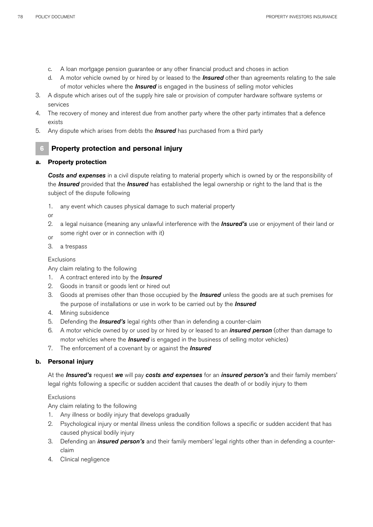- c. A loan mortgage pension guarantee or any other financial product and choses in action
- d. A motor vehicle owned by or hired by or leased to the *Insured* other than agreements relating to the sale of motor vehicles where the *Insured* is engaged in the business of selling motor vehicles
- 3. A dispute which arises out of the supply hire sale or provision of computer hardware software systems or services
- 4. The recovery of money and interest due from another party where the other party intimates that a defence exists
- 5. Any dispute which arises from debts the *Insured* has purchased from a third party

## **6 Property protection and personal injury**

## **a. Property protection**

*Costs and expenses* in a civil dispute relating to material property which is owned by or the responsibility of the *Insured* provided that the *Insured* has established the legal ownership or right to the land that is the subject of the dispute following

1. any event which causes physical damage to such material property

or

- 2. a legal nuisance (meaning any unlawful interference with the *Insured's* use or enjoyment of their land or some right over or in connection with it) or
- 
- 3. a trespass

## **Exclusions**

Any claim relating to the following

- 1. A contract entered into by the *Insured*
- 2. Goods in transit or goods lent or hired out
- 3. Goods at premises other than those occupied by the *Insured* unless the goods are at such premises for the purpose of installations or use in work to be carried out by the *Insured*
- 4. Mining subsidence
- 5. Defending the *Insured's* legal rights other than in defending a counter-claim
- 6. A motor vehicle owned by or used by or hired by or leased to an *insured person* (other than damage to motor vehicles where the *Insured* is engaged in the business of selling motor vehicles)
- 7. The enforcement of a covenant by or against the *Insured*

## **b. Personal injury**

At the *Insured's* request *we* will pay *costs and expenses* for an *insured person's* and their family members' legal rights following a specific or sudden accident that causes the death of or bodily injury to them

## **Exclusions**

Any claim relating to the following

- 1. Any illness or bodily injury that develops gradually
- 2. Psychological injury or mental illness unless the condition follows a specific or sudden accident that has caused physical bodily injury
- 3. Defending an *insured person's* and their family members' legal rights other than in defending a counterclaim
- 4. Clinical negligence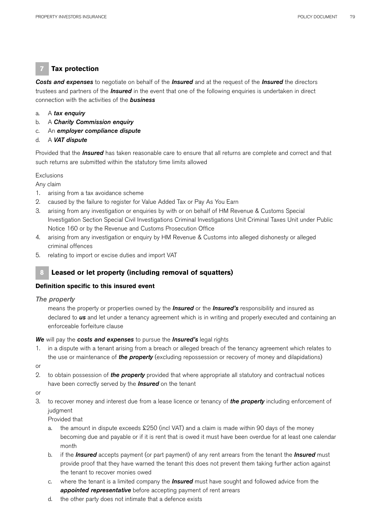## **7 Tax protection**

*Costs and expenses* to negotiate on behalf of the *Insured* and at the request of the *Insured* the directors trustees and partners of the *Insured* in the event that one of the following enquiries is undertaken in direct connection with the activities of the *business*

- a. A *tax enquiry*
- b. A *Charity Commission enquiry*
- c. An *employer compliance dispute*
- d. A *VAT dispute*

Provided that the *Insured* has taken reasonable care to ensure that all returns are complete and correct and that such returns are submitted within the statutory time limits allowed

**Exclusions** 

Any claim

- 1. arising from a tax avoidance scheme
- 2. caused by the failure to register for Value Added Tax or Pay As You Earn
- 3. arising from any investigation or enquiries by with or on behalf of HM Revenue & Customs Special Investigation Section Special Civil Investigations Criminal Investigations Unit Criminal Taxes Unit under Public Notice 160 or by the Revenue and Customs Prosecution Office
- 4. arising from any investigation or enquiry by HM Revenue & Customs into alleged dishonesty or alleged criminal offences
- 5. relating to import or excise duties and import VAT

## **8 Leased or let property (including removal of squatters)**

### **Definition specific to this insured event**

### *The property*

means the property or properties owned by the *Insured* or the *Insured's* responsibility and insured as declared to *us* and let under a tenancy agreement which is in writing and properly executed and containing an enforceable forfeiture clause

### *We* will pay the *costs and expenses* to pursue the *Insured's* legal rights

- 1. in a dispute with a tenant arising from a breach or alleged breach of the tenancy agreement which relates to the use or maintenance of *the property* (excluding repossession or recovery of money and dilapidations)
- or
- 2. to obtain possession of *the property* provided that where appropriate all statutory and contractual notices have been correctly served by the *Insured* on the tenant
- or
- 3. to recover money and interest due from a lease licence or tenancy of *the property* including enforcement of judgment

Provided that

- a. the amount in dispute exceeds £250 (incl VAT) and a claim is made within 90 days of the money becoming due and payable or if it is rent that is owed it must have been overdue for at least one calendar month
- b. if the *Insured* accepts payment (or part payment) of any rent arrears from the tenant the *Insured* must provide proof that they have warned the tenant this does not prevent them taking further action against the tenant to recover monies owed
- c. where the tenant is a limited company the *Insured* must have sought and followed advice from the *appointed representative* before accepting payment of rent arrears
- d. the other party does not intimate that a defence exists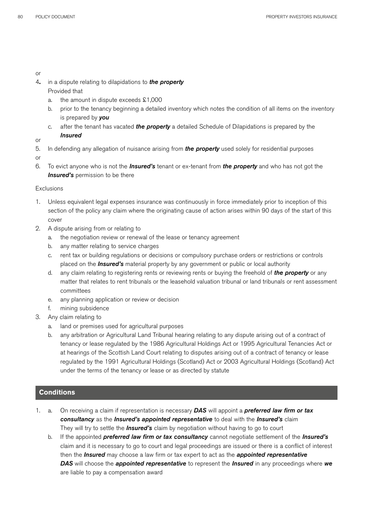or

- 4**.** in a dispute relating to dilapidations to *the property* Provided that
	- a. the amount in dispute exceeds £1,000
	- b. prior to the tenancy beginning a detailed inventory which notes the condition of all items on the inventory is prepared by *you*
	- c. after the tenant has vacated *the property* a detailed Schedule of Dilapidations is prepared by the *Insured*

or

- 5. In defending any allegation of nuisance arising from *the property* used solely for residential purposes
- or
- 6. To evict anyone who is not the *Insured's* tenant or ex-tenant from *the property* and who has not got the *Insured's* permission to be there

## Exclusions

- 1. Unless equivalent legal expenses insurance was continuously in force immediately prior to inception of this section of the policy any claim where the originating cause of action arises within 90 days of the start of this cover
- 2. A dispute arising from or relating to
	- a. the negotiation review or renewal of the lease or tenancy agreement
	- b. any matter relating to service charges
	- c. rent tax or building regulations or decisions or compulsory purchase orders or restrictions or controls placed on the *Insured's* material property by any government or public or local authority
	- d. any claim relating to registering rents or reviewing rents or buying the freehold of *the property* or any matter that relates to rent tribunals or the leasehold valuation tribunal or land tribunals or rent assessment committees
	- e. any planning application or review or decision
	- f. mining subsidence
- 3. Any claim relating to
	- a. land or premises used for agricultural purposes
	- b. any arbitration or Agricultural Land Tribunal hearing relating to any dispute arising out of a contract of tenancy or lease regulated by the 1986 Agricultural Holdings Act or 1995 Agricultural Tenancies Act or at hearings of the Scottish Land Court relating to disputes arising out of a contract of tenancy or lease regulated by the 1991 Agricultural Holdings (Scotland) Act or 2003 Agricultural Holdings (Scotland) Act under the terms of the tenancy or lease or as directed by statute

## **Conditions**

- 1. a. On receiving a claim if representation is necessary *DAS* will appoint a *preferred law firm or tax consultancy* as the *Insured's appointed representative* to deal with the *Insured's* claim They will try to settle the *Insured's* claim by negotiation without having to go to court
	- b. If the appointed *preferred law firm or tax consultancy* cannot negotiate settlement of the *Insured's* claim and it is necessary to go to court and legal proceedings are issued or there is a conflict of interest then the *Insured* may choose a law firm or tax expert to act as the *appointed representative DAS* will choose the *appointed representative* to represent the *Insured* in any proceedings where we are liable to pay a compensation award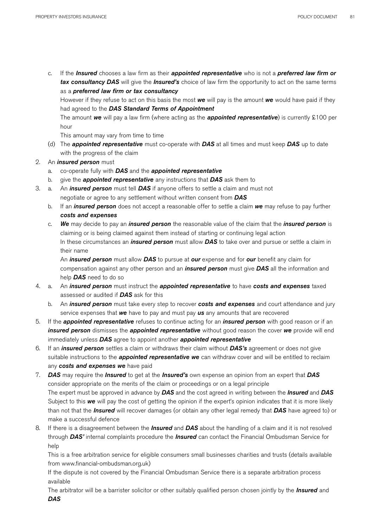c. If the *Insured* chooses a law firm as their *appointed representative* who is not a *preferred law firm or tax consultancy DAS* will give the *Insured's* choice of law firm the opportunity to act on the same terms as a *preferred law firm or tax consultancy*

However if they refuse to act on this basis the most *we* will pay is the amount *we* would have paid if they had agreed to the *DAS Standard Terms of Appointment*

The amount *we* will pay a law firm (where acting as the *appointed representative*) is currently £100 per hour

This amount may vary from time to time

- (d) The *appointed representative* must co-operate with *DAS* at all times and must keep *DAS* up to date with the progress of the claim
- 2. An *insured person* must
	- a. co-operate fully with *DAS* and the *appointed representative*
	- b. give the *appointed representative* any instructions that *DAS* ask them to
- 3. a. An *insured person* must tell *DAS* if anyone offers to settle a claim and must not negotiate or agree to any settlement without written consent from *DAS*
	- b. If an *insured person* does not accept a reasonable offer to settle a claim *we* may refuse to pay further *costs and expenses*
	- c. *We* may decide to pay an *insured person* the reasonable value of the claim that the *insured person* is claiming or is being claimed against them instead of starting or continuing legal action In these circumstances an *insured person* must allow *DAS* to take over and pursue or settle a claim in their name

An *insured person* must allow *DAS* to pursue at *our* expense and for *our* benefit any claim for compensation against any other person and an *insured person* must give *DAS* all the information and help *DAS* need to do so

- 4. a. An *insured person* must instruct the *appointed representative* to have *costs and expenses* taxed assessed or audited if *DAS* ask for this
	- b. An *insured person* must take every step to recover *costs and expenses* and court attendance and jury service expenses that *we* have to pay and must pay *us* any amounts that are recovered
- 5. If the *appointed representative* refuses to continue acting for an *insured person* with good reason or if an *insured person* dismisses the *appointed representative* without good reason the cover *we* provide will end immediately unless *DAS* agree to appoint another *appointed representative*
- 6. If an *insured person* settles a claim or withdraws their claim without *DAS's* agreement or does not give suitable instructions to the *appointed representative we* can withdraw cover and will be entitled to reclaim any *costs and expenses we* have paid
- 7. *DAS* may require the *Insured* to get at the *Insured's* own expense an opinion from an expert that *DAS* consider appropriate on the merits of the claim or proceedings or on a legal principle The expert must be approved in advance by *DAS* and the cost agreed in writing between the *Insured* and *DAS* Subject to this *we* will pay the cost of getting the opinion if the expert's opinion indicates that it is more likely than not that the *Insured* will recover damages (or obtain any other legal remedy that *DAS* have agreed to) or make a successful defence
- 8. If there is a disagreement between the *Insured* and *DAS* about the handling of a claim and it is not resolved through *DAS'* internal complaints procedure the *Insured* can contact the Financial Ombudsman Service for help

This is a free arbitration service for eligible consumers small businesses charities and trusts (details available from www.financial-ombudsman.org.uk)

If the dispute is not covered by the Financial Ombudsman Service there is a separate arbitration process available

The arbitrator will be a barrister solicitor or other suitably qualified person chosen jointly by the *Insured* and *DAS*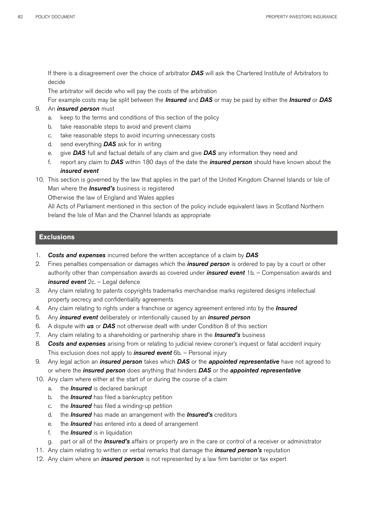If there is a disagreement over the choice of arbitrator *DAS* will ask the Chartered Institute of Arbitrators to decide

The arbitrator will decide who will pay the costs of the arbitration

For example costs may be split between the *Insured* and *DAS* or may be paid by either the *Insured* or *DAS*

### 9. An *insured person* must

- a. keep to the terms and conditions of this section of the policy
- b. take reasonable steps to avoid and prevent claims
- c. take reasonable steps to avoid incurring unnecessary costs
- d. send everything *DAS* ask for in writing
- e. give *DAS* full and factual details of any claim and give *DAS* any information they need and
- f. report any claim to *DAS* within 180 days of the date the *insured person* should have known about the *insured event*
- 10. This section is governed by the law that applies in the part of the United Kingdom Channel Islands or Isle of Man where the *Insured's* business is registered

Otherwise the law of England and Wales applies

All Acts of Parliament mentioned in this section of the policy include equivalent laws in Scotland Northern Ireland the Isle of Man and the Channel Islands as appropriate

### **Exclusions**

- 1. *Costs and expenses* incurred before the written acceptance of a claim by *DAS*
- 2. Fines penalties compensation or damages which the *insured person* is ordered to pay by a court or other authority other than compensation awards as covered under *insured event* 1b. – Compensation awards and *insured event* 2c. – Legal defence
- 3. Any claim relating to patents copyrights trademarks merchandise marks registered designs intellectual property secrecy and confidentiality agreements
- 4. Any claim relating to rights under a franchise or agency agreement entered into by the *Insured*
- 5. Any *insured event* deliberately or intentionally caused by an *insured person*
- 6. A dispute with *us* or *DAS* not otherwise dealt with under Condition 8 of this section
- 7. Any claim relating to a shareholding or partnership share in the *Insured's* business
- 8. *Costs and expenses* arising from or relating to judicial review coroner's inquest or fatal accident inquiry This exclusion does not apply to *insured event* 6b. – Personal injury
- 9. Any legal action an *insured person* takes which *DAS* or the *appointed representative* have not agreed to or where the *insured person* does anything that hinders *DAS* or the *appointed representative*
- 10. Any claim where either at the start of or during the course of a claim
	- a. the *Insured* is declared bankrupt
	- b. the *Insured* has filed a bankruptcy petition
	- c. the *Insured* has filed a winding-up petition
	- d. the *Insured* has made an arrangement with the *Insured's* creditors
	- e. the *Insured* has entered into a deed of arrangement
	- f. the *Insured* is in liquidation
	- g. part or all of the *Insured's* affairs or property are in the care or control of a receiver or administrator
- 11. Any claim relating to written or verbal remarks that damage the *insured person's* reputation
- 12. Any claim where an *insured person* is not represented by a law firm barrister or tax expert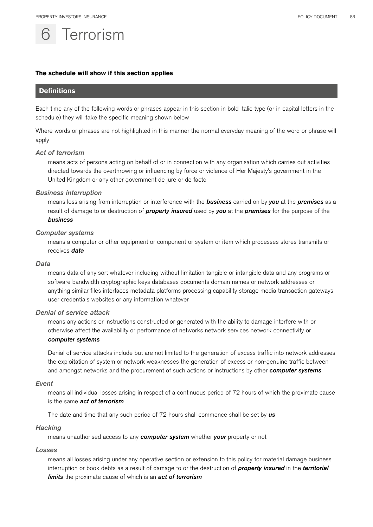# **Terrorism**

### **The schedule will show if this section applies**

## **Definitions**

Each time any of the following words or phrases appear in this section in bold italic type (or in capital letters in the schedule) they will take the specific meaning shown below

Where words or phrases are not highlighted in this manner the normal everyday meaning of the word or phrase will apply

### *Act of terrorism*

means acts of persons acting on behalf of or in connection with any organisation which carries out activities directed towards the overthrowing or influencing by force or violence of Her Majesty's government in the United Kingdom or any other government de jure or de facto

#### *Business interruption*

means loss arising from interruption or interference with the *business* carried on by *you* at the *premises* as a result of damage to or destruction of *property insured* used by *you* at the *premises* for the purpose of the *business*

### *Computer systems*

means a computer or other equipment or component or system or item which processes stores transmits or receives *data*

### *Data*

means data of any sort whatever including without limitation tangible or intangible data and any programs or software bandwidth cryptographic keys databases documents domain names or network addresses or anything similar files interfaces metadata platforms processing capability storage media transaction gateways user credentials websites or any information whatever

### *Denial of service attack*

means any actions or instructions constructed or generated with the ability to damage interfere with or otherwise affect the availability or performance of networks network services network connectivity or *computer systems*

Denial of service attacks include but are not limited to the generation of excess traffic into network addresses the exploitation of system or network weaknesses the generation of excess or non-genuine traffic between and amongst networks and the procurement of such actions or instructions by other *computer systems* 

### *Event*

means all individual losses arising in respect of a continuous period of 72 hours of which the proximate cause is the same *act of terrorism* 

The date and time that any such period of 72 hours shall commence shall be set by *us*

### *Hacking*

means unauthorised access to any *computer system* whether *your* property or not

#### *Losses*

means all losses arising under any operative section or extension to this policy for material damage business interruption or book debts as a result of damage to or the destruction of *property insured* in the *territorial limits* the proximate cause of which is an *act of terrorism*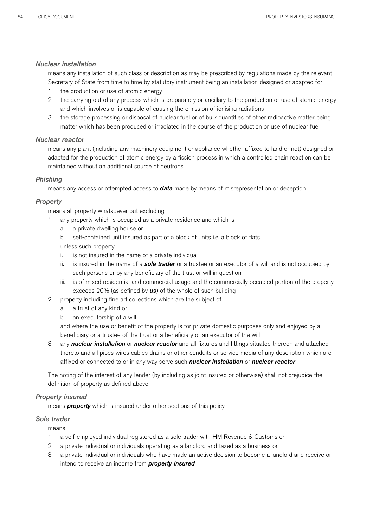### *Nuclear installation*

means any installation of such class or description as may be prescribed by regulations made by the relevant Secretary of State from time to time by statutory instrument being an installation designed or adapted for

- 1. the production or use of atomic energy
- 2.the carrying out of any process which is preparatory or ancillary to the production or use of atomic energy and which involves or is capable of causing the emission of ionising radiations
- 3. the storage processing or disposal of nuclear fuel or of bulk quantities of other radioactive matter being matter which has been produced or irradiated in the course of the production or use of nuclear fuel

### *Nuclear reactor*

means any plant (including any machinery equipment or appliance whether affixed to land or not) designed or adapted for the production of atomic energy by a fission process in which a controlled chain reaction can be maintained without an additional source of neutrons

## *Phishing*

means any access or attempted access to *data* made by means of misrepresentation or deception

## *Property*

means all property whatsoever but excluding

- 1. any property which is occupied as a private residence and which is
	- a. a private dwelling house or
	- b. self-contained unit insured as part of a block of units i.e. a block of flats

unless such property

- i. is not insured in the name of a private individual
- ii. is insured in the name of a *sole trader* or a trustee or an executor of a will and is not occupied by such persons or by any beneficiary of the trust or will in question
- iii. is of mixed residential and commercial usage and the commercially occupied portion of the property exceeds 20% (as defined by *us*) of the whole of such building
- 2. property including fine art collections which are the subject of
	- a. a trust of any kind or
	- b. an executorship of a will

and where the use or benefit of the property is for private domestic purposes only and enjoyed by a beneficiary or a trustee of the trust or a beneficiary or an executor of the will

3. any *nuclear installation* or *nuclear reactor* and all fixtures and fittings situated thereon and attached thereto and all pipes wires cables drains or other conduits or service media of any description which are affixed or connected to or in any way serve such *nuclear installation* or *nuclear reactor*

The noting of the interest of any lender (by including as joint insured or otherwise) shall not prejudice the definition of property as defined above

### *Property insured*

means *property* which is insured under other sections of this policy

### *Sole trader*

means

- 1. a self-employed individual registered as a sole trader with HM Revenue & Customs or
- 2. a private individual or individuals operating as a landlord and taxed as a business or
- 3. a private individual or individuals who have made an active decision to become a landlord and receive or intend to receive an income from *property insured*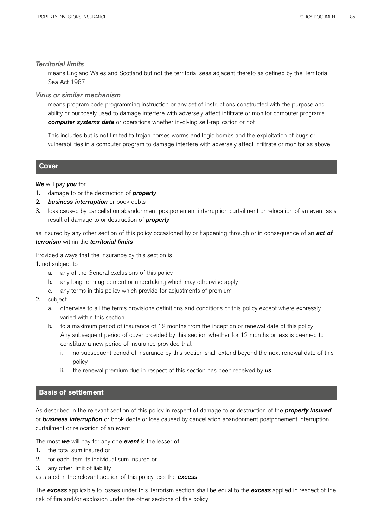### *Territorial limits*

means England Wales and Scotland but not the territorial seas adjacent thereto as defined by the Territorial Sea Act 1987

### *Virus or similar mechanism*

means program code programming instruction or any set of instructions constructed with the purpose and ability or purposely used to damage interfere with adversely affect infiltrate or monitor computer programs *computer systems data* or operations whether involving self-replication or not

This includes but is not limited to trojan horses worms and logic bombs and the exploitation of bugs or vulnerabilities in a computer program to damage interfere with adversely affect infiltrate or monitor as above

### **Cover**

### *We* will pay *you* for

- 1. damage to or the destruction of *property*
- 2. *business interruption* or book debts
- 3. loss caused by cancellation abandonment postponement interruption curtailment or relocation of an event as a result of damage to or destruction of *property*

as insured by any other section of this policy occasioned by or happening through or in consequence of an *act of terrorism* within the *territorial limits*

Provided always that the insurance by this section is

1. not subject to

- a. any of the General exclusions of this policy
- b. any long term agreement or undertaking which may otherwise apply
- c. any terms in this policy which provide for adjustments of premium
- 2. subject
	- a. otherwise to all the terms provisions definitions and conditions of this policy except where expressly varied within this section
	- b. to a maximum period of insurance of 12 months from the inception or renewal date of this policy Any subsequent period of cover provided by this section whether for 12 months or less is deemed to constitute a new period of insurance provided that
		- i. no subsequent period of insurance by this section shall extend beyond the next renewal date of this policy
		- ii. the renewal premium due in respect of this section has been received by *us*

### **Basis of settlement**

As described in the relevant section of this policy in respect of damage to or destruction of the *property insured*  or *business interruption* or book debts or loss caused by cancellation abandonment postponement interruption curtailment or relocation of an event

The most *we* will pay for any one *event* is the lesser of

- 1. the total sum insured or
- 2. for each item its individual sum insured or
- 3. any other limit of liability

as stated in the relevant section of this policy less the *excess*

The *excess* applicable to losses under this Terrorism section shall be equal to the *excess* applied in respect of the risk of fire and/or explosion under the other sections of this policy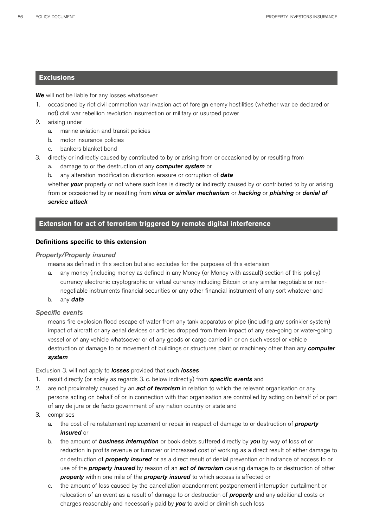## **Exclusions**

*We* will not be liable for any losses whatsoever

- 1. occasioned by riot civil commotion war invasion act of foreign enemy hostilities (whether war be declared or not) civil war rebellion revolution insurrection or military or usurped power
- 2. arising under
	- a. marine aviation and transit policies
	- b. motor insurance policies
	- c. bankers blanket bond
- 3. directly or indirectly caused by contributed to by or arising from or occasioned by or resulting from
	- a. damage to or the destruction of any *computer system* or
	- b. any alteration modification distortion erasure or corruption of *data*

whether **your** property or not where such loss is directly or indirectly caused by or contributed to by or arising from or occasioned by or resulting from *virus or similar mechanism* or *hacking* or *phishing* or *denial of service attack* 

## **Extension for act of terrorism triggered by remote digital interference**

### **Definitions specific to this extension**

### *Property/Property insured*

means as defined in this section but also excludes for the purposes of this extension

- a. any money (including money as defined in any Money (or Money with assault) section of this policy) currency electronic cryptographic or virtual currency including Bitcoin or any similar negotiable or nonnegotiable instruments financial securities or any other financial instrument of any sort whatever and
- b. any *data*

### *Specific events*

means fire explosion flood escape of water from any tank apparatus or pipe (including any sprinkler system) impact of aircraft or any aerial devices or articles dropped from them impact of any sea-going or water-going vessel or of any vehicle whatsoever or of any goods or cargo carried in or on such vessel or vehicle destruction of damage to or movement of buildings or structures plant or machinery other than any *computer system*

### Exclusion 3. will not apply to *losses* provided that such *losses*

- 1. result directly (or solely as regards 3. c. below indirectly) from *specific events* and
- 2. are not proximately caused by an *act of terrorism* in relation to which the relevant organisation or any persons acting on behalf of or in connection with that organisation are controlled by acting on behalf of or part of any de jure or de facto government of any nation country or state and
- 3. comprises
	- a. the cost of reinstatement replacement or repair in respect of damage to or destruction of *property insured* or
	- b. the amount of *business interruption* or book debts suffered directly by *you* by way of loss of or reduction in profits revenue or turnover or increased cost of working as a direct result of either damage to or destruction of *property insured* or as a direct result of denial prevention or hindrance of access to or use of the *property insured* by reason of an *act of terrorism* causing damage to or destruction of other *property* within one mile of the *property insured* to which access is affected or
	- c. the amount of loss caused by the cancellation abandonment postponement interruption curtailment or relocation of an event as a result of damage to or destruction of *property* and any additional costs or charges reasonably and necessarily paid by *you* to avoid or diminish such loss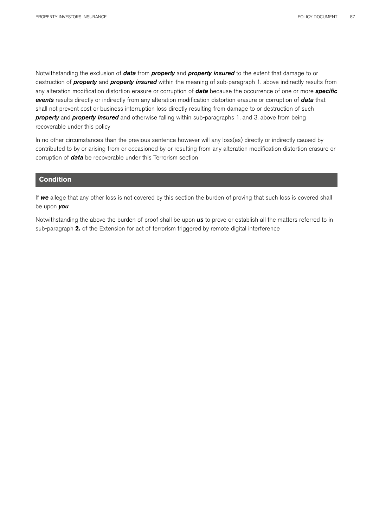Notwithstanding the exclusion of *data* from *property* and *property insured* to the extent that damage to or destruction of *property* and *property insured* within the meaning of sub-paragraph 1. above indirectly results from any alteration modification distortion erasure or corruption of *data* because the occurrence of one or more *specific events* results directly or indirectly from any alteration modification distortion erasure or corruption of *data* that shall not prevent cost or business interruption loss directly resulting from damage to or destruction of such *property* and *property insured* and otherwise falling within sub-paragraphs 1. and 3. above from being recoverable under this policy

In no other circumstances than the previous sentence however will any loss(es) directly or indirectly caused by contributed to by or arising from or occasioned by or resulting from any alteration modification distortion erasure or corruption of *data* be recoverable under this Terrorism section

### **Condition**

If *we* allege that any other loss is not covered by this section the burden of proving that such loss is covered shall be upon *you*

Notwithstanding the above the burden of proof shall be upon *us* to prove or establish all the matters referred to in sub-paragraph **2.** of the Extension for act of terrorism triggered by remote digital interference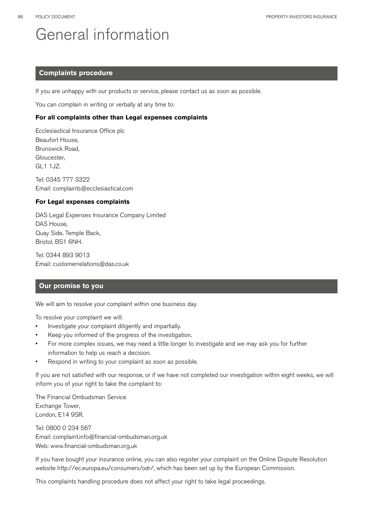# General information

## **Complaints procedure**

If you are unhappy with our products or service, please contact us as soon as possible.

You can complain in writing or verbally at any time to:

### **For all complaints other than Legal expenses complaints**

Ecclesiastical Insurance Office plc Beaufort House, Brunswick Road, Gloucester, GL1 1JZ.

Tel: 0345 777 3322 Email: complaints@ecclesiastical.com

### **For Legal expenses complaints**

DAS Legal Expenses Insurance Company Limited DAS House, Quay Side, Temple Back, Bristol, BS1 6NH.

Tel: 0344 893 9013 Email: customerrelations@das.co.uk

## **Our promise to you**

We will aim to resolve your complaint within one business day.

To resolve your complaint we will:

- Investigate your complaint diligently and impartially.
- Keep you informed of the progress of the investigation.
- For more complex issues, we may need a little longer to investigate and we may ask you for further information to help us reach a decision.
- Respond in writing to your complaint as soon as possible.

If you are not satisfied with our response, or if we have not completed our investigation within eight weeks, we will inform you of your right to take the complaint to:

The Financial Ombudsman Service Exchange Tower, London, E14 9SR.

Tel: 0800 0 234 567 Email: complaint.info@financial-ombudsman.org.uk Web: www.financial-ombudsman.org.uk

If you have bought your insurance online, you can also register your complaint on the Online Dispute Resolution website http://ec.europa.eu/consumers/odr/, which has been set up by the European Commission.

This complaints handling procedure does not affect your right to take legal proceedings.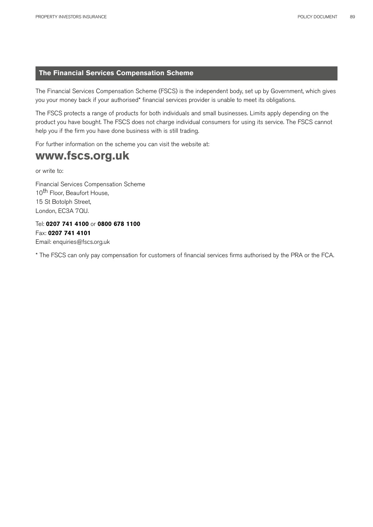## **The Financial Services Compensation Scheme**

The Financial Services Compensation Scheme (FSCS) is the independent body, set up by Government, which gives you your money back if your authorised\* financial services provider is unable to meet its obligations.

The FSCS protects a range of products for both individuals and small businesses. Limits apply depending on the product you have bought. The FSCS does not charge individual consumers for using its service. The FSCS cannot help you if the firm you have done business with is still trading.

For further information on the scheme you can visit the website at:

## **www.fscs.org.uk**

or write to:

Financial Services Compensation Scheme 10<sup>th</sup> Floor, Beaufort House, 15 St Botolph Street, London, EC3A 7QU.

Tel: **0207 741 4100** or **0800 678 1100** Fax: **0207 741 4101**  Email: enquiries@fscs.org.uk

\* The FSCS can only pay compensation for customers of financial services firms authorised by the PRA or the FCA.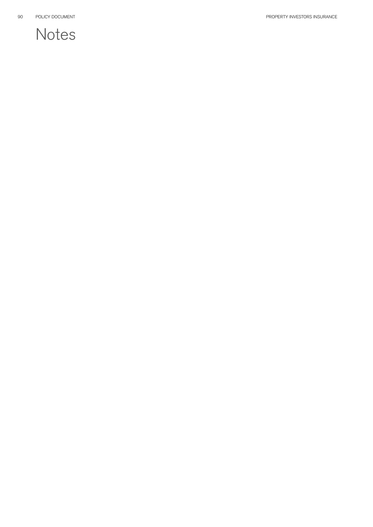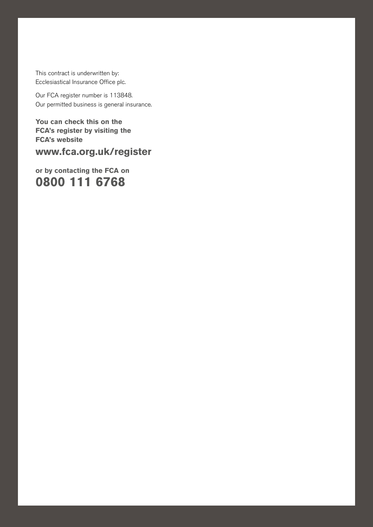This contract is underwritten by: Ecclesiastical Insurance Office plc.

Our FCA register number is 113848. Our permitted business is general insurance.

PROPERTY INVESTORS INSURANCE POLICY DOCUMENT 91

**You can check this on the FCA's register by visiting the FCA's website**

**www.fca.org.uk/register** 

**or by contacting the FCA on 0800 111 6768**